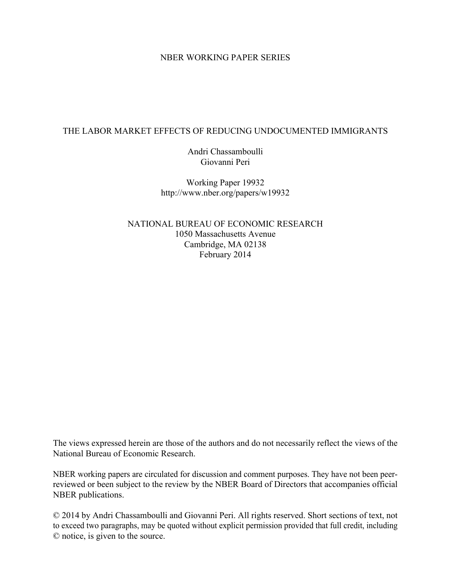### NBER WORKING PAPER SERIES

### THE LABOR MARKET EFFECTS OF REDUCING UNDOCUMENTED IMMIGRANTS

Andri Chassamboulli Giovanni Peri

Working Paper 19932 http://www.nber.org/papers/w19932

NATIONAL BUREAU OF ECONOMIC RESEARCH 1050 Massachusetts Avenue Cambridge, MA 02138 February 2014

The views expressed herein are those of the authors and do not necessarily reflect the views of the National Bureau of Economic Research.

NBER working papers are circulated for discussion and comment purposes. They have not been peerreviewed or been subject to the review by the NBER Board of Directors that accompanies official NBER publications.

© 2014 by Andri Chassamboulli and Giovanni Peri. All rights reserved. Short sections of text, not to exceed two paragraphs, may be quoted without explicit permission provided that full credit, including © notice, is given to the source.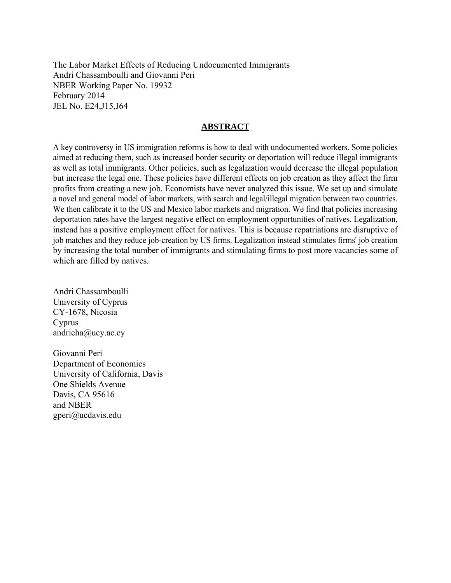The Labor Market Effects of Reducing Undocumented Immigrants Andri Chassamboulli and Giovanni Peri NBER Working Paper No. 19932 February 2014 JEL No. E24,J15,J64

### **ABSTRACT**

A key controversy in US immigration reforms is how to deal with undocumented workers. Some policies aimed at reducing them, such as increased border security or deportation will reduce illegal immigrants as well as total immigrants. Other policies, such as legalization would decrease the illegal population but increase the legal one. These policies have different effects on job creation as they affect the firm profits from creating a new job. Economists have never analyzed this issue. We set up and simulate a novel and general model of labor markets, with search and legal/illegal migration between two countries. We then calibrate it to the US and Mexico labor markets and migration. We find that policies increasing deportation rates have the largest negative effect on employment opportunities of natives. Legalization, instead has a positive employment effect for natives. This is because repatriations are disruptive of job matches and they reduce job-creation by US firms. Legalization instead stimulates firms' job creation by increasing the total number of immigrants and stimulating firms to post more vacancies some of which are filled by natives.

Andri Chassamboulli University of Cyprus CY-1678, Nicosia Cyprus andricha@ucy.ac.cy

Giovanni Peri Department of Economics University of California, Davis One Shields Avenue Davis, CA 95616 and NBER gperi@ucdavis.edu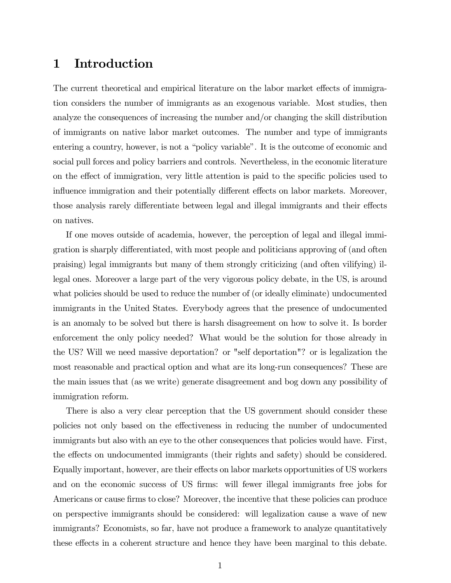# 1 Introduction

The current theoretical and empirical literature on the labor market effects of immigration considers the number of immigrants as an exogenous variable. Most studies, then analyze the consequences of increasing the number and/or changing the skill distribution of immigrants on native labor market outcomes. The number and type of immigrants entering a country, however, is not a "policy variable". It is the outcome of economic and social pull forces and policy barriers and controls. Nevertheless, in the economic literature on the effect of immigration, very little attention is paid to the specific policies used to influence immigration and their potentially different effects on labor markets. Moreover, those analysis rarely differentiate between legal and illegal immigrants and their effects on natives.

If one moves outside of academia, however, the perception of legal and illegal immigration is sharply differentiated, with most people and politicians approving of (and often praising) legal immigrants but many of them strongly criticizing (and often vilifying) illegal ones. Moreover a large part of the very vigorous policy debate, in the US, is around what policies should be used to reduce the number of (or ideally eliminate) undocumented immigrants in the United States. Everybody agrees that the presence of undocumented is an anomaly to be solved but there is harsh disagreement on how to solve it. Is border enforcement the only policy needed? What would be the solution for those already in the US? Will we need massive deportation? or "self deportation"? or is legalization the most reasonable and practical option and what are its long-run consequences? These are the main issues that (as we write) generate disagreement and bog down any possibility of immigration reform.

There is also a very clear perception that the US government should consider these policies not only based on the effectiveness in reducing the number of undocumented immigrants but also with an eye to the other consequences that policies would have. First, the effects on undocumented immigrants (their rights and safety) should be considered. Equally important, however, are their effects on labor markets opportunities of US workers and on the economic success of US firms: will fewer illegal immigrants free jobs for Americans or cause firms to close? Moreover, the incentive that these policies can produce on perspective immigrants should be considered: will legalization cause a wave of new immigrants? Economists, so far, have not produce a framework to analyze quantitatively these effects in a coherent structure and hence they have been marginal to this debate.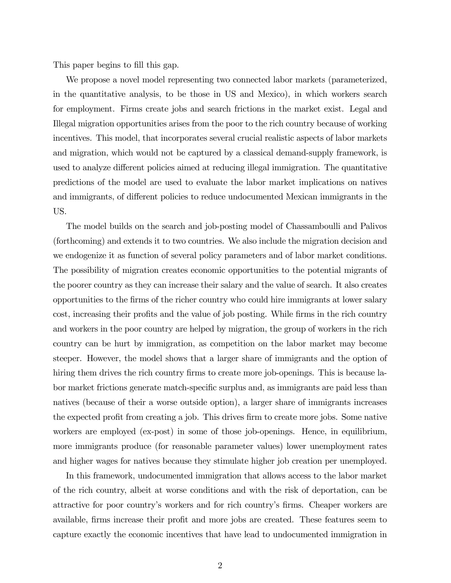This paper begins to fill this gap.

We propose a novel model representing two connected labor markets (parameterized, in the quantitative analysis, to be those in US and Mexico), in which workers search for employment. Firms create jobs and search frictions in the market exist. Legal and Illegal migration opportunities arises from the poor to the rich country because of working incentives. This model, that incorporates several crucial realistic aspects of labor markets and migration, which would not be captured by a classical demand-supply framework, is used to analyze different policies aimed at reducing illegal immigration. The quantitative predictions of the model are used to evaluate the labor market implications on natives and immigrants, of different policies to reduce undocumented Mexican immigrants in the US.

The model builds on the search and job-posting model of Chassamboulli and Palivos (forthcoming) and extends it to two countries. We also include the migration decision and we endogenize it as function of several policy parameters and of labor market conditions. The possibility of migration creates economic opportunities to the potential migrants of the poorer country as they can increase their salary and the value of search. It also creates opportunities to the firms of the richer country who could hire immigrants at lower salary cost, increasing their profits and the value of job posting. While firms in the rich country and workers in the poor country are helped by migration, the group of workers in the rich country can be hurt by immigration, as competition on the labor market may become steeper. However, the model shows that a larger share of immigrants and the option of hiring them drives the rich country firms to create more job-openings. This is because labor market frictions generate match-specific surplus and, as immigrants are paid less than natives (because of their a worse outside option), a larger share of immigrants increases the expected profit from creating a job. This drives firm to create more jobs. Some native workers are employed (ex-post) in some of those job-openings. Hence, in equilibrium, more immigrants produce (for reasonable parameter values) lower unemployment rates and higher wages for natives because they stimulate higher job creation per unemployed.

In this framework, undocumented immigration that allows access to the labor market of the rich country, albeit at worse conditions and with the risk of deportation, can be attractive for poor country's workers and for rich country's firms. Cheaper workers are available, firms increase their profit and more jobs are created. These features seem to capture exactly the economic incentives that have lead to undocumented immigration in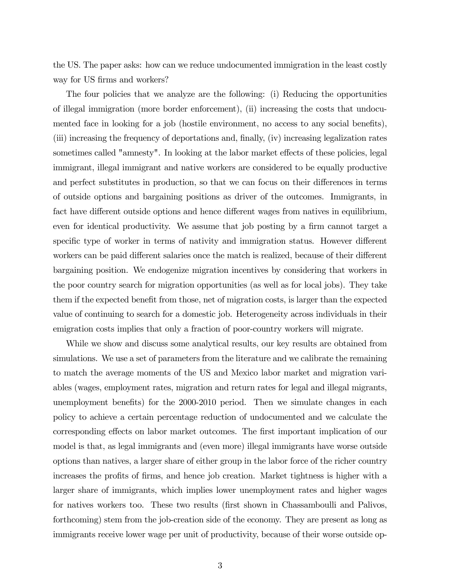the US. The paper asks: how can we reduce undocumented immigration in the least costly way for US firms and workers?

The four policies that we analyze are the following: (i) Reducing the opportunities of illegal immigration (more border enforcement), (ii) increasing the costs that undocumented face in looking for a job (hostile environment, no access to any social benefits), (iii) increasing the frequency of deportations and, finally, (iv) increasing legalization rates sometimes called "amnesty". In looking at the labor market effects of these policies, legal immigrant, illegal immigrant and native workers are considered to be equally productive and perfect substitutes in production, so that we can focus on their differences in terms of outside options and bargaining positions as driver of the outcomes. Immigrants, in fact have different outside options and hence different wages from natives in equilibrium, even for identical productivity. We assume that job posting by a firm cannot target a specific type of worker in terms of nativity and immigration status. However different workers can be paid different salaries once the match is realized, because of their different bargaining position. We endogenize migration incentives by considering that workers in the poor country search for migration opportunities (as well as for local jobs). They take them if the expected benefit from those, net of migration costs, is larger than the expected value of continuing to search for a domestic job. Heterogeneity across individuals in their emigration costs implies that only a fraction of poor-country workers will migrate.

While we show and discuss some analytical results, our key results are obtained from simulations. We use a set of parameters from the literature and we calibrate the remaining to match the average moments of the US and Mexico labor market and migration variables (wages, employment rates, migration and return rates for legal and illegal migrants, unemployment benefits) for the 2000-2010 period. Then we simulate changes in each policy to achieve a certain percentage reduction of undocumented and we calculate the corresponding effects on labor market outcomes. The first important implication of our model is that, as legal immigrants and (even more) illegal immigrants have worse outside options than natives, a larger share of either group in the labor force of the richer country increases the profits of firms, and hence job creation. Market tightness is higher with a larger share of immigrants, which implies lower unemployment rates and higher wages for natives workers too. These two results (first shown in Chassamboulli and Palivos, forthcoming) stem from the job-creation side of the economy. They are present as long as immigrants receive lower wage per unit of productivity, because of their worse outside op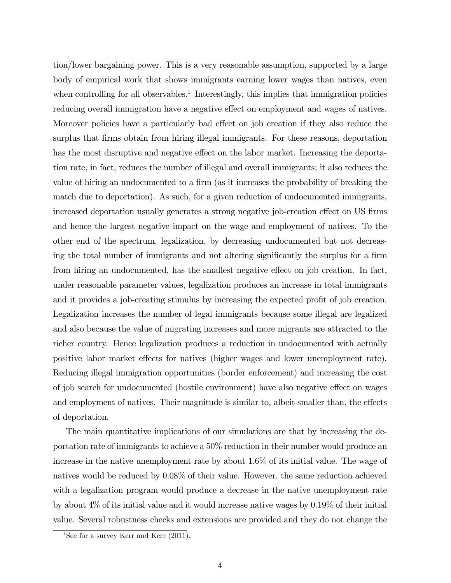tion/lower bargaining power. This is a very reasonable assumption, supported by a large body of empirical work that shows immigrants earning lower wages than natives, even when controlling for all observables.<sup>1</sup> Interestingly, this implies that immigration policies reducing overall immigration have a negative effect on employment and wages of natives. Moreover policies have a particularly bad effect on job creation if they also reduce the surplus that firms obtain from hiring illegal immigrants. For these reasons, deportation has the most disruptive and negative effect on the labor market. Increasing the deportation rate, in fact, reduces the number of illegal and overall immigrants; it also reduces the value of hiring an undocumented to a firm (as it increases the probability of breaking the match due to deportation). As such, for a given reduction of undocumented immigrants, increased deportation usually generates a strong negative job-creation effect on US firms and hence the largest negative impact on the wage and employment of natives. To the other end of the spectrum, legalization, by decreasing undocumented but not decreasing the total number of immigrants and not altering significantly the surplus for a firm from hiring an undocumented, has the smallest negative effect on job creation. In fact, under reasonable parameter values, legalization produces an increase in total immigrants and it provides a job-creating stimulus by increasing the expected profit of job creation. Legalization increases the number of legal immigrants because some illegal are legalized and also because the value of migrating increases and more migrants are attracted to the richer country. Hence legalization produces a reduction in undocumented with actually positive labor market effects for natives (higher wages and lower unemployment rate). Reducing illegal immigration opportunities (border enforcement) and increasing the cost of job search for undocumented (hostile environment) have also negative effect on wages and employment of natives. Their magnitude is similar to, albeit smaller than, the effects of deportation.

The main quantitative implications of our simulations are that by increasing the deportation rate of immigrants to achieve a 50% reduction in their number would produce an increase in the native unemployment rate by about 1.6% of its initial value. The wage of natives would be reduced by 0.08% of their value. However, the same reduction achieved with a legalization program would produce a decrease in the native unemployment rate by about 4% of its initial value and it would increase native wages by 0.19% of their initial value. Several robustness checks and extensions are provided and they do not change the

<sup>&</sup>lt;sup>1</sup>See for a survey Kerr and Kerr  $(2011)$ .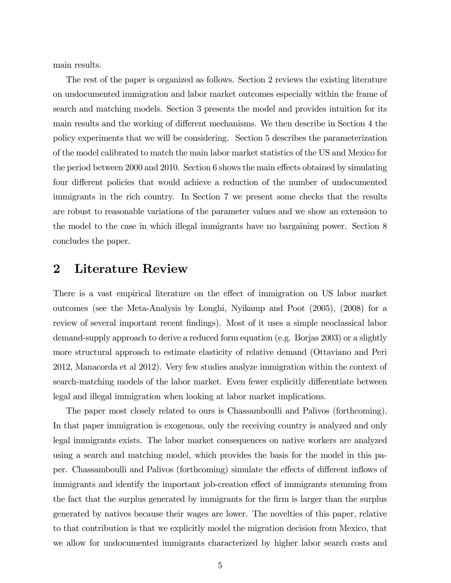main results.

The rest of the paper is organized as follows. Section 2 reviews the existing literature on undocumented immigration and labor market outcomes especially within the frame of search and matching models. Section 3 presents the model and provides intuition for its main results and the working of different mechanisms. We then describe in Section 4 the policy experiments that we will be considering. Section 5 describes the parameterization of the model calibrated to match the main labor market statistics of the US and Mexico for the period between 2000 and 2010. Section 6 shows the main effects obtained by simulating four different policies that would achieve a reduction of the number of undocumented immigrants in the rich country. In Section 7 we present some checks that the results are robust to reasonable variations of the parameter values and we show an extension to the model to the case in which illegal immigrants have no bargaining power. Section 8 concludes the paper.

# 2 Literature Review

There is a vast empirical literature on the effect of immigration on US labor market outcomes (see the Meta-Analysis by Longhi, Nyikamp and Poot (2005), (2008) for a review of several important recent findings). Most of it uses a simple neoclassical labor demand-supply approach to derive a reduced form equation (e.g. Borjas 2003) or a slightly more structural approach to estimate elasticity of relative demand (Ottaviano and Peri 2012, Manacorda et al 2012). Very few studies analyze immigration within the context of search-matching models of the labor market. Even fewer explicitly differentiate between legal and illegal immigration when looking at labor market implications.

The paper most closely related to ours is Chassamboulli and Palivos (forthcoming). In that paper immigration is exogenous, only the receiving country is analyzed and only legal immigrants exists. The labor market consequences on native workers are analyzed using a search and matching model, which provides the basis for the model in this paper. Chassamboulli and Palivos (forthcoming) simulate the effects of different inflows of immigrants and identify the important job-creation effect of immigrants stemming from the fact that the surplus generated by immigrants for the firm is larger than the surplus generated by natives because their wages are lower. The novelties of this paper, relative to that contribution is that we explicitly model the migration decision from Mexico, that we allow for undocumented immigrants characterized by higher labor search costs and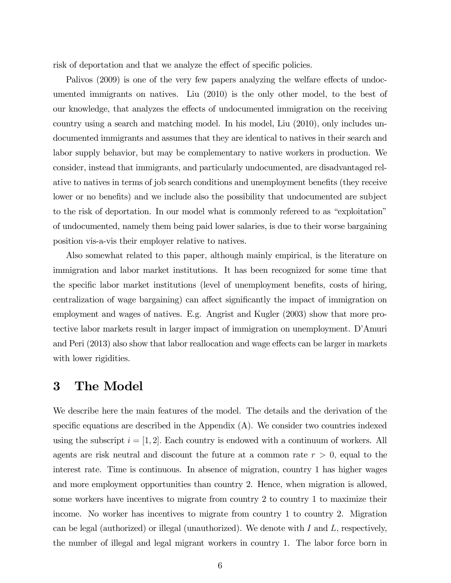risk of deportation and that we analyze the effect of specific policies.

Palivos (2009) is one of the very few papers analyzing the welfare effects of undocumented immigrants on natives. Liu (2010) is the only other model, to the best of our knowledge, that analyzes the effects of undocumented immigration on the receiving country using a search and matching model. In his model, Liu (2010), only includes undocumented immigrants and assumes that they are identical to natives in their search and labor supply behavior, but may be complementary to native workers in production. We consider, instead that immigrants, and particularly undocumented, are disadvantaged relative to natives in terms of job search conditions and unemployment benefits (they receive lower or no benefits) and we include also the possibility that undocumented are subject to the risk of deportation. In our model what is commonly refereed to as "exploitation" of undocumented, namely them being paid lower salaries, is due to their worse bargaining position vis-a-vis their employer relative to natives.

Also somewhat related to this paper, although mainly empirical, is the literature on immigration and labor market institutions. It has been recognized for some time that the specific labor market institutions (level of unemployment benefits, costs of hiring, centralization of wage bargaining) can affect significantly the impact of immigration on employment and wages of natives. E.g. Angrist and Kugler (2003) show that more protective labor markets result in larger impact of immigration on unemployment. D'Amuri and Peri (2013) also show that labor reallocation and wage effects can be larger in markets with lower rigidities.

# 3 The Model

We describe here the main features of the model. The details and the derivation of the specific equations are described in the Appendix (A). We consider two countries indexed using the subscript  $i = \vert 1, 2 \vert$ . Each country is endowed with a continuum of workers. All agents are risk neutral and discount the future at a common rate  $r > 0$ , equal to the interest rate. Time is continuous. In absence of migration, country 1 has higher wages and more employment opportunities than country 2. Hence, when migration is allowed, some workers have incentives to migrate from country 2 to country 1 to maximize their income. No worker has incentives to migrate from country 1 to country 2. Migration can be legal (authorized) or illegal (unauthorized). We denote with  $I$  and  $L$ , respectively, the number of illegal and legal migrant workers in country 1. The labor force born in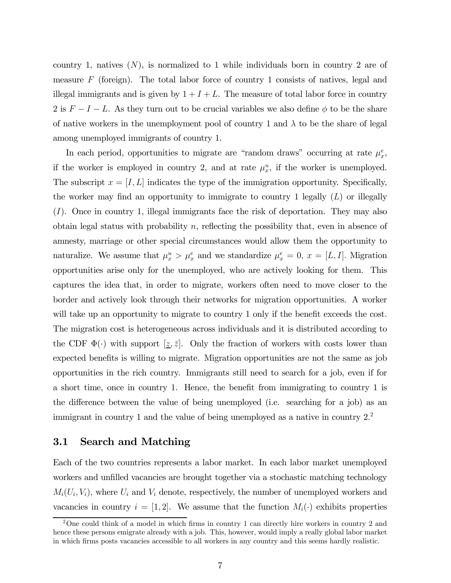country 1, natives  $(N)$ , is normalized to 1 while individuals born in country 2 are of measure  $F$  (foreign). The total labor force of country 1 consists of natives, legal and illegal immigrants and is given by  $1 + I + L$ . The measure of total labor force in country 2 is  $F - I - L$ . As they turn out to be crucial variables we also define  $\phi$  to be the share of native workers in the unemployment pool of country 1 and  $\lambda$  to be the share of legal among unemployed immigrants of country 1.

In each period, opportunities to migrate are "random draws" occurring at rate  $\mu_x^e$ , if the worker is employed in country 2, and at rate  $\mu_x^u$ , if the worker is unemployed. The subscript  $x = [I, L]$  indicates the type of the immigration opportunity. Specifically, the worker may find an opportunity to immigrate to country 1 legally  $(L)$  or illegally  $(I)$ . Once in country 1, illegal immigrants face the risk of deportation. They may also obtain legal status with probability  $n$ , reflecting the possibility that, even in absence of amnesty, marriage or other special circumstances would allow them the opportunity to naturalize. We assume that  $\mu_x^u > \mu_x^e$  and we standardize  $\mu_x^e = 0$ ,  $x = [L, I]$ . Migration opportunities arise only for the unemployed, who are actively looking for them. This captures the idea that, in order to migrate, workers often need to move closer to the border and actively look through their networks for migration opportunities. A worker will take up an opportunity to migrate to country 1 only if the benefit exceeds the cost. The migration cost is heterogeneous across individuals and it is distributed according to the CDF  $\Phi(\cdot)$  with support  $[\underline{z}, \overline{z}]$ . Only the fraction of workers with costs lower than expected benefits is willing to migrate. Migration opportunities are not the same as job opportunities in the rich country. Immigrants still need to search for a job, even if for a short time, once in country 1. Hence, the benefit from immigrating to country 1 is the difference between the value of being unemployed (i.e. searching for a job) as an immigrant in country 1 and the value of being unemployed as a native in country  $2<sup>2</sup>$ .

### 3.1 Search and Matching

Each of the two countries represents a labor market. In each labor market unemployed workers and unfilled vacancies are brought together via a stochastic matching technology  $M_i(U_i, V_i)$ , where  $U_i$  and  $V_i$  denote, respectively, the number of unemployed workers and vacancies in country  $i = [1, 2]$ . We assume that the function  $M_i(\cdot)$  exhibits properties

<sup>2</sup>One could think of a model in which firms in country 1 can directly hire workers in country 2 and hence these persons emigrate already with a job. This, however, would imply a really global labor market in which firms posts vacancies accessible to all workers in any country and this seems hardly realistic.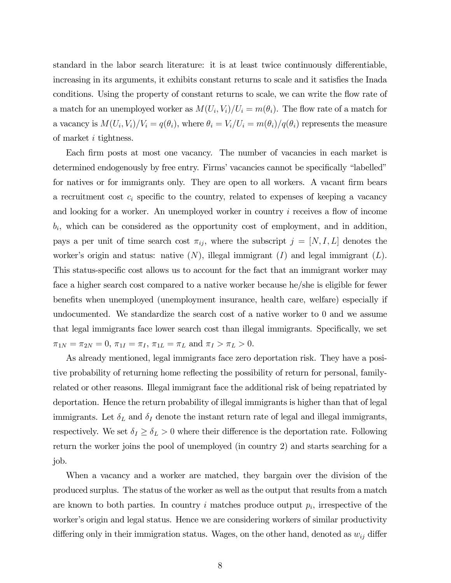standard in the labor search literature: it is at least twice continuously differentiable, increasing in its arguments, it exhibits constant returns to scale and it satisfies the Inada conditions. Using the property of constant returns to scale, we can write the flow rate of a match for an unemployed worker as  $M(U_i, V_i) / U_i = m(\theta_i)$ . The flow rate of a match for a vacancy is  $M(U_i, V_i)/V_i = q(\theta_i)$ , where  $\theta_i = V_i/U_i = m(\theta_i)/q(\theta_i)$  represents the measure of market  $i$  tightness.

Each firm posts at most one vacancy. The number of vacancies in each market is determined endogenously by free entry. Firms' vacancies cannot be specifically "labelled" for natives or for immigrants only. They are open to all workers. A vacant firm bears a recruitment cost  $c_i$  specific to the country, related to expenses of keeping a vacancy and looking for a worker. An unemployed worker in country  $i$  receives a flow of income  $b_i$ , which can be considered as the opportunity cost of employment, and in addition, pays a per unit of time search cost  $\pi_{ij}$ , where the subscript  $j = [N, I, L]$  denotes the worker's origin and status: native  $(N)$ , illegal immigrant  $(I)$  and legal immigrant  $(L)$ . This status-specific cost allows us to account for the fact that an immigrant worker may face a higher search cost compared to a native worker because he/she is eligible for fewer benefits when unemployed (unemployment insurance, health care, welfare) especially if undocumented. We standardize the search cost of a native worker to 0 and we assume that legal immigrants face lower search cost than illegal immigrants. Specifically, we set  $\pi_{1N} = \pi_{2N} = 0, \, \pi_{1I} = \pi_I, \, \pi_{1L} = \pi_L \text{ and } \pi_I > \pi_L > 0.$ 

As already mentioned, legal immigrants face zero deportation risk. They have a positive probability of returning home reflecting the possibility of return for personal, familyrelated or other reasons. Illegal immigrant face the additional risk of being repatriated by deportation. Hence the return probability of illegal immigrants is higher than that of legal immigrants. Let  $\delta_L$  and  $\delta_I$  denote the instant return rate of legal and illegal immigrants, respectively. We set  $\delta_I \geq \delta_L > 0$  where their difference is the deportation rate. Following return the worker joins the pool of unemployed (in country 2) and starts searching for a job.

When a vacancy and a worker are matched, they bargain over the division of the produced surplus. The status of the worker as well as the output that results from a match are known to both parties. In country  $i$  matches produce output  $p_i$ , irrespective of the worker's origin and legal status. Hence we are considering workers of similar productivity differing only in their immigration status. Wages, on the other hand, denoted as  $w_{ij}$  differ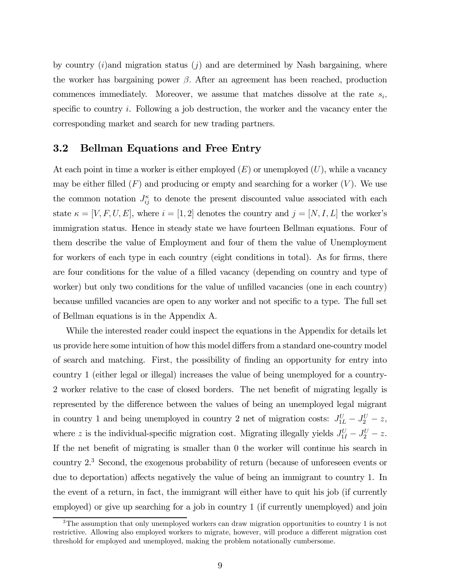by country  $(i)$  and migration status  $(i)$  and are determined by Nash bargaining, where the worker has bargaining power  $\beta$ . After an agreement has been reached, production commences immediately. Moreover, we assume that matches dissolve at the rate  $s_i$ , specific to country  $i$ . Following a job destruction, the worker and the vacancy enter the corresponding market and search for new trading partners.

#### 3.2 Bellman Equations and Free Entry

At each point in time a worker is either employed  $(E)$  or unemployed  $(U)$ , while a vacancy may be either filled  $(F)$  and producing or empty and searching for a worker  $(V)$ . We use the common notation  $J_{ij}^{\kappa}$  to denote the present discounted value associated with each state  $\kappa = [V, F, U, E]$ , where  $i = [1, 2]$  denotes the country and  $j = [N, I, L]$  the worker's immigration status. Hence in steady state we have fourteen Bellman equations. Four of them describe the value of Employment and four of them the value of Unemployment for workers of each type in each country (eight conditions in total). As for firms, there are four conditions for the value of a filled vacancy (depending on country and type of worker) but only two conditions for the value of unfilled vacancies (one in each country) because unfilled vacancies are open to any worker and not specific to a type. The full set of Bellman equations is in the Appendix A.

While the interested reader could inspect the equations in the Appendix for details let us provide here some intuition of how this model differs from a standard one-country model of search and matching. First, the possibility of finding an opportunity for entry into country 1 (either legal or illegal) increases the value of being unemployed for a country-2 worker relative to the case of closed borders. The net benefit of migrating legally is represented by the difference between the values of being an unemployed legal migrant in country 1 and being unemployed in country 2 net of migration costs:  $J_{1L}^U - J_2^U - z$ , where z is the individual-specific migration cost. Migrating illegally yields  $J_{1I}^U - J_2^U - z$ . If the net benefit of migrating is smaller than 0 the worker will continue his search in country 2.3 Second, the exogenous probability of return (because of unforeseen events or due to deportation) affects negatively the value of being an immigrant to country 1. In the event of a return, in fact, the immigrant will either have to quit his job (if currently employed) or give up searching for a job in country 1 (if currently unemployed) and join

 $3$ The assumption that only unemployed workers can draw migration opportunities to country 1 is not restrictive. Allowing also employed workers to migrate, however, will produce a different migration cost threshold for employed and unemployed, making the problem notationally cumbersome.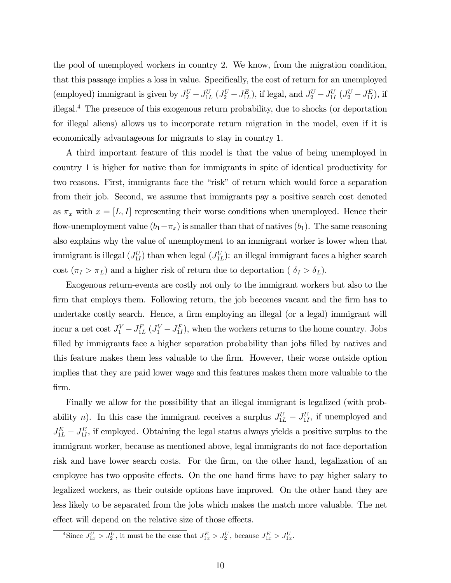the pool of unemployed workers in country 2. We know, from the migration condition, that this passage implies a loss in value. Specifically, the cost of return for an unemployed (employed) immigrant is given by  $J_2^U - J_{1L}^U (J_2^U - J_{1L}^E)$ , if legal, and  $J_2^U - J_{1I}^U (J_2^U - J_{1L}^E)$ , if illegal.4 The presence of this exogenous return probability, due to shocks (or deportation for illegal aliens) allows us to incorporate return migration in the model, even if it is economically advantageous for migrants to stay in country 1.

A third important feature of this model is that the value of being unemployed in country 1 is higher for native than for immigrants in spite of identical productivity for two reasons. First, immigrants face the "risk" of return which would force a separation from their job. Second, we assume that immigrants pay a positive search cost denoted as  $\pi_x$  with  $x = [L, I]$  representing their worse conditions when unemployed. Hence their flow-unemployment value  $(b_1-\pi_x)$  is smaller than that of natives  $(b_1)$ . The same reasoning also explains why the value of unemployment to an immigrant worker is lower when that immigrant is illegal  $(J_{1I}^U)$  than when legal  $(J_{1L}^U)$ : an illegal immigrant faces a higher search cost  $(\pi_I > \pi_L)$  and a higher risk of return due to deportation (  $\delta_I > \delta_L$ ).

Exogenous return-events are costly not only to the immigrant workers but also to the firm that employs them. Following return, the job becomes vacant and the firm has to undertake costly search. Hence, a firm employing an illegal (or a legal) immigrant will incur a net cost  $J_1^V - J_{1L}^F (J_1^V - J_{1L}^F)$ , when the workers returns to the home country. Jobs filled by immigrants face a higher separation probability than jobs filled by natives and this feature makes them less valuable to the firm. However, their worse outside option implies that they are paid lower wage and this features makes them more valuable to the firm.

Finally we allow for the possibility that an illegal immigrant is legalized (with probability *n*). In this case the immigrant receives a surplus  $J_{1L}^U - J_{1I}^U$ , if unemployed and  $J_{1L}^E - J_{1I}^E$ , if employed. Obtaining the legal status always yields a positive surplus to the immigrant worker, because as mentioned above, legal immigrants do not face deportation risk and have lower search costs. For the firm, on the other hand, legalization of an employee has two opposite effects. On the one hand firms have to pay higher salary to legalized workers, as their outside options have improved. On the other hand they are less likely to be separated from the jobs which makes the match more valuable. The net effect will depend on the relative size of those effects.

<sup>&</sup>lt;sup>4</sup>Since  $J_{1x}^U > J_2^U$ , it must be the case that  $J_{1x}^E > J_2^U$ , because  $J_{1x}^E > J_{1x}^U$ .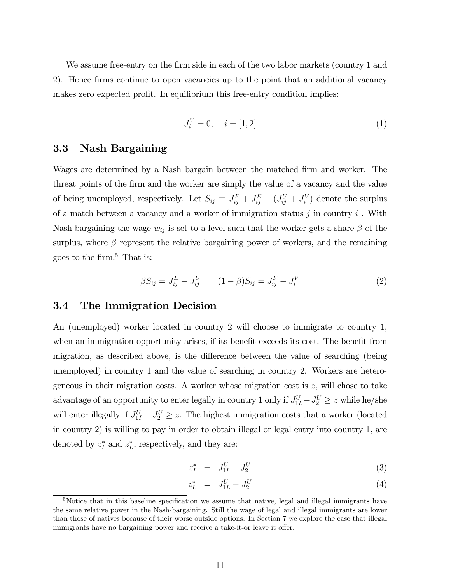We assume free-entry on the firm side in each of the two labor markets (country 1 and 2). Hence firms continue to open vacancies up to the point that an additional vacancy makes zero expected profit. In equilibrium this free-entry condition implies:

$$
J_i^V = 0, \quad i = [1, 2] \tag{1}
$$

### 3.3 Nash Bargaining

Wages are determined by a Nash bargain between the matched firm and worker. The threat points of the firm and the worker are simply the value of a vacancy and the value of being unemployed, respectively. Let  $S_{ij} \equiv J_{ij}^F + J_{ij}^E - (J_{ij}^U + J_i^V)$  denote the surplus of a match between a vacancy and a worker of immigration status  $j$  in country  $i$ . With Nash-bargaining the wage  $w_{ij}$  is set to a level such that the worker gets a share  $\beta$  of the surplus, where  $\beta$  represent the relative bargaining power of workers, and the remaining goes to the firm.<sup>5</sup> That is:

$$
\beta S_{ij} = J_{ij}^{E} - J_{ij}^{U} \qquad (1 - \beta) S_{ij} = J_{ij}^{F} - J_{i}^{V} \qquad (2)
$$

#### 3.4 The Immigration Decision

An (unemployed) worker located in country 2 will choose to immigrate to country 1, when an immigration opportunity arises, if its benefit exceeds its cost. The benefit from migration, as described above, is the difference between the value of searching (being unemployed) in country 1 and the value of searching in country 2. Workers are heterogeneous in their migration costs. A worker whose migration cost is  $z$ , will chose to take advantage of an opportunity to enter legally in country 1 only if  $J_{1L}^U - J_2^U \ge z$  while he/she will enter illegally if  $J_{1I}^U - J_2^U \ge z$ . The highest immigration costs that a worker (located in country 2) is willing to pay in order to obtain illegal or legal entry into country 1, are denoted by  $z_I^*$  and  $z_L^*$ , respectively, and they are:

$$
z_I^* = J_{1I}^U - J_2^U \tag{3}
$$

$$
z_L^* = J_{1L}^U - J_2^U \tag{4}
$$

<sup>&</sup>lt;sup>5</sup>Notice that in this baseline specification we assume that native, legal and illegal immigrants have the same relative power in the Nash-bargaining. Still the wage of legal and illegal immigrants are lower than those of natives because of their worse outside options. In Section 7 we explore the case that illegal immigrants have no bargaining power and receive a take-it-or leave it offer.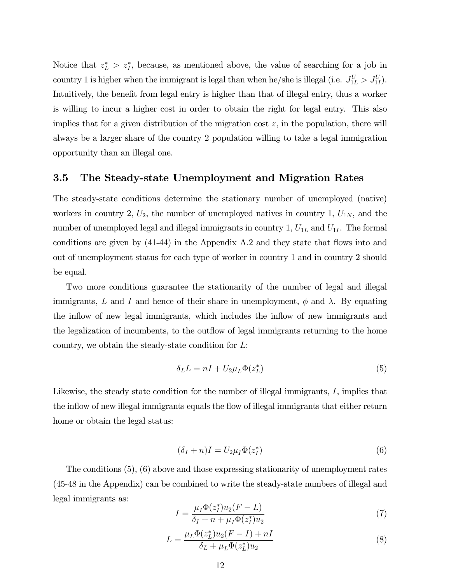Notice that  $z_L^*$  >  $z_I^*$ , because, as mentioned above, the value of searching for a job in country 1 is higher when the immigrant is legal than when he/she is illegal (i.e.  $J_{1L}^U > J_{1L}^U$ ). Intuitively, the benefit from legal entry is higher than that of illegal entry, thus a worker is willing to incur a higher cost in order to obtain the right for legal entry. This also implies that for a given distribution of the migration cost  $z$ , in the population, there will always be a larger share of the country 2 population willing to take a legal immigration opportunity than an illegal one.

### 3.5 The Steady-state Unemployment and Migration Rates

The steady-state conditions determine the stationary number of unemployed (native) workers in country 2,  $U_2$ , the number of unemployed natives in country 1,  $U_{1N}$ , and the number of unemployed legal and illegal immigrants in country  $1, U_{1L}$  and  $U_{1I}$ . The formal conditions are given by (41-44) in the Appendix A.2 and they state that flows into and out of unemployment status for each type of worker in country 1 and in country 2 should be equal.

Two more conditions guarantee the stationarity of the number of legal and illegal immigrants, L and I and hence of their share in unemployment,  $\phi$  and  $\lambda$ . By equating the inflow of new legal immigrants, which includes the inflow of new immigrants and the legalization of incumbents, to the outflow of legal immigrants returning to the home country, we obtain the steady-state condition for  $L$ :

$$
\delta_L L = nI + U_2 \mu_L \Phi(z_L^*)
$$
\n<sup>(5)</sup>

Likewise, the steady state condition for the number of illegal immigrants,  $I$ , implies that the inflow of new illegal immigrants equals the flow of illegal immigrants that either return home or obtain the legal status:

$$
(\delta_I + n)I = U_2 \mu_I \Phi(z_I^*)
$$
\n<sup>(6)</sup>

The conditions (5), (6) above and those expressing stationarity of unemployment rates (45-48 in the Appendix) can be combined to write the steady-state numbers of illegal and legal immigrants as:

$$
I = \frac{\mu_I \Phi(z_I^*) u_2 (F - L)}{\delta_I + n + \mu_I \Phi(z_I^*) u_2} \tag{7}
$$

$$
L = \frac{\mu_L \Phi(z_L^*) u_2 (F - I) + nI}{\delta_L + \mu_L \Phi(z_L^*) u_2} \tag{8}
$$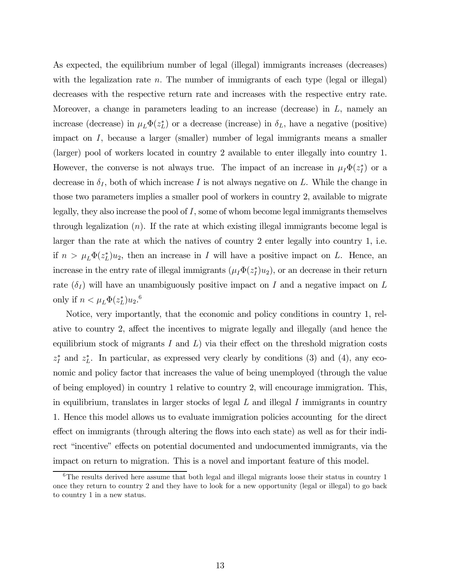As expected, the equilibrium number of legal (illegal) immigrants increases (decreases) with the legalization rate  $n$ . The number of immigrants of each type (legal or illegal) decreases with the respective return rate and increases with the respective entry rate. Moreover, a change in parameters leading to an increase (decrease) in  $L$ , namely an increase (decrease) in  $\mu_L \Phi(z_L^*)$  or a decrease (increase) in  $\delta_L$ , have a negative (positive) impact on  $I$ , because a larger (smaller) number of legal immigrants means a smaller (larger) pool of workers located in country 2 available to enter illegally into country 1. However, the converse is not always true. The impact of an increase in  $\mu_I \Phi(z_I^*)$  or a decrease in  $\delta_I$ , both of which increase I is not always negative on L. While the change in those two parameters implies a smaller pool of workers in country 2, available to migrate legally, they also increase the pool of  $I$ , some of whom become legal immigrants themselves through legalization  $(n)$ . If the rate at which existing illegal immigrants become legal is larger than the rate at which the natives of country 2 enter legally into country 1, i.e. if  $n > \mu_L \Phi(z_L^*) u_2$ , then an increase in *I* will have a positive impact on *L*. Hence, an increase in the entry rate of illegal immigrants  $(\mu_I \Phi(z_I^*) u_2)$ , or an decrease in their return rate  $(\delta_I)$  will have an unambiguously positive impact on I and a negative impact on L only if  $n < \mu_L \Phi(z_L^*) u_2$ .<sup>6</sup>

Notice, very importantly, that the economic and policy conditions in country 1, relative to country 2, affect the incentives to migrate legally and illegally (and hence the equilibrium stock of migrants  $I$  and  $I$ ) via their effect on the threshold migration costs  $z_I^*$  and  $z_L^*$ . In particular, as expressed very clearly by conditions (3) and (4), any economic and policy factor that increases the value of being unemployed (through the value of being employed) in country 1 relative to country 2, will encourage immigration. This, in equilibrium, translates in larger stocks of legal  $L$  and illegal  $I$  immigrants in country 1. Hence this model allows us to evaluate immigration policies accounting for the direct effect on immigrants (through altering the flows into each state) as well as for their indirect "incentive" effects on potential documented and undocumented immigrants, via the impact on return to migration. This is a novel and important feature of this model.

<sup>&</sup>lt;sup>6</sup>The results derived here assume that both legal and illegal migrants loose their status in country 1 once they return to country 2 and they have to look for a new opportunity (legal or illegal) to go back to country 1 in a new status.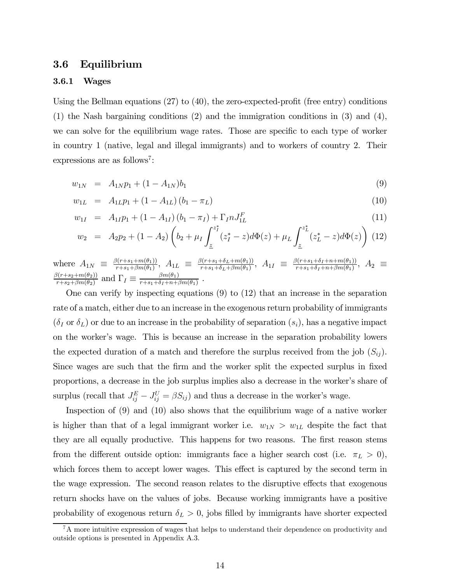### 3.6 Equilibrium

#### 3.6.1 Wages

Using the Bellman equations  $(27)$  to  $(40)$ , the zero-expected-profit (free entry) conditions (1) the Nash bargaining conditions (2) and the immigration conditions in (3) and (4), we can solve for the equilibrium wage rates. Those are specific to each type of worker in country 1 (native, legal and illegal immigrants) and to workers of country 2. Their expressions are as follows<sup>7</sup>:

$$
w_{1N} = A_{1N}p_1 + (1 - A_{1N})b_1 \tag{9}
$$

$$
w_{1L} = A_{1L}p_1 + (1 - A_{1L})(b_1 - \pi_L) \tag{10}
$$

$$
w_{1I} = A_{1I}p_1 + (1 - A_{1I})(b_1 - \pi_I) + \Gamma_I n J_{1L}^F
$$
\n(11)

$$
w_2 = A_2 p_2 + (1 - A_2) \left( b_2 + \mu_I \int_{\underline{z}}^{z_I^*} (z_I^* - z) d\Phi(z) + \mu_L \int_{\underline{z}}^{z_L^*} (z_L^* - z) d\Phi(z) \right) (12)
$$

where  $A_{1N} \equiv \frac{\beta(r+s_1+m(\theta_1))}{r+s_1+\beta m(\theta_1)}, A_{1L} \equiv \frac{\beta(r+s_1+\delta_L+m(\theta_1))}{r+s_1+\delta_L+\beta m(\theta_1)}, A_{1I} \equiv \frac{\beta(r+s_1+\delta_I+n+m(\theta_1))}{r+s_1+\delta_I+n+\beta m(\theta_1)}, A_2 \equiv$  $\frac{\beta(r+s_2+m(\theta_2))}{r+s_2+\beta m(\theta_2)}$  and  $\Gamma_I \equiv \frac{\beta m(\theta_1)}{r+s_1+\delta_I+n+\beta m(\theta_1)}$ .

One can verify by inspecting equations (9) to (12) that an increase in the separation rate of a match, either due to an increase in the exogenous return probability of immigrants  $(\delta_I \text{ or } \delta_L)$  or due to an increase in the probability of separation  $(s_i)$ , has a negative impact on the worker's wage. This is because an increase in the separation probability lowers the expected duration of a match and therefore the surplus received from the job  $(S_{ij})$ . Since wages are such that the firm and the worker split the expected surplus in fixed proportions, a decrease in the job surplus implies also a decrease in the worker's share of surplus (recall that  $J_{ij}^E - J_{ij}^U = \beta S_{ij}$ ) and thus a decrease in the worker's wage.

Inspection of (9) and (10) also shows that the equilibrium wage of a native worker is higher than that of a legal immigrant worker i.e.  $w_{1N} > w_{1L}$  despite the fact that they are all equally productive. This happens for two reasons. The first reason stems from the different outside option: immigrants face a higher search cost (i.e.  $\pi_L > 0$ ), which forces them to accept lower wages. This effect is captured by the second term in the wage expression. The second reason relates to the disruptive effects that exogenous return shocks have on the values of jobs. Because working immigrants have a positive probability of exogenous return  $\delta_L > 0$ , jobs filled by immigrants have shorter expected

<sup>&</sup>lt;sup>7</sup>A more intuitive expression of wages that helps to understand their dependence on productivity and outside options is presented in Appendix A.3.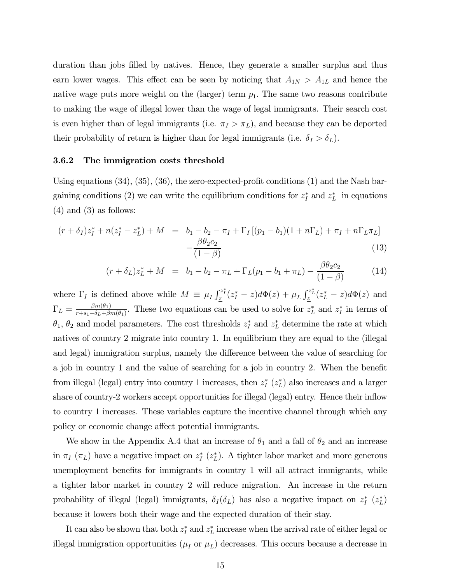duration than jobs filled by natives. Hence, they generate a smaller surplus and thus earn lower wages. This effect can be seen by noticing that  $A_{1N} > A_{1L}$  and hence the native wage puts more weight on the (larger) term  $p_1$ . The same two reasons contribute to making the wage of illegal lower than the wage of legal immigrants. Their search cost is even higher than of legal immigrants (i.e.  $\pi_I > \pi_L$ ), and because they can be deported their probability of return is higher than for legal immigrants (i.e.  $\delta_I > \delta_L$ ).

#### 3.6.2 The immigration costs threshold

Using equations (34), (35), (36), the zero-expected-profit conditions (1) and the Nash bargaining conditions (2) we can write the equilibrium conditions for  $z_I^*$  and  $z_L^*$  in equations  $(4)$  and  $(3)$  as follows:

$$
(r + \delta_I)z_I^* + n(z_I^* - z_L^*) + M = b_1 - b_2 - \pi_I + \Gamma_I [(p_1 - b_1)(1 + n\Gamma_L) + \pi_I + n\Gamma_L \pi_L] - \frac{\beta \theta_2 c_2}{(1 - \beta)}
$$
\n(13)

$$
(r + \delta_L)z_L^* + M = b_1 - b_2 - \pi_L + \Gamma_L(p_1 - b_1 + \pi_L) - \frac{\beta \theta_2 c_2}{(1 - \beta)}
$$
(14)

where  $\Gamma_I$  is defined above while  $M \equiv \mu_I \int_{\underline{z}}^{z_I^*}(z_I^* - z) d\Phi(z) + \mu_L \int_{\underline{z}}^{z_L^*}(z_L^* - z) d\Phi(z)$  and  $\Gamma_L = \frac{\beta m(\theta_1)}{r+s_1+\delta_L+\beta m(\theta_1)}$ . These two equations can be used to solve for  $z_L^*$  and  $z_I^*$  in terms of  $\theta_1$ ,  $\theta_2$  and model parameters. The cost thresholds  $z_I^*$  and  $z_L^*$  determine the rate at which natives of country 2 migrate into country 1. In equilibrium they are equal to the (illegal and legal) immigration surplus, namely the difference between the value of searching for a job in country 1 and the value of searching for a job in country 2. When the benefit from illegal (legal) entry into country 1 increases, then  $z_I^*$   $(z_L^*)$  also increases and a larger share of country-2 workers accept opportunities for illegal (legal) entry. Hence their inflow to country 1 increases. These variables capture the incentive channel through which any policy or economic change affect potential immigrants.

We show in the Appendix A.4 that an increase of  $\theta_1$  and a fall of  $\theta_2$  and an increase in  $\pi_I(\pi_L)$  have a negative impact on  $z_I^*(z_L^*)$ . A tighter labor market and more generous unemployment benefits for immigrants in country 1 will all attract immigrants, while a tighter labor market in country 2 will reduce migration. An increase in the return probability of illegal (legal) immigrants,  $\delta_I(\delta_L)$  has also a negative impact on  $z_I^*$   $(z_L^*)$ because it lowers both their wage and the expected duration of their stay.

It can also be shown that both  $z_I^*$  and  $z_L^*$  increase when the arrival rate of either legal or illegal immigration opportunities  $(\mu_I \text{ or } \mu_L)$  decreases. This occurs because a decrease in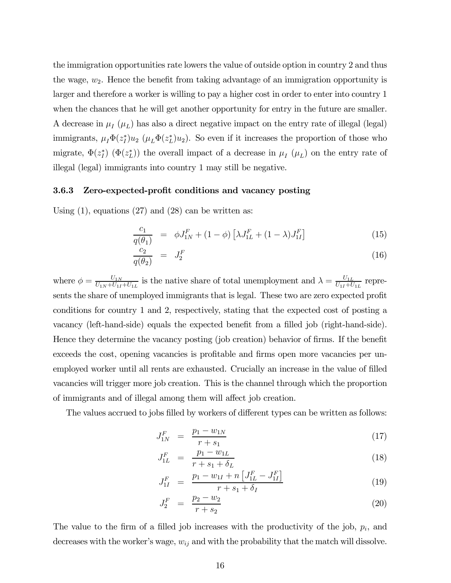the immigration opportunities rate lowers the value of outside option in country 2 and thus the wage,  $w_2$ . Hence the benefit from taking advantage of an immigration opportunity is larger and therefore a worker is willing to pay a higher cost in order to enter into country 1 when the chances that he will get another opportunity for entry in the future are smaller. A decrease in  $\mu_I(\mu_L)$  has also a direct negative impact on the entry rate of illegal (legal) immigrants,  $\mu_I \Phi(z_I^*) u_2 \ (\mu_L \Phi(z_L^*) u_2)$ . So even if it increases the proportion of those who migrate,  $\Phi(z_I^*) (\Phi(z_L^*))$  the overall impact of a decrease in  $\mu_I(\mu_L)$  on the entry rate of illegal (legal) immigrants into country 1 may still be negative.

#### 3.6.3 Zero-expected-profit conditions and vacancy posting

Using  $(1)$ , equations  $(27)$  and  $(28)$  can be written as:

$$
\frac{c_1}{q(\theta_1)} = \phi J_{1N}^F + (1 - \phi) \left[ \lambda J_{1L}^F + (1 - \lambda) J_{1I}^F \right]
$$
\n(15)

$$
\frac{c_2}{q(\theta_2)} = J_2^F \tag{16}
$$

where  $\phi = \frac{U_{1N}}{U_{1N} + U_{1I} + U_{1L}}$  is the native share of total unemployment and  $\lambda = \frac{U_{1L}}{U_{1I} + U_{1L}}$  represents the share of unemployed immigrants that is legal. These two are zero expected profit conditions for country 1 and 2, respectively, stating that the expected cost of posting a vacancy (left-hand-side) equals the expected benefit from a filled job (right-hand-side). Hence they determine the vacancy posting (job creation) behavior of firms. If the benefit exceeds the cost, opening vacancies is profitable and firms open more vacancies per unemployed worker until all rents are exhausted. Crucially an increase in the value of filled vacancies will trigger more job creation. This is the channel through which the proportion of immigrants and of illegal among them will affect job creation.

The values accrued to jobs filled by workers of different types can be written as follows:

$$
J_{1N}^F = \frac{p_1 - w_{1N}}{r + s_1} \tag{17}
$$

$$
J_{1L}^F = \frac{p_1 - w_{1L}}{r + s_1 + \delta_L} \tag{18}
$$

$$
J_{1I}^F = \frac{p_1 - w_{1I} + n \left[ J_{1L}^F - J_{1I}^F \right]}{r + s_1 + \delta_I} \tag{19}
$$

$$
J_2^F = \frac{p_2 - w_2}{r + s_2} \tag{20}
$$

The value to the firm of a filled job increases with the productivity of the job,  $p_i$ , and decreases with the worker's wage,  $w_{ij}$  and with the probability that the match will dissolve.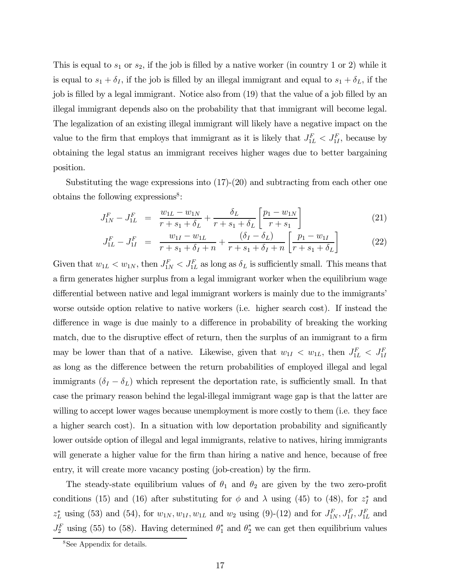This is equal to  $s_1$  or  $s_2$ , if the job is filled by a native worker (in country 1 or 2) while it is equal to  $s_1 + \delta_I$ , if the job is filled by an illegal immigrant and equal to  $s_1 + \delta_L$ , if the job is filled by a legal immigrant. Notice also from (19) that the value of a job filled by an illegal immigrant depends also on the probability that that immigrant will become legal. The legalization of an existing illegal immigrant will likely have a negative impact on the value to the firm that employs that immigrant as it is likely that  $J_{1L}^F < J_{1L}^F$ , because by obtaining the legal status an immigrant receives higher wages due to better bargaining position.

Substituting the wage expressions into (17)-(20) and subtracting from each other one obtains the following expressions<sup>8</sup>:

$$
J_{1N}^{F} - J_{1L}^{F} = \frac{w_{1L} - w_{1N}}{r + s_1 + \delta_L} + \frac{\delta_L}{r + s_1 + \delta_L} \left[ \frac{p_1 - w_{1N}}{r + s_1} \right]
$$
(21)

$$
J_{1L}^F - J_{1I}^F = \frac{w_{1I} - w_{1L}}{r + s_1 + \delta_I + n} + \frac{(\delta_I - \delta_L)}{r + s_1 + \delta_I + n} \left[ \frac{p_1 - w_{1I}}{r + s_1 + \delta_L} \right]
$$
(22)

Given that  $w_{1L} < w_{1N}$ , then  $J_{1N}^F < J_{1L}^F$  as long as  $\delta_L$  is sufficiently small. This means that a firm generates higher surplus from a legal immigrant worker when the equilibrium wage differential between native and legal immigrant workers is mainly due to the immigrants' worse outside option relative to native workers (i.e. higher search cost). If instead the difference in wage is due mainly to a difference in probability of breaking the working match, due to the disruptive effect of return, then the surplus of an immigrant to a firm may be lower than that of a native. Likewise, given that  $w_{1I} < w_{1L}$ , then  $J_{1L}^F < J_{1I}^F$ as long as the difference between the return probabilities of employed illegal and legal immigrants  $(\delta_I - \delta_L)$  which represent the deportation rate, is sufficiently small. In that case the primary reason behind the legal-illegal immigrant wage gap is that the latter are willing to accept lower wages because unemployment is more costly to them (i.e. they face a higher search cost). In a situation with low deportation probability and significantly lower outside option of illegal and legal immigrants, relative to natives, hiring immigrants will generate a higher value for the firm than hiring a native and hence, because of free entry, it will create more vacancy posting (job-creation) by the firm.

The steady-state equilibrium values of  $\theta_1$  and  $\theta_2$  are given by the two zero-profit conditions (15) and (16) after substituting for  $\phi$  and  $\lambda$  using (45) to (48), for  $z_I^*$  and  $z_L^*$  using (53) and (54), for  $w_{1N}, w_{1I}, w_{1L}$  and  $w_2$  using (9)-(12) and for  $J_{1N}^F, J_{1I}^F, J_{1L}^F$  and  $J_2^F$  using (55) to (58). Having determined  $\theta_1^*$  and  $\theta_2^*$  we can get then equilibrium values

<sup>&</sup>lt;sup>8</sup>See Appendix for details.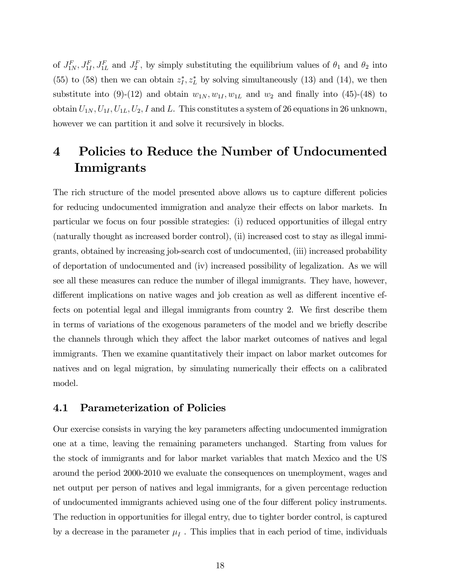of  $J_{1N}^F, J_{1I}^F, J_{1L}^F$  and  $J_2^F$ , by simply substituting the equilibrium values of  $\theta_1$  and  $\theta_2$  into (55) to (58) then we can obtain  $z_I^*, z_L^*$  by solving simultaneously (13) and (14), we then substitute into (9)-(12) and obtain  $w_{1N}, w_{1I}, w_{1L}$  and  $w_2$  and finally into (45)-(48) to obtain  $U_{1N}$ ,  $U_{1I}$ ,  $U_{1L}$ ,  $U_2$ , I and L. This constitutes a system of 26 equations in 26 unknown, however we can partition it and solve it recursively in blocks.

# 4 Policies to Reduce the Number of Undocumented Immigrants

The rich structure of the model presented above allows us to capture different policies for reducing undocumented immigration and analyze their effects on labor markets. In particular we focus on four possible strategies: (i) reduced opportunities of illegal entry (naturally thought as increased border control), (ii) increased cost to stay as illegal immigrants, obtained by increasing job-search cost of undocumented, (iii) increased probability of deportation of undocumented and (iv) increased possibility of legalization. As we will see all these measures can reduce the number of illegal immigrants. They have, however, different implications on native wages and job creation as well as different incentive effects on potential legal and illegal immigrants from country 2. We first describe them in terms of variations of the exogenous parameters of the model and we briefly describe the channels through which they affect the labor market outcomes of natives and legal immigrants. Then we examine quantitatively their impact on labor market outcomes for natives and on legal migration, by simulating numerically their effects on a calibrated model.

#### 4.1 Parameterization of Policies

Our exercise consists in varying the key parameters affecting undocumented immigration one at a time, leaving the remaining parameters unchanged. Starting from values for the stock of immigrants and for labor market variables that match Mexico and the US around the period 2000-2010 we evaluate the consequences on unemployment, wages and net output per person of natives and legal immigrants, for a given percentage reduction of undocumented immigrants achieved using one of the four different policy instruments. The reduction in opportunities for illegal entry, due to tighter border control, is captured by a decrease in the parameter  $\mu_I$ . This implies that in each period of time, individuals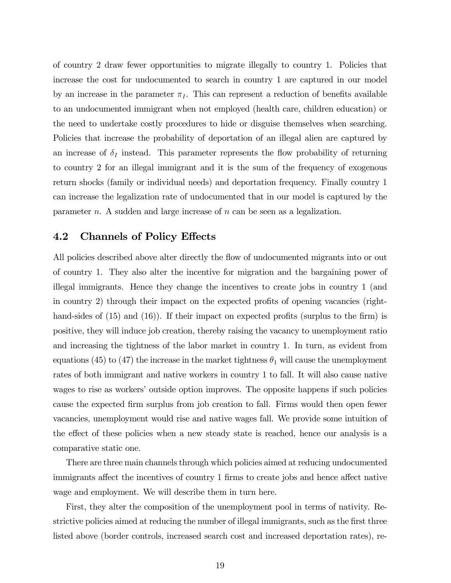of country 2 draw fewer opportunities to migrate illegally to country 1. Policies that increase the cost for undocumented to search in country 1 are captured in our model by an increase in the parameter  $\pi_I$ . This can represent a reduction of benefits available to an undocumented immigrant when not employed (health care, children education) or the need to undertake costly procedures to hide or disguise themselves when searching. Policies that increase the probability of deportation of an illegal alien are captured by an increase of  $\delta_I$  instead. This parameter represents the flow probability of returning to country 2 for an illegal immigrant and it is the sum of the frequency of exogenous return shocks (family or individual needs) and deportation frequency. Finally country 1 can increase the legalization rate of undocumented that in our model is captured by the parameter  $n$ . A sudden and large increase of  $n$  can be seen as a legalization.

### 4.2 Channels of Policy Effects

All policies described above alter directly the flow of undocumented migrants into or out of country 1. They also alter the incentive for migration and the bargaining power of illegal immigrants. Hence they change the incentives to create jobs in country 1 (and in country 2) through their impact on the expected profits of opening vacancies (righthand-sides of (15) and (16)). If their impact on expected profits (surplus to the firm) is positive, they will induce job creation, thereby raising the vacancy to unemployment ratio and increasing the tightness of the labor market in country 1. In turn, as evident from equations (45) to (47) the increase in the market tightness  $\theta_1$  will cause the unemployment rates of both immigrant and native workers in country 1 to fall. It will also cause native wages to rise as workers' outside option improves. The opposite happens if such policies cause the expected firm surplus from job creation to fall. Firms would then open fewer vacancies, unemployment would rise and native wages fall. We provide some intuition of the effect of these policies when a new steady state is reached, hence our analysis is a comparative static one.

There are three main channels through which policies aimed at reducing undocumented immigrants affect the incentives of country 1 firms to create jobs and hence affect native wage and employment. We will describe them in turn here.

First, they alter the composition of the unemployment pool in terms of nativity. Restrictive policies aimed at reducing the number of illegal immigrants, such as the first three listed above (border controls, increased search cost and increased deportation rates), re-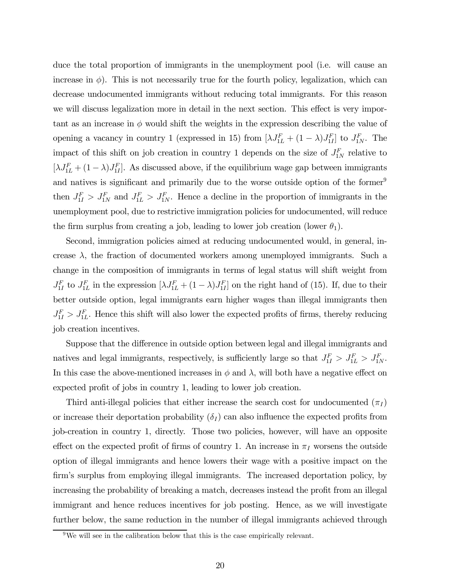duce the total proportion of immigrants in the unemployment pool (i.e. will cause an increase in  $\phi$ ). This is not necessarily true for the fourth policy, legalization, which can decrease undocumented immigrants without reducing total immigrants. For this reason we will discuss legalization more in detail in the next section. This effect is very important as an increase in  $\phi$  would shift the weights in the expression describing the value of opening a vacancy in country 1 (expressed in 15) from  $[\lambda J_{1L}^F + (1 - \lambda)J_{1I}^F]$  to  $J_{1N}^F$ . The impact of this shift on job creation in country 1 depends on the size of  $J_{1N}^F$  relative to  $[\lambda J_{1L}^F + (1 - \lambda)J_{1I}^F]$ . As discussed above, if the equilibrium wage gap between immigrants and natives is significant and primarily due to the worse outside option of the former<sup>9</sup> then  $J_{1I}^F > J_{1N}^F$  and  $J_{1L}^F > J_{1N}^F$ . Hence a decline in the proportion of immigrants in the unemployment pool, due to restrictive immigration policies for undocumented, will reduce the firm surplus from creating a job, leading to lower job creation (lower  $\theta_1$ ).

Second, immigration policies aimed at reducing undocumented would, in general, increase  $\lambda$ , the fraction of documented workers among unemployed immigrants. Such a change in the composition of immigrants in terms of legal status will shift weight from  $J_{1I}^F$  to  $J_{1L}^F$  in the expression  $[\lambda J_{1L}^F + (1 - \lambda)J_{1I}^F]$  on the right hand of (15). If, due to their better outside option, legal immigrants earn higher wages than illegal immigrants then  $J_{1I}^F > J_{1L}^F$ . Hence this shift will also lower the expected profits of firms, thereby reducing job creation incentives.

Suppose that the difference in outside option between legal and illegal immigrants and natives and legal immigrants, respectively, is sufficiently large so that  $J_{1I}^F > J_{1L}^F > J_{1N}^F$ . In this case the above-mentioned increases in  $\phi$  and  $\lambda$ , will both have a negative effect on expected profit of jobs in country 1, leading to lower job creation.

Third anti-illegal policies that either increase the search cost for undocumented  $(\pi_I)$ or increase their deportation probability  $(\delta_I)$  can also influence the expected profits from job-creation in country 1, directly. Those two policies, however, will have an opposite effect on the expected profit of firms of country 1. An increase in  $\pi_I$  worsens the outside option of illegal immigrants and hence lowers their wage with a positive impact on the firm's surplus from employing illegal immigrants. The increased deportation policy, by increasing the probability of breaking a match, decreases instead the profit from an illegal immigrant and hence reduces incentives for job posting. Hence, as we will investigate further below, the same reduction in the number of illegal immigrants achieved through

 $9$ We will see in the calibration below that this is the case empirically relevant.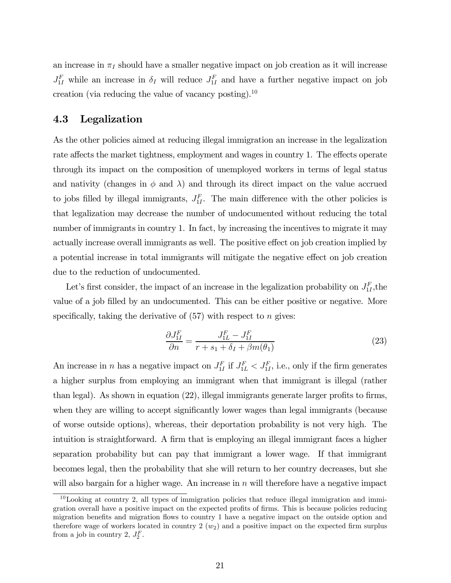an increase in  $\pi_I$  should have a smaller negative impact on job creation as it will increase  $J_{1I}^F$  while an increase in  $\delta_I$  will reduce  $J_{1I}^F$  and have a further negative impact on job creation (via reducing the value of vacancy posting).<sup>10</sup>

## 4.3 Legalization

As the other policies aimed at reducing illegal immigration an increase in the legalization rate affects the market tightness, employment and wages in country 1. The effects operate through its impact on the composition of unemployed workers in terms of legal status and nativity (changes in  $\phi$  and  $\lambda$ ) and through its direct impact on the value accrued to jobs filled by illegal immigrants,  $J_{1I}^F$ . The main difference with the other policies is that legalization may decrease the number of undocumented without reducing the total number of immigrants in country 1. In fact, by increasing the incentives to migrate it may actually increase overall immigrants as well. The positive effect on job creation implied by a potential increase in total immigrants will mitigate the negative effect on job creation due to the reduction of undocumented.

Let's first consider, the impact of an increase in the legalization probability on  $J_{1I}^F$ , the value of a job filled by an undocumented. This can be either positive or negative. More specifically, taking the derivative of  $(57)$  with respect to *n* gives:

$$
\frac{\partial J_{1I}^F}{\partial n} = \frac{J_{1L}^F - J_{1I}^F}{r + s_1 + \delta_I + \beta m(\theta_1)}\tag{23}
$$

An increase in *n* has a negative impact on  $J_{1I}^F$  if  $J_{1L}^F < J_{1I}^F$ , i.e., only if the firm generates a higher surplus from employing an immigrant when that immigrant is illegal (rather than legal). As shown in equation (22), illegal immigrants generate larger profits to firms, when they are willing to accept significantly lower wages than legal immigrants (because of worse outside options), whereas, their deportation probability is not very high. The intuition is straightforward. A firm that is employing an illegal immigrant faces a higher separation probability but can pay that immigrant a lower wage. If that immigrant becomes legal, then the probability that she will return to her country decreases, but she will also bargain for a higher wage. An increase in  $n$  will therefore have a negative impact

 $10$ Looking at country 2, all types of immigration policies that reduce illegal immigration and immigration overall have a positive impact on the expected profits of firms. This is because policies reducing migration benefits and migration flows to country 1 have a negative impact on the outside option and therefore wage of workers located in country  $2(w_2)$  and a positive impact on the expected firm surplus from a job in country 2,  $J_2^F$ .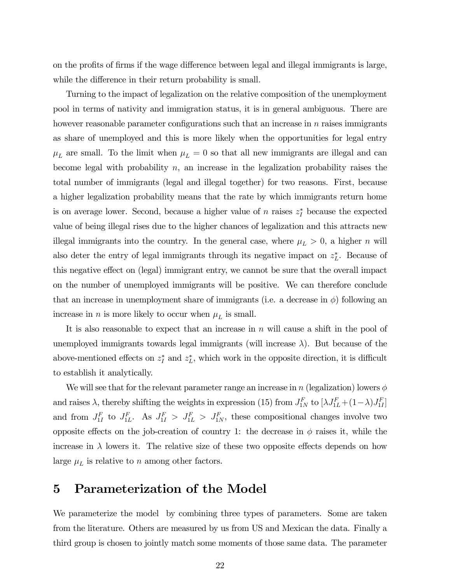on the profits of firms if the wage difference between legal and illegal immigrants is large, while the difference in their return probability is small.

Turning to the impact of legalization on the relative composition of the unemployment pool in terms of nativity and immigration status, it is in general ambiguous. There are however reasonable parameter configurations such that an increase in  $n$  raises immigrants as share of unemployed and this is more likely when the opportunities for legal entry  $\mu_L$  are small. To the limit when  $\mu_L = 0$  so that all new immigrants are illegal and can become legal with probability  $n$ , an increase in the legalization probability raises the total number of immigrants (legal and illegal together) for two reasons. First, because a higher legalization probability means that the rate by which immigrants return home is on average lower. Second, because a higher value of  $n$  raises  $z_I^*$  because the expected value of being illegal rises due to the higher chances of legalization and this attracts new illegal immigrants into the country. In the general case, where  $\mu_L > 0$ , a higher *n* will also deter the entry of legal immigrants through its negative impact on  $z_L^*$ . Because of this negative effect on (legal) immigrant entry, we cannot be sure that the overall impact on the number of unemployed immigrants will be positive. We can therefore conclude that an increase in unemployment share of immigrants (i.e. a decrease in  $\phi$ ) following an increase in  $n$  is more likely to occur when  $\mu_L$  is small.

It is also reasonable to expect that an increase in  $n$  will cause a shift in the pool of unemployed immigrants towards legal immigrants (will increase  $\lambda$ ). But because of the above-mentioned effects on  $z_I^*$  and  $z_L^*$ , which work in the opposite direction, it is difficult to establish it analytically.

We will see that for the relevant parameter range an increase in  $n$  (legalization) lowers  $\phi$ and raises  $\lambda$ , thereby shifting the weights in expression (15) from  $J_{1N}^F$  to  $[\lambda J_{1L}^F + (1-\lambda)J_{1I}^F]$ and from  $J_{1I}^F$  to  $J_{1L}^F$ . As  $J_{1I}^F > J_{1L}^F > J_{1N}^F$ , these compositional changes involve two opposite effects on the job-creation of country 1: the decrease in  $\phi$  raises it, while the increase in  $\lambda$  lowers it. The relative size of these two opposite effects depends on how large  $\mu_L$  is relative to  $n$  among other factors.

# 5 Parameterization of the Model

We parameterize the model by combining three types of parameters. Some are taken from the literature. Others are measured by us from US and Mexican the data. Finally a third group is chosen to jointly match some moments of those same data. The parameter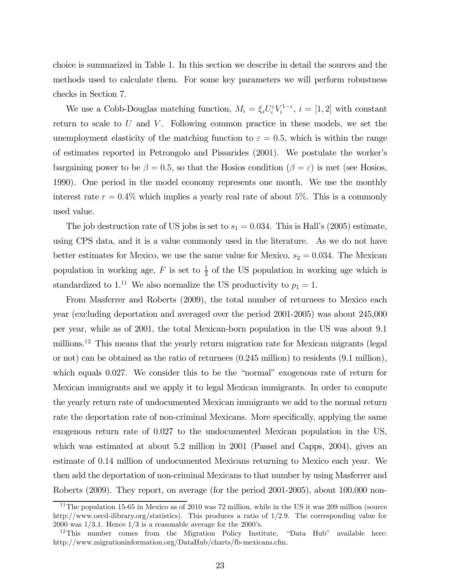choice is summarized in Table 1. In this section we describe in detail the sources and the methods used to calculate them. For some key parameters we will perform robustness checks in Section 7.

We use a Cobb-Douglas matching function,  $M_i = \xi_i U_i^{\varepsilon} V_i^{1-\varepsilon}, i = [1, 2]$  with constant return to scale to  $U$  and  $V$ . Following common practice in these models, we set the unemployment elasticity of the matching function to  $\varepsilon = 0.5$ , which is within the range of estimates reported in Petrongolo and Pissarides (2001). We postulate the worker's bargaining power to be  $\beta = 0.5$ , so that the Hosios condition  $(\beta = \varepsilon)$  is met (see Hosios, 1990). One period in the model economy represents one month. We use the monthly interest rate  $r = 0.4\%$  which implies a yearly real rate of about 5%. This is a commonly used value.

The job destruction rate of US jobs is set to  $s_1 = 0.034$ . This is Hall's (2005) estimate, using CPS data, and it is a value commonly used in the literature. As we do not have better estimates for Mexico, we use the same value for Mexico,  $s_2 = 0.034$ . The Mexican population in working age,  $F$  is set to  $\frac{1}{3}$  of the US population in working age which is standardized to 1.<sup>11</sup> We also normalize the US productivity to  $p_1 = 1$ .

From Masferrer and Roberts (2009), the total number of returnees to Mexico each year (excluding deportation and averaged over the period 2001-2005) was about 245,000 per year, while as of 2001, the total Mexican-born population in the US was about 9.1 millions.<sup>12</sup> This means that the yearly return migration rate for Mexican migrants (legal or not) can be obtained as the ratio of returnees (0.245 million) to residents (9.1 million), which equals 0.027. We consider this to be the "normal" exogenous rate of return for Mexican immigrants and we apply it to legal Mexican immigrants. In order to compute the yearly return rate of undocumented Mexican immigrants we add to the normal return rate the deportation rate of non-criminal Mexicans. More specifically, applying the same exogenous return rate of 0.027 to the undocumented Mexican population in the US, which was estimated at about 5.2 million in 2001 (Passel and Capps, 2004), gives an estimate of 0.14 million of undocumented Mexicans returning to Mexico each year. We then add the deportation of non-criminal Mexicans to that number by using Masferrer and Roberts (2009). They report, on average (for the period 2001-2005), about 100,000 non-

<sup>&</sup>lt;sup>11</sup>The population 15-65 in Mexico as of 2010 was 72 million, while in the US it was 209 million (source http://www.oecd-ilibrary.org/statistics). This produces a ratio of 1/2.9. The corresponding value for 2000 was  $1/3.1$ . Hence  $1/3$  is a reasonable average for the 2000's.

<sup>&</sup>lt;sup>12</sup>This number comes from the Migration Policy Institute, "Data Hub" available here: http://www.migrationinformation.org/DataHub/charts/fb-mexicans.cfm.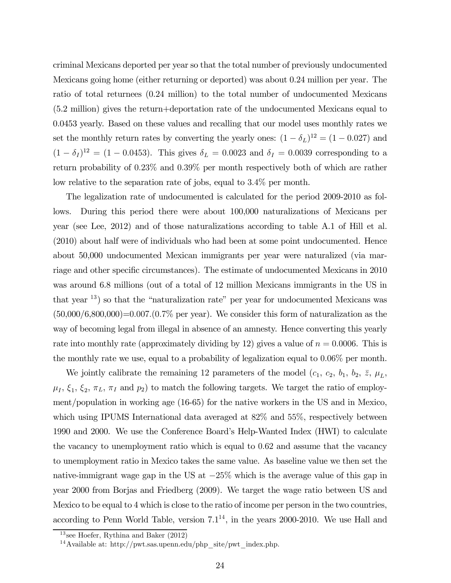criminal Mexicans deported per year so that the total number of previously undocumented Mexicans going home (either returning or deported) was about 0.24 million per year. The ratio of total returnees (0.24 million) to the total number of undocumented Mexicans (5.2 million) gives the return+deportation rate of the undocumented Mexicans equal to 0.0453 yearly. Based on these values and recalling that our model uses monthly rates we set the monthly return rates by converting the yearly ones:  $(1 - \delta_L)^{12} = (1 - 0.027)$  and  $(1 - \delta_I)^{12} = (1 - 0.0453)$ . This gives  $\delta_L = 0.0023$  and  $\delta_I = 0.0039$  corresponding to a return probability of 023% and 039% per month respectively both of which are rather low relative to the separation rate of jobs, equal to 34% per month.

The legalization rate of undocumented is calculated for the period 2009-2010 as follows. During this period there were about 100,000 naturalizations of Mexicans per year (see Lee, 2012) and of those naturalizations according to table A.1 of Hill et al. (2010) about half were of individuals who had been at some point undocumented. Hence about 50,000 undocumented Mexican immigrants per year were naturalized (via marriage and other specific circumstances). The estimate of undocumented Mexicans in 2010 was around 6.8 millions (out of a total of 12 million Mexicans immigrants in the US in that year 13) so that the "naturalization rate" per year for undocumented Mexicans was  $(50,000/6,800,000)$ =0.007. $(0.7\%$  per year). We consider this form of naturalization as the way of becoming legal from illegal in absence of an amnesty. Hence converting this yearly rate into monthly rate (approximately dividing by 12) gives a value of  $n = 0.0006$ . This is the monthly rate we use, equal to a probability of legalization equal to  $0.06\%$  per month.

We jointly calibrate the remaining 12 parameters of the model  $(c_1, c_2, b_1, b_2, \overline{z}, \mu_L,$  $\mu_I, \xi_1, \xi_2, \pi_L, \pi_I$  and  $p_2$ ) to match the following targets. We target the ratio of employment/population in working age (16-65) for the native workers in the US and in Mexico, which using IPUMS International data averaged at 82% and 55%, respectively between 1990 and 2000. We use the Conference Board's Help-Wanted Index (HWI) to calculate the vacancy to unemployment ratio which is equal to 062 and assume that the vacancy to unemployment ratio in Mexico takes the same value. As baseline value we then set the native-immigrant wage gap in the US at  $-25\%$  which is the average value of this gap in year 2000 from Borjas and Friedberg (2009). We target the wage ratio between US and Mexico to be equal to 4 which is close to the ratio of income per person in the two countries, according to Penn World Table, version  $7.1^{14}$ , in the years 2000-2010. We use Hall and

 $13$  see Hoefer, Rythina and Baker  $(2012)$ 

<sup>&</sup>lt;sup>14</sup>Available at: http://pwt.sas.upenn.edu/php\_site/pwt\_index.php.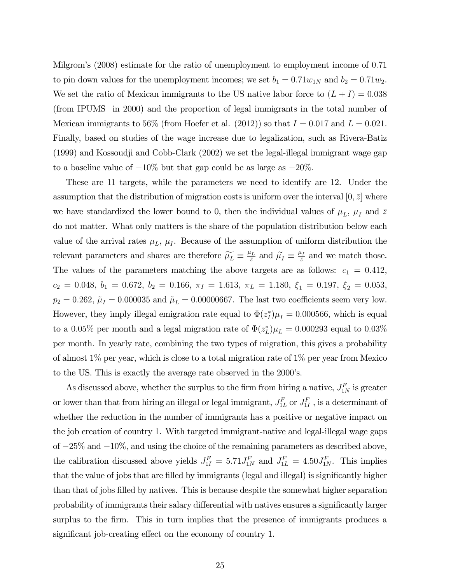Milgrom's (2008) estimate for the ratio of unemployment to employment income of 071 to pin down values for the unemployment incomes; we set  $b_1 = 0.71 w_{1N}$  and  $b_2 = 0.71 w_2$ . We set the ratio of Mexican immigrants to the US native labor force to  $(L + I) = 0.038$ (from IPUMS in 2000) and the proportion of legal immigrants in the total number of Mexican immigrants to 56% (from Hoefer et al. (2012)) so that  $I = 0.017$  and  $L = 0.021$ . Finally, based on studies of the wage increase due to legalization, such as Rivera-Batiz (1999) and Kossoudji and Cobb-Clark (2002) we set the legal-illegal immigrant wage gap to a baseline value of  $-10\%$  but that gap could be as large as  $-20\%$ .

These are 11 targets, while the parameters we need to identify are 12. Under the assumption that the distribution of migration costs is uniform over the interval  $[0, \overline{z}]$  where we have standardized the lower bound to 0, then the individual values of  $\mu_L$ ,  $\mu_I$  and  $\bar{z}$ do not matter. What only matters is the share of the population distribution below each value of the arrival rates  $\mu_L$ ,  $\mu_I$ . Because of the assumption of uniform distribution the relevant parameters and shares are therefore  $\widetilde{\mu_L} \equiv \frac{\mu_L}{\bar{z}}$  and  $\widetilde{\mu_I} \equiv \frac{\mu_I}{\bar{z}}$  and we match those. The values of the parameters matching the above targets are as follows:  $c_1 = 0.412$ ,  $c_2 = 0.048, b_1 = 0.672, b_2 = 0.166, \pi_I = 1.613, \pi_L = 1.180, \xi_1 = 0.197, \xi_2 = 0.053,$  $p_2 = 0.262$ ,  $\tilde{\mu}_I = 0.000035$  and  $\tilde{\mu}_L = 0.00000667$ . The last two coefficients seem very low. However, they imply illegal emigration rate equal to  $\Phi(z_I^*)\mu_I = 0.000566$ , which is equal to a 0.05% per month and a legal migration rate of  $\Phi(z_L^*)\mu_L = 0.000293$  equal to  $0.03\%$ per month. In yearly rate, combining the two types of migration, this gives a probability of almost 1% per year, which is close to a total migration rate of 1% per year from Mexico to the US. This is exactly the average rate observed in the 2000's.

As discussed above, whether the surplus to the firm from hiring a native,  $J_{1N}^F$  is greater or lower than that from hiring an illegal or legal immigrant,  $J_{1L}^F$  or  $J_{1I}^F$ , is a determinant of whether the reduction in the number of immigrants has a positive or negative impact on the job creation of country 1. With targeted immigrant-native and legal-illegal wage gaps of −25% and −10%, and using the choice of the remaining parameters as described above, the calibration discussed above yields  $J_{1I}^F = 5.71 J_{1N}^F$  and  $J_{1L}^F = 4.50 J_{1N}^F$ . This implies that the value of jobs that are filled by immigrants (legal and illegal) is significantly higher than that of jobs filled by natives. This is because despite the somewhat higher separation probability of immigrants their salary differential with natives ensures a significantly larger surplus to the firm. This in turn implies that the presence of immigrants produces a significant job-creating effect on the economy of country 1.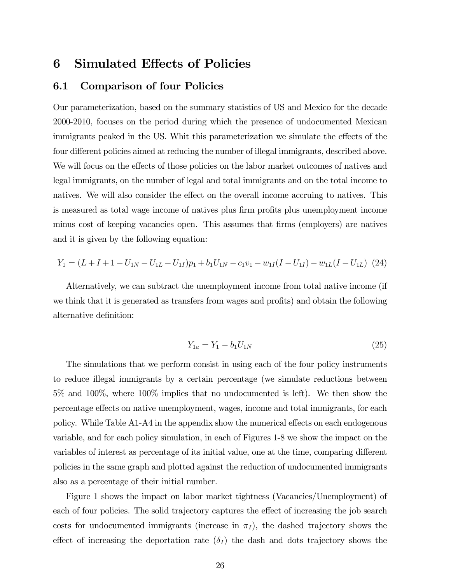# 6 Simulated Effects of Policies

# 6.1 Comparison of four Policies

Our parameterization, based on the summary statistics of US and Mexico for the decade 2000-2010, focuses on the period during which the presence of undocumented Mexican immigrants peaked in the US. Whit this parameterization we simulate the effects of the four different policies aimed at reducing the number of illegal immigrants, described above. We will focus on the effects of those policies on the labor market outcomes of natives and legal immigrants, on the number of legal and total immigrants and on the total income to natives. We will also consider the effect on the overall income accruing to natives. This is measured as total wage income of natives plus firm profits plus unemployment income minus cost of keeping vacancies open. This assumes that firms (employers) are natives and it is given by the following equation:

$$
Y_1 = (L + I + 1 - U_{1N} - U_{1L} - U_{1I})p_1 + b_1U_{1N} - c_1v_1 - w_{1I}(I - U_{1I}) - w_{1L}(I - U_{1L})
$$
 (24)

Alternatively, we can subtract the unemployment income from total native income (if we think that it is generated as transfers from wages and profits) and obtain the following alternative definition:

$$
Y_{1a} = Y_1 - b_1 U_{1N} \tag{25}
$$

The simulations that we perform consist in using each of the four policy instruments to reduce illegal immigrants by a certain percentage (we simulate reductions between 5% and 100%, where 100% implies that no undocumented is left). We then show the percentage effects on native unemployment, wages, income and total immigrants, for each policy. While Table A1-A4 in the appendix show the numerical effects on each endogenous variable, and for each policy simulation, in each of Figures 1-8 we show the impact on the variables of interest as percentage of its initial value, one at the time, comparing different policies in the same graph and plotted against the reduction of undocumented immigrants also as a percentage of their initial number.

Figure 1 shows the impact on labor market tightness (Vacancies/Unemployment) of each of four policies. The solid trajectory captures the effect of increasing the job search costs for undocumented immigrants (increase in  $\pi_I$ ), the dashed trajectory shows the effect of increasing the deportation rate  $(\delta_I)$  the dash and dots trajectory shows the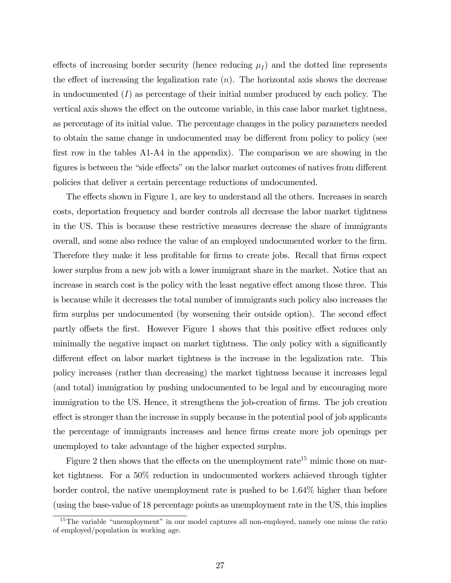effects of increasing border security (hence reducing  $\mu_I$ ) and the dotted line represents the effect of increasing the legalization rate  $(n)$ . The horizontal axis shows the decrease in undocumented  $(I)$  as percentage of their initial number produced by each policy. The vertical axis shows the effect on the outcome variable, in this case labor market tightness, as percentage of its initial value. The percentage changes in the policy parameters needed to obtain the same change in undocumented may be different from policy to policy (see first row in the tables A1-A4 in the appendix). The comparison we are showing in the figures is between the "side effects" on the labor market outcomes of natives from different policies that deliver a certain percentage reductions of undocumented.

The effects shown in Figure 1, are key to understand all the others. Increases in search costs, deportation frequency and border controls all decrease the labor market tightness in the US. This is because these restrictive measures decrease the share of immigrants overall, and some also reduce the value of an employed undocumented worker to the firm. Therefore they make it less profitable for firms to create jobs. Recall that firms expect lower surplus from a new job with a lower immigrant share in the market. Notice that an increase in search cost is the policy with the least negative effect among those three. This is because while it decreases the total number of immigrants such policy also increases the firm surplus per undocumented (by worsening their outside option). The second effect partly offsets the first. However Figure 1 shows that this positive effect reduces only minimally the negative impact on market tightness. The only policy with a significantly different effect on labor market tightness is the increase in the legalization rate. This policy increases (rather than decreasing) the market tightness because it increases legal (and total) immigration by pushing undocumented to be legal and by encouraging more immigration to the US. Hence, it strengthens the job-creation of firms. The job creation effect is stronger than the increase in supply because in the potential pool of job applicants the percentage of immigrants increases and hence firms create more job openings per unemployed to take advantage of the higher expected surplus.

Figure 2 then shows that the effects on the unemployment  $rate^{15}$  mimic those on market tightness. For a 50% reduction in undocumented workers achieved through tighter border control, the native unemployment rate is pushed to be 1.64% higher than before (using the base-value of 18 percentage points as unemployment rate in the US, this implies

<sup>&</sup>lt;sup>15</sup>The variable "unemployment" in our model captures all non-employed, namely one minus the ratio of employed/population in working age.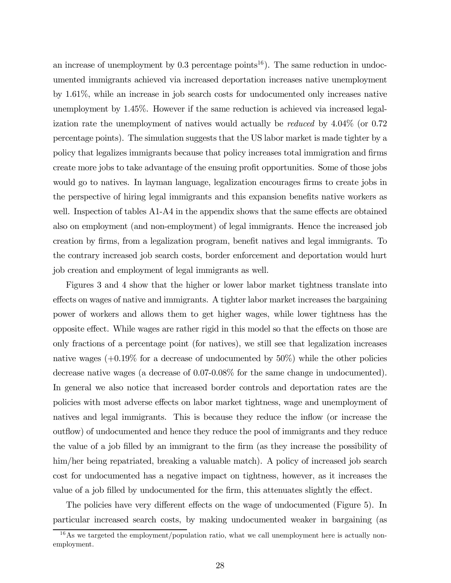an increase of unemployment by  $0.3$  percentage points<sup>16</sup>). The same reduction in undocumented immigrants achieved via increased deportation increases native unemployment by 1.61%, while an increase in job search costs for undocumented only increases native unemployment by 1.45%. However if the same reduction is achieved via increased legalization rate the unemployment of natives would actually be reduced by 4.04% (or 0.72 percentage points). The simulation suggests that the US labor market is made tighter by a policy that legalizes immigrants because that policy increases total immigration and firms create more jobs to take advantage of the ensuing profit opportunities. Some of those jobs would go to natives. In layman language, legalization encourages firms to create jobs in the perspective of hiring legal immigrants and this expansion benefits native workers as well. Inspection of tables A1-A4 in the appendix shows that the same effects are obtained also on employment (and non-employment) of legal immigrants. Hence the increased job creation by firms, from a legalization program, benefit natives and legal immigrants. To the contrary increased job search costs, border enforcement and deportation would hurt job creation and employment of legal immigrants as well.

Figures 3 and 4 show that the higher or lower labor market tightness translate into effects on wages of native and immigrants. A tighter labor market increases the bargaining power of workers and allows them to get higher wages, while lower tightness has the opposite effect. While wages are rather rigid in this model so that the effects on those are only fractions of a percentage point (for natives), we still see that legalization increases native wages  $(+0.19\%$  for a decrease of undocumented by  $50\%$ ) while the other policies decrease native wages (a decrease of 0.07-0.08% for the same change in undocumented). In general we also notice that increased border controls and deportation rates are the policies with most adverse effects on labor market tightness, wage and unemployment of natives and legal immigrants. This is because they reduce the inflow (or increase the outflow) of undocumented and hence they reduce the pool of immigrants and they reduce the value of a job filled by an immigrant to the firm (as they increase the possibility of him/her being repatriated, breaking a valuable match). A policy of increased job search cost for undocumented has a negative impact on tightness, however, as it increases the value of a job filled by undocumented for the firm, this attenuates slightly the effect.

The policies have very different effects on the wage of undocumented (Figure 5). In particular increased search costs, by making undocumented weaker in bargaining (as

 $^{16}$ As we targeted the employment/population ratio, what we call unemployment here is actually nonemployment.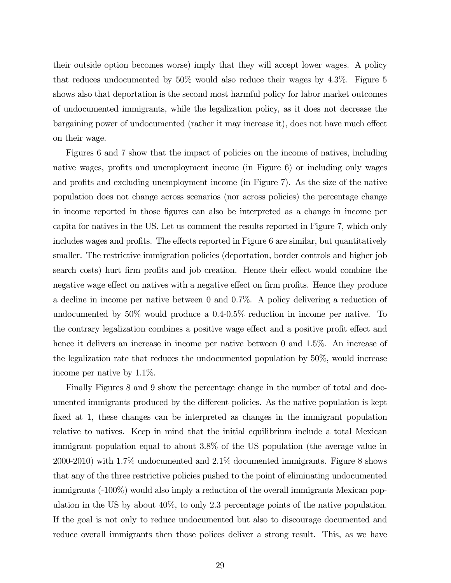their outside option becomes worse) imply that they will accept lower wages. A policy that reduces undocumented by 50% would also reduce their wages by 4.3%. Figure 5 shows also that deportation is the second most harmful policy for labor market outcomes of undocumented immigrants, while the legalization policy, as it does not decrease the bargaining power of undocumented (rather it may increase it), does not have much effect on their wage.

Figures 6 and 7 show that the impact of policies on the income of natives, including native wages, profits and unemployment income (in Figure 6) or including only wages and profits and excluding unemployment income (in Figure 7). As the size of the native population does not change across scenarios (nor across policies) the percentage change in income reported in those figures can also be interpreted as a change in income per capita for natives in the US. Let us comment the results reported in Figure 7, which only includes wages and profits. The effects reported in Figure 6 are similar, but quantitatively smaller. The restrictive immigration policies (deportation, border controls and higher job search costs) hurt firm profits and job creation. Hence their effect would combine the negative wage effect on natives with a negative effect on firm profits. Hence they produce a decline in income per native between 0 and 0.7%. A policy delivering a reduction of undocumented by 50% would produce a 0.4-0.5% reduction in income per native. To the contrary legalization combines a positive wage effect and a positive profit effect and hence it delivers an increase in income per native between 0 and 1.5%. An increase of the legalization rate that reduces the undocumented population by 50%, would increase income per native by 1.1%.

Finally Figures 8 and 9 show the percentage change in the number of total and documented immigrants produced by the different policies. As the native population is kept fixed at 1, these changes can be interpreted as changes in the immigrant population relative to natives. Keep in mind that the initial equilibrium include a total Mexican immigrant population equal to about 3.8% of the US population (the average value in 2000-2010) with 1.7% undocumented and 2.1% documented immigrants. Figure 8 shows that any of the three restrictive policies pushed to the point of eliminating undocumented immigrants (-100%) would also imply a reduction of the overall immigrants Mexican population in the US by about 40%, to only 2.3 percentage points of the native population. If the goal is not only to reduce undocumented but also to discourage documented and reduce overall immigrants then those polices deliver a strong result. This, as we have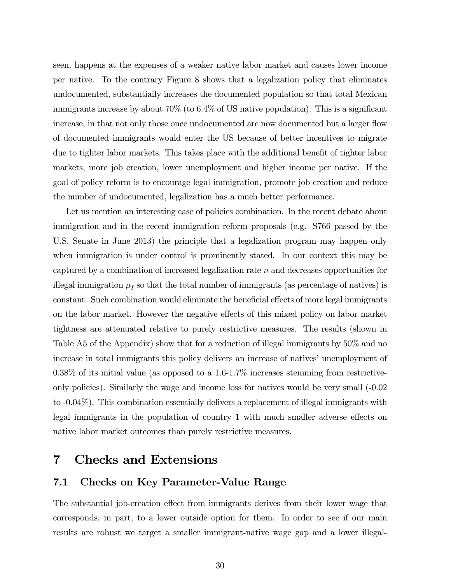seen, happens at the expenses of a weaker native labor market and causes lower income per native. To the contrary Figure 8 shows that a legalization policy that eliminates undocumented, substantially increases the documented population so that total Mexican immigrants increase by about 70% (to 6.4% of US native population). This is a significant increase, in that not only those once undocumented are now documented but a larger flow of documented immigrants would enter the US because of better incentives to migrate due to tighter labor markets. This takes place with the additional benefit of tighter labor markets, more job creation, lower unemployment and higher income per native. If the goal of policy reform is to encourage legal immigration, promote job creation and reduce the number of undocumented, legalization has a much better performance.

Let us mention an interesting case of policies combination. In the recent debate about immigration and in the recent immigration reform proposals (e.g. S766 passed by the U.S. Senate in June 2013) the principle that a legalization program may happen only when immigration is under control is prominently stated. In our context this may be captured by a combination of increased legalization rate  $n$  and decreases opportunities for illegal immigration  $\mu_I$  so that the total number of immigrants (as percentage of natives) is constant. Such combination would eliminate the beneficial effects of more legal immigrants on the labor market. However the negative effects of this mixed policy on labor market tightness are attenuated relative to purely restrictive measures. The results (shown in Table A5 of the Appendix) show that for a reduction of illegal immigrants by 50% and no increase in total immigrants this policy delivers an increase of natives' unemployment of 0.38% of its initial value (as opposed to a 1.6-1.7% increases stemming from restrictiveonly policies). Similarly the wage and income loss for natives would be very small (-0.02 to -0.04%). This combination essentially delivers a replacement of illegal immigrants with legal immigrants in the population of country 1 with much smaller adverse effects on native labor market outcomes than purely restrictive measures.

# 7 Checks and Extensions

### 7.1 Checks on Key Parameter-Value Range

The substantial job-creation effect from immigrants derives from their lower wage that corresponds, in part, to a lower outside option for them. In order to see if our main results are robust we target a smaller immigrant-native wage gap and a lower illegal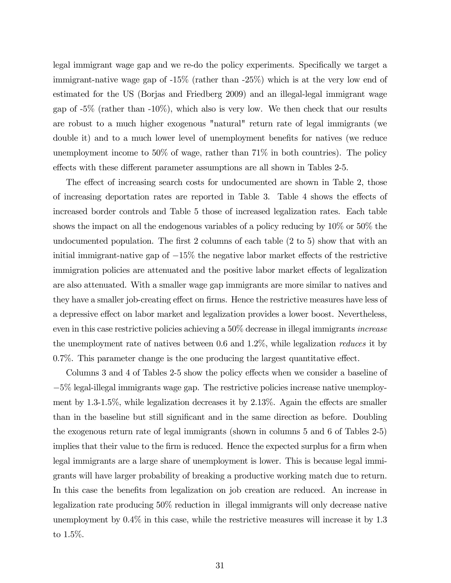legal immigrant wage gap and we re-do the policy experiments. Specifically we target a immigrant-native wage gap of -15% (rather than -25%) which is at the very low end of estimated for the US (Borjas and Friedberg 2009) and an illegal-legal immigrant wage gap of  $-5\%$  (rather than  $-10\%$ ), which also is very low. We then check that our results are robust to a much higher exogenous "natural" return rate of legal immigrants (we double it) and to a much lower level of unemployment benefits for natives (we reduce unemployment income to 50% of wage, rather than  $71\%$  in both countries). The policy effects with these different parameter assumptions are all shown in Tables 2-5.

The effect of increasing search costs for undocumented are shown in Table 2, those of increasing deportation rates are reported in Table 3. Table 4 shows the effects of increased border controls and Table 5 those of increased legalization rates. Each table shows the impact on all the endogenous variables of a policy reducing by 10% or 50% the undocumented population. The first 2 columns of each table (2 to 5) show that with an initial immigrant-native gap of  $-15\%$  the negative labor market effects of the restrictive immigration policies are attenuated and the positive labor market effects of legalization are also attenuated. With a smaller wage gap immigrants are more similar to natives and they have a smaller job-creating effect on firms. Hence the restrictive measures have less of a depressive effect on labor market and legalization provides a lower boost. Nevertheless, even in this case restrictive policies achieving a 50% decrease in illegal immigrants increase the unemployment rate of natives between 0.6 and 1.2%, while legalization reduces it by 0.7%. This parameter change is the one producing the largest quantitative effect.

Columns 3 and 4 of Tables 2-5 show the policy effects when we consider a baseline of −5% legal-illegal immigrants wage gap. The restrictive policies increase native unemployment by 1.3-1.5%, while legalization decreases it by 2.13%. Again the effects are smaller than in the baseline but still significant and in the same direction as before. Doubling the exogenous return rate of legal immigrants (shown in columns 5 and 6 of Tables 2-5) implies that their value to the firm is reduced. Hence the expected surplus for a firm when legal immigrants are a large share of unemployment is lower. This is because legal immigrants will have larger probability of breaking a productive working match due to return. In this case the benefits from legalization on job creation are reduced. An increase in legalization rate producing 50% reduction in illegal immigrants will only decrease native unemployment by 0.4% in this case, while the restrictive measures will increase it by 1.3 to 1.5%.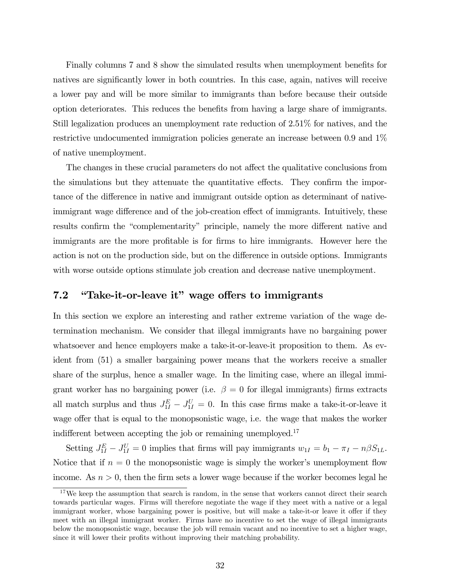Finally columns 7 and 8 show the simulated results when unemployment benefits for natives are significantly lower in both countries. In this case, again, natives will receive a lower pay and will be more similar to immigrants than before because their outside option deteriorates. This reduces the benefits from having a large share of immigrants. Still legalization produces an unemployment rate reduction of 2.51% for natives, and the restrictive undocumented immigration policies generate an increase between 0.9 and 1% of native unemployment.

The changes in these crucial parameters do not affect the qualitative conclusions from the simulations but they attenuate the quantitative effects. They confirm the importance of the difference in native and immigrant outside option as determinant of nativeimmigrant wage difference and of the job-creation effect of immigrants. Intuitively, these results confirm the "complementarity" principle, namely the more different native and immigrants are the more profitable is for firms to hire immigrants. However here the action is not on the production side, but on the difference in outside options. Immigrants with worse outside options stimulate job creation and decrease native unemployment.

# 7.2 "Take-it-or-leave it" wage offers to immigrants

In this section we explore an interesting and rather extreme variation of the wage determination mechanism. We consider that illegal immigrants have no bargaining power whatsoever and hence employers make a take-it-or-leave-it proposition to them. As evident from (51) a smaller bargaining power means that the workers receive a smaller share of the surplus, hence a smaller wage. In the limiting case, where an illegal immigrant worker has no bargaining power (i.e.  $\beta = 0$  for illegal immigrants) firms extracts all match surplus and thus  $J_{1I}^E - J_{1I}^U = 0$ . In this case firms make a take-it-or-leave it wage offer that is equal to the monopsonistic wage, i.e. the wage that makes the worker indifferent between accepting the job or remaining unemployed.<sup>17</sup>

Setting  $J_{1I}^E - J_{1I}^U = 0$  implies that firms will pay immigrants  $w_{1I} = b_1 - \pi_I - n\beta S_{1L}$ . Notice that if  $n = 0$  the monopsonistic wage is simply the worker's unemployment flow income. As  $n > 0$ , then the firm sets a lower wage because if the worker becomes legal he

 $17\,\text{We keep the assumption that search is random, in the sense that workers cannot direct their search.}$ towards particular wages. Firms will therefore negotiate the wage if they meet with a native or a legal immigrant worker, whose bargaining power is positive, but will make a take-it-or leave it offer if they meet with an illegal immigrant worker. Firms have no incentive to set the wage of illegal immigrants below the monopsonistic wage, because the job will remain vacant and no incentive to set a higher wage, since it will lower their profits without improving their matching probability.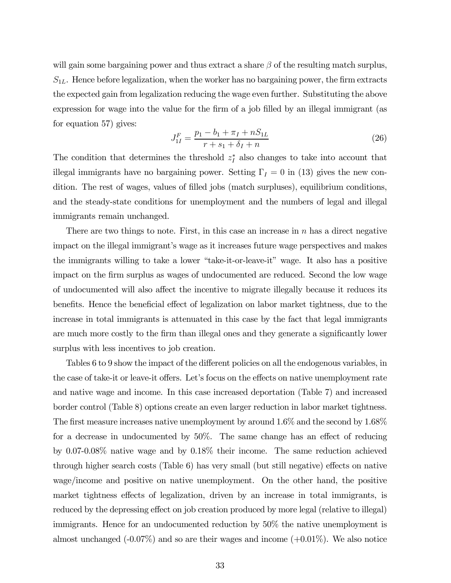will gain some bargaining power and thus extract a share  $\beta$  of the resulting match surplus,  $S_{1L}$ . Hence before legalization, when the worker has no bargaining power, the firm extracts the expected gain from legalization reducing the wage even further. Substituting the above expression for wage into the value for the firm of a job filled by an illegal immigrant (as for equation 57) gives:

$$
J_{1I}^{F} = \frac{p_1 - b_1 + \pi_I + nS_{1L}}{r + s_1 + \delta_I + n}
$$
\n(26)

The condition that determines the threshold  $z_I^*$  also changes to take into account that illegal immigrants have no bargaining power. Setting  $\Gamma_I = 0$  in (13) gives the new condition. The rest of wages, values of filled jobs (match surpluses), equilibrium conditions, and the steady-state conditions for unemployment and the numbers of legal and illegal immigrants remain unchanged.

There are two things to note. First, in this case an increase in  $n$  has a direct negative impact on the illegal immigrant's wage as it increases future wage perspectives and makes the immigrants willing to take a lower "take-it-or-leave-it" wage. It also has a positive impact on the firm surplus as wages of undocumented are reduced. Second the low wage of undocumented will also affect the incentive to migrate illegally because it reduces its benefits. Hence the beneficial effect of legalization on labor market tightness, due to the increase in total immigrants is attenuated in this case by the fact that legal immigrants are much more costly to the firm than illegal ones and they generate a significantly lower surplus with less incentives to job creation.

Tables 6 to 9 show the impact of the different policies on all the endogenous variables, in the case of take-it or leave-it offers. Let's focus on the effects on native unemployment rate and native wage and income. In this case increased deportation (Table 7) and increased border control (Table 8) options create an even larger reduction in labor market tightness. The first measure increases native unemployment by around 1.6% and the second by 1.68% for a decrease in undocumented by 50%. The same change has an effect of reducing by 0.07-0.08% native wage and by 0.18% their income. The same reduction achieved through higher search costs (Table 6) has very small (but still negative) effects on native wage/income and positive on native unemployment. On the other hand, the positive market tightness effects of legalization, driven by an increase in total immigrants, is reduced by the depressing effect on job creation produced by more legal (relative to illegal) immigrants. Hence for an undocumented reduction by 50% the native unemployment is almost unchanged  $(-0.07\%)$  and so are their wages and income  $(+0.01\%)$ . We also notice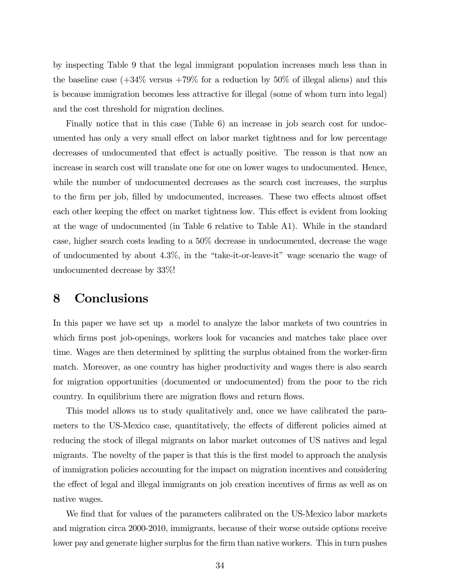by inspecting Table 9 that the legal immigrant population increases much less than in the baseline case  $(+34\% \text{ versus } +79\% \text{ for a reduction by } 50\% \text{ of illegal aliens})$  and this is because immigration becomes less attractive for illegal (some of whom turn into legal) and the cost threshold for migration declines.

Finally notice that in this case (Table 6) an increase in job search cost for undocumented has only a very small effect on labor market tightness and for low percentage decreases of undocumented that effect is actually positive. The reason is that now an increase in search cost will translate one for one on lower wages to undocumented. Hence, while the number of undocumented decreases as the search cost increases, the surplus to the firm per job, filled by undocumented, increases. These two effects almost offset each other keeping the effect on market tightness low. This effect is evident from looking at the wage of undocumented (in Table 6 relative to Table A1). While in the standard case, higher search costs leading to a 50% decrease in undocumented, decrease the wage of undocumented by about 4.3%, in the "take-it-or-leave-it" wage scenario the wage of undocumented decrease by 33%!

# 8 Conclusions

In this paper we have set up a model to analyze the labor markets of two countries in which firms post job-openings, workers look for vacancies and matches take place over time. Wages are then determined by splitting the surplus obtained from the worker-firm match. Moreover, as one country has higher productivity and wages there is also search for migration opportunities (documented or undocumented) from the poor to the rich country. In equilibrium there are migration flows and return flows.

This model allows us to study qualitatively and, once we have calibrated the parameters to the US-Mexico case, quantitatively, the effects of different policies aimed at reducing the stock of illegal migrants on labor market outcomes of US natives and legal migrants. The novelty of the paper is that this is the first model to approach the analysis of immigration policies accounting for the impact on migration incentives and considering the effect of legal and illegal immigrants on job creation incentives of firms as well as on native wages.

We find that for values of the parameters calibrated on the US-Mexico labor markets and migration circa 2000-2010, immigrants, because of their worse outside options receive lower pay and generate higher surplus for the firm than native workers. This in turn pushes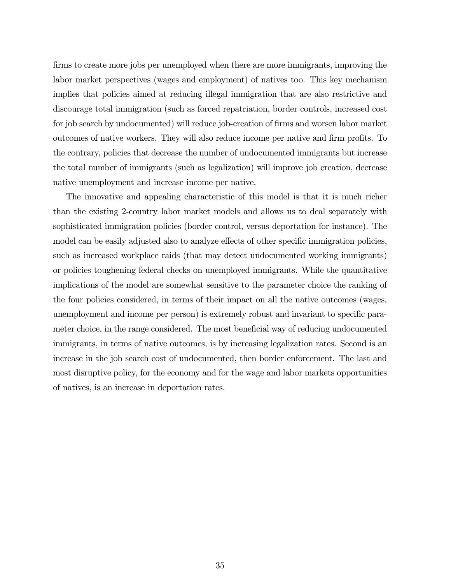firms to create more jobs per unemployed when there are more immigrants, improving the labor market perspectives (wages and employment) of natives too. This key mechanism implies that policies aimed at reducing illegal immigration that are also restrictive and discourage total immigration (such as forced repatriation, border controls, increased cost for job search by undocumented) will reduce job-creation of firms and worsen labor market outcomes of native workers. They will also reduce income per native and firm profits. To the contrary, policies that decrease the number of undocumented immigrants but increase the total number of immigrants (such as legalization) will improve job creation, decrease native unemployment and increase income per native.

The innovative and appealing characteristic of this model is that it is much richer than the existing 2-country labor market models and allows us to deal separately with sophisticated immigration policies (border control, versus deportation for instance). The model can be easily adjusted also to analyze effects of other specific immigration policies, such as increased workplace raids (that may detect undocumented working immigrants) or policies toughening federal checks on unemployed immigrants. While the quantitative implications of the model are somewhat sensitive to the parameter choice the ranking of the four policies considered, in terms of their impact on all the native outcomes (wages, unemployment and income per person) is extremely robust and invariant to specific parameter choice, in the range considered. The most beneficial way of reducing undocumented immigrants, in terms of native outcomes, is by increasing legalization rates. Second is an increase in the job search cost of undocumented, then border enforcement. The last and most disruptive policy, for the economy and for the wage and labor markets opportunities of natives, is an increase in deportation rates.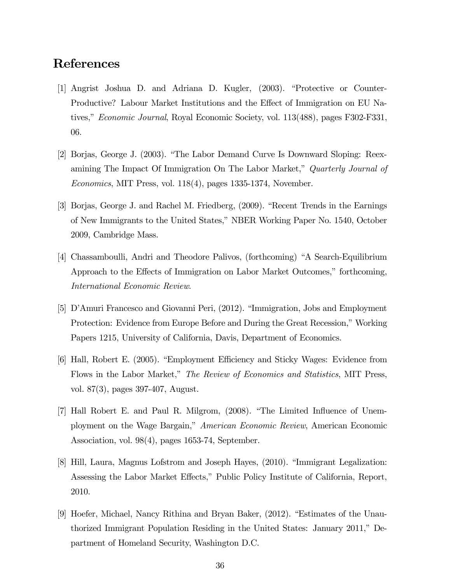# References

- [1] Angrist Joshua D. and Adriana D. Kugler, (2003). "Protective or Counter-Productive? Labour Market Institutions and the Effect of Immigration on EU Natives," Economic Journal, Royal Economic Society, vol. 113(488), pages F302-F331, 06.
- [2] Borjas, George J. (2003). "The Labor Demand Curve Is Downward Sloping: Reexamining The Impact Of Immigration On The Labor Market," Quarterly Journal of Economics, MIT Press, vol. 118(4), pages 1335-1374, November.
- [3] Borjas, George J. and Rachel M. Friedberg, (2009). "Recent Trends in the Earnings of New Immigrants to the United States," NBER Working Paper No. 1540, October 2009, Cambridge Mass.
- [4] Chassamboulli, Andri and Theodore Palivos, (forthcoming) "A Search-Equilibrium Approach to the Effects of Immigration on Labor Market Outcomes," forthcoming, International Economic Review.
- [5] D'Amuri Francesco and Giovanni Peri, (2012). "Immigration, Jobs and Employment Protection: Evidence from Europe Before and During the Great Recession," Working Papers 1215, University of California, Davis, Department of Economics.
- [6] Hall, Robert E. (2005). "Employment Efficiency and Sticky Wages: Evidence from Flows in the Labor Market," The Review of Economics and Statistics, MIT Press, vol. 87(3), pages 397-407, August.
- [7] Hall Robert E. and Paul R. Milgrom, (2008). "The Limited Influence of Unemployment on the Wage Bargain," American Economic Review, American Economic Association, vol. 98(4), pages 1653-74, September.
- [8] Hill, Laura, Magnus Lofstrom and Joseph Hayes, (2010). "Immigrant Legalization: Assessing the Labor Market Effects," Public Policy Institute of California, Report, 2010.
- [9] Hoefer, Michael, Nancy Rithina and Bryan Baker, (2012). "Estimates of the Unauthorized Immigrant Population Residing in the United States: January 2011," Department of Homeland Security, Washington D.C.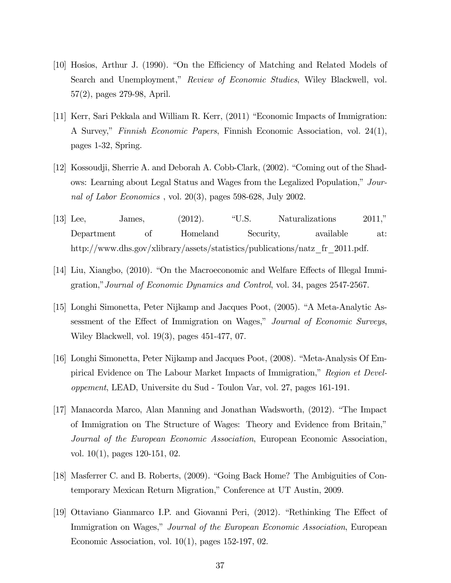- [10] Hosios, Arthur J. (1990). "On the Efficiency of Matching and Related Models of Search and Unemployment," Review of Economic Studies, Wiley Blackwell, vol. 57(2), pages 279-98, April.
- [11] Kerr, Sari Pekkala and William R. Kerr, (2011) "Economic Impacts of Immigration: A Survey," Finnish Economic Papers, Finnish Economic Association, vol. 24(1), pages 1-32, Spring.
- [12] Kossoudji, Sherrie A. and Deborah A. Cobb-Clark, (2002). "Coming out of the Shadows: Learning about Legal Status and Wages from the Legalized Population," Journal of Labor Economics , vol. 20(3), pages 598-628, July 2002.
- [13] Lee, James, (2012). "U.S. Naturalizations 2011," Department of Homeland Security, available at: http://www.dhs.gov/xlibrary/assets/statistics/publications/natz\_fr\_2011.pdf.
- [14] Liu, Xiangbo, (2010). "On the Macroeconomic and Welfare Effects of Illegal Immigration,"Journal of Economic Dynamics and Control, vol. 34, pages 2547-2567.
- [15] Longhi Simonetta, Peter Nijkamp and Jacques Poot, (2005). "A Meta-Analytic Assessment of the Effect of Immigration on Wages," Journal of Economic Surveys, Wiley Blackwell, vol. 19(3), pages 451-477, 07.
- [16] Longhi Simonetta, Peter Nijkamp and Jacques Poot, (2008). "Meta-Analysis Of Empirical Evidence on The Labour Market Impacts of Immigration," Region et Developpement, LEAD, Universite du Sud - Toulon Var, vol. 27, pages 161-191.
- [17] Manacorda Marco, Alan Manning and Jonathan Wadsworth, (2012). "The Impact of Immigration on The Structure of Wages: Theory and Evidence from Britain," Journal of the European Economic Association, European Economic Association, vol. 10(1), pages 120-151, 02.
- [18] Masferrer C. and B. Roberts, (2009). "Going Back Home? The Ambiguities of Contemporary Mexican Return Migration," Conference at UT Austin, 2009.
- [19] Ottaviano Gianmarco I.P. and Giovanni Peri, (2012). "Rethinking The Effect of Immigration on Wages," Journal of the European Economic Association, European Economic Association, vol. 10(1), pages 152-197, 02.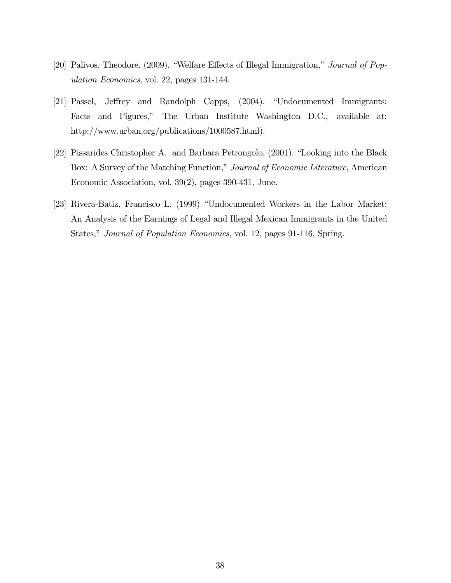- [20] Palivos, Theodore, (2009). "Welfare Effects of Illegal Immigration," Journal of Population Economics, vol. 22, pages 131-144.
- [21] Passel, Jeffrey and Randolph Capps, (2004). "Undocumented Immigrants: Facts and Figures," The Urban Institute Washington D.C., available at: http://www.urban.org/publications/1000587.html).
- [22] Pissarides Christopher A. and Barbara Petrongolo, (2001). "Looking into the Black Box: A Survey of the Matching Function," Journal of Economic Literature, American Economic Association, vol. 39(2), pages 390-431, June.
- [23] Rivera-Batiz, Francisco L. (1999) "Undocumented Workers in the Labor Market: An Analysis of the Earnings of Legal and Illegal Mexican Immigrants in the United States," Journal of Population Economics, vol. 12, pages 91-116, Spring.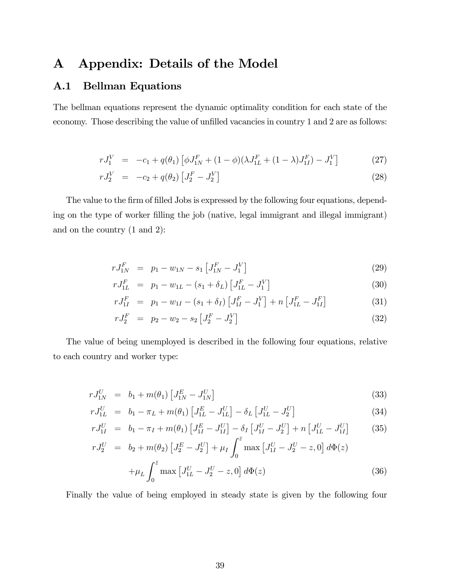# A Appendix: Details of the Model

# A.1 Bellman Equations

The bellman equations represent the dynamic optimality condition for each state of the economy. Those describing the value of unfilled vacancies in country 1 and 2 are as follows:

$$
rJ_1^V = -c_1 + q(\theta_1) \left[ \phi J_{1N}^F + (1 - \phi)(\lambda J_{1L}^F + (1 - \lambda)J_{1I}^F) - J_1^V \right]
$$
 (27)

$$
rJ_2^V = -c_2 + q(\theta_2) \left[ J_2^F - J_2^V \right] \tag{28}
$$

The value to the firm of filled Jobs is expressed by the following four equations, depending on the type of worker filling the job (native, legal immigrant and illegal immigrant) and on the country (1 and 2):

$$
rJ_{1N}^F = p_1 - w_{1N} - s_1 \left[ J_{1N}^F - J_1^V \right] \tag{29}
$$

$$
rJ_{1L}^F = p_1 - w_{1L} - (s_1 + \delta_L) \left[ J_{1L}^F - J_1^V \right] \tag{30}
$$

$$
rJ_{1I}^F = p_1 - w_{1I} - (s_1 + \delta_I) \left[ J_{1I}^F - J_1^V \right] + n \left[ J_{1L}^F - J_{1I}^F \right] \tag{31}
$$

$$
rJ_2^F = p_2 - w_2 - s_2 \left[ J_2^F - J_2^V \right] \tag{32}
$$

The value of being unemployed is described in the following four equations, relative to each country and worker type:

$$
rJ_{1N}^U = b_1 + m(\theta_1) \left[ J_{1N}^E - J_{1N}^U \right] \tag{33}
$$

$$
rJ_{1L}^U = b_1 - \pi_L + m(\theta_1) \left[ J_{1L}^E - J_{1L}^U \right] - \delta_L \left[ J_{1L}^U - J_2^U \right] \tag{34}
$$

$$
rJ_{1I}^U = b_1 - \pi_I + m(\theta_1) \left[ J_{1I}^E - J_{1I}^U \right] - \delta_I \left[ J_{1I}^U - J_2^U \right] + n \left[ J_{1L}^U - J_{1I}^U \right] \tag{35}
$$

$$
rJ_2^U = b_2 + m(\theta_2) \left[ J_2^E - J_2^U \right] + \mu_I \int_0^\infty \max \left[ J_{1I}^U - J_2^U - z, 0 \right] d\Phi(z)
$$

$$
+ \mu_L \int_0^{\bar{z}} \max \left[ J_{1L}^U - J_2^U - z, 0 \right] d\Phi(z)
$$
(36)

Finally the value of being employed in steady state is given by the following four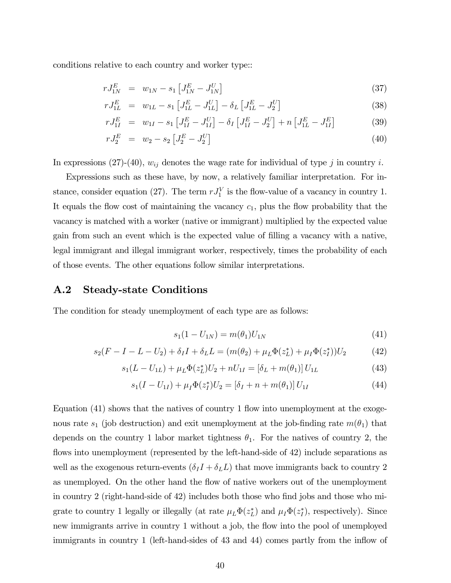conditions relative to each country and worker type::

$$
rJ_{1N}^{E} = w_{1N} - s_1 \left[ J_{1N}^{E} - J_{1N}^{U} \right] \tag{37}
$$

$$
rJ_{1L}^{E} = w_{1L} - s_1 \left[ J_{1L}^{E} - J_{1L}^{U} \right] - \delta_L \left[ J_{1L}^{E} - J_2^{U} \right] \tag{38}
$$

$$
rJ_{1I}^{E} = w_{1I} - s_1 \left[ J_{1I}^{E} - J_{1I}^{U} \right] - \delta_I \left[ J_{1I}^{E} - J_2^{U} \right] + n \left[ J_{1L}^{E} - J_{1I}^{E} \right] \tag{39}
$$

$$
rJ_2^E = w_2 - s_2 \left[ J_2^E - J_2^U \right] \tag{40}
$$

In expressions (27)-(40),  $w_{ij}$  denotes the wage rate for individual of type j in country i.

Expressions such as these have, by now, a relatively familiar interpretation. For instance, consider equation (27). The term  $rJ_1^V$  is the flow-value of a vacancy in country 1. It equals the flow cost of maintaining the vacancy  $c_1$ , plus the flow probability that the vacancy is matched with a worker (native or immigrant) multiplied by the expected value gain from such an event which is the expected value of filling a vacancy with a native, legal immigrant and illegal immigrant worker, respectively, times the probability of each of those events. The other equations follow similar interpretations.

### A.2 Steady-state Conditions

The condition for steady unemployment of each type are as follows:

$$
s_1(1 - U_{1N}) = m(\theta_1)U_{1N}
$$
\n(41)

$$
s_2(F - I - L - U_2) + \delta_I I + \delta_L L = (m(\theta_2) + \mu_L \Phi(z_L^*) + \mu_I \Phi(z_I^*))U_2 \tag{42}
$$

$$
s_1(L - U_{1L}) + \mu_L \Phi(z_L^*) U_2 + nU_{1I} = [\delta_L + m(\theta_1)] U_{1L}
$$
\n(43)

$$
s_1(I - U_{1I}) + \mu_I \Phi(z_I^*) U_2 = [\delta_I + n + m(\theta_1)] U_{1I}
$$
\n(44)

Equation (41) shows that the natives of country 1 flow into unemployment at the exogenous rate  $s_1$  (job destruction) and exit unemployment at the job-finding rate  $m(\theta_1)$  that depends on the country 1 labor market tightness  $\theta_1$ . For the natives of country 2, the flows into unemployment (represented by the left-hand-side of 42) include separations as well as the exogenous return-events  $(\delta_I I + \delta_L L)$  that move immigrants back to country 2 as unemployed. On the other hand the flow of native workers out of the unemployment in country 2 (right-hand-side of 42) includes both those who find jobs and those who migrate to country 1 legally or illegally (at rate  $\mu_L \Phi(z_L^*)$  and  $\mu_I \Phi(z_I^*)$ , respectively). Since new immigrants arrive in country 1 without a job, the flow into the pool of unemployed immigrants in country 1 (left-hand-sides of 43 and 44) comes partly from the inflow of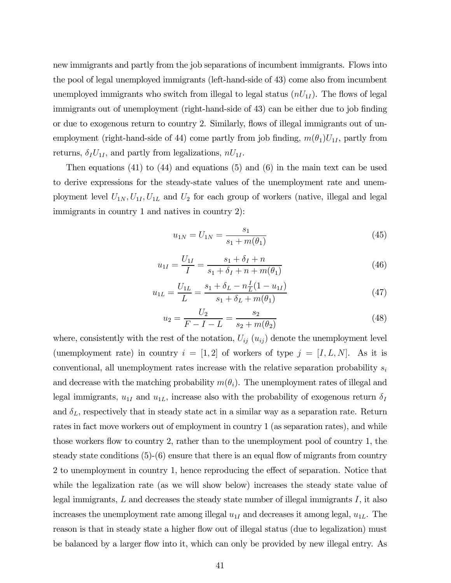new immigrants and partly from the job separations of incumbent immigrants. Flows into the pool of legal unemployed immigrants (left-hand-side of 43) come also from incumbent unemployed immigrants who switch from illegal to legal status  $(n U_{1I})$ . The flows of legal immigrants out of unemployment (right-hand-side of 43) can be either due to job finding or due to exogenous return to country 2. Similarly, flows of illegal immigrants out of unemployment (right-hand-side of 44) come partly from job finding,  $m(\theta_1)U_{1I}$ , partly from returns,  $\delta_I U_{1I}$ , and partly from legalizations,  $nU_{1I}$ .

Then equations (41) to (44) and equations (5) and (6) in the main text can be used to derive expressions for the steady-state values of the unemployment rate and unemployment level  $U_{1N}, U_{1I}, U_{1L}$  and  $U_2$  for each group of workers (native, illegal and legal immigrants in country 1 and natives in country 2):

$$
u_{1N} = U_{1N} = \frac{s_1}{s_1 + m(\theta_1)}\tag{45}
$$

$$
u_{1I} = \frac{U_{1I}}{I} = \frac{s_1 + \delta_I + n}{s_1 + \delta_I + n + m(\theta_1)}
$$
(46)

$$
u_{1L} = \frac{U_{1L}}{L} = \frac{s_1 + \delta_L - n\frac{I}{L}(1 - u_{1I})}{s_1 + \delta_L + m(\theta_1)}
$$
(47)

$$
u_2 = \frac{U_2}{F - I - L} = \frac{s_2}{s_2 + m(\theta_2)}\tag{48}
$$

where, consistently with the rest of the notation,  $U_{ij}(u_{ij})$  denote the unemployment level (unemployment rate) in country  $i = [1,2]$  of workers of type  $j = [I, L, N]$ . As it is conventional, all unemployment rates increase with the relative separation probability  $s_i$ and decrease with the matching probability  $m(\theta_i)$ . The unemployment rates of illegal and legal immigrants,  $u_{1I}$  and  $u_{1L}$ , increase also with the probability of exogenous return  $\delta_I$ and  $\delta_L$ , respectively that in steady state act in a similar way as a separation rate. Return rates in fact move workers out of employment in country 1 (as separation rates), and while those workers flow to country 2, rather than to the unemployment pool of country 1, the steady state conditions (5)-(6) ensure that there is an equal flow of migrants from country 2 to unemployment in country 1, hence reproducing the effect of separation. Notice that while the legalization rate (as we will show below) increases the steady state value of legal immigrants,  $L$  and decreases the steady state number of illegal immigrants  $I$ , it also increases the unemployment rate among illegal  $u_{1I}$  and decreases it among legal,  $u_{1L}$ . The reason is that in steady state a higher flow out of illegal status (due to legalization) must be balanced by a larger flow into it, which can only be provided by new illegal entry. As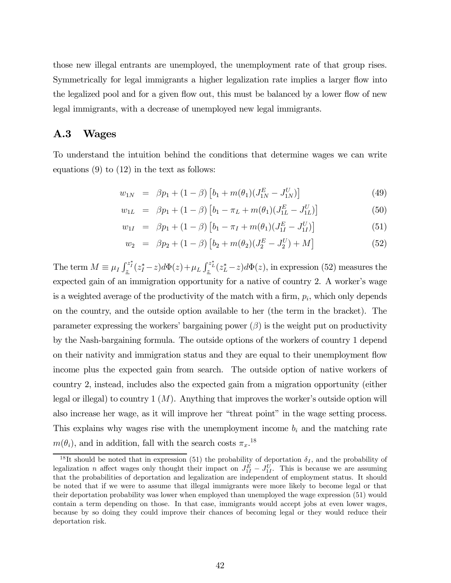those new illegal entrants are unemployed, the unemployment rate of that group rises. Symmetrically for legal immigrants a higher legalization rate implies a larger flow into the legalized pool and for a given flow out, this must be balanced by a lower flow of new legal immigrants, with a decrease of unemployed new legal immigrants.

### A.3 Wages

To understand the intuition behind the conditions that determine wages we can write equations  $(9)$  to  $(12)$  in the text as follows:

$$
w_{1N} = \beta p_1 + (1 - \beta) \left[ b_1 + m(\theta_1)(J_{1N}^E - J_{1N}^U) \right]
$$
 (49)

$$
w_{1L} = \beta p_1 + (1 - \beta) \left[ b_1 - \pi_L + m(\theta_1) (J_{1L}^E - J_{1L}^U) \right]
$$
 (50)

$$
w_{1I} = \beta p_1 + (1 - \beta) \left[ b_1 - \pi_I + m(\theta_1) (J_{1I}^E - J_{1I}^U) \right]
$$
(51)

$$
w_2 = \beta p_2 + (1 - \beta) \left[ b_2 + m(\theta_2)(J_2^E - J_2^U) + M \right]
$$
 (52)

The term  $M \equiv \mu_I \int_{\underline{z}}^{z_I^*}(z_I^*-z) d\Phi(z) + \mu_L \int_{\underline{z}}^{z_L^*}(z_L^*-z) d\Phi(z)$ , in expression (52) measures the expected gain of an immigration opportunity for a native of country 2. A worker's wage is a weighted average of the productivity of the match with a firm,  $p_i$ , which only depends on the country, and the outside option available to her (the term in the bracket). The parameter expressing the workers' bargaining power  $(\beta)$  is the weight put on productivity by the Nash-bargaining formula. The outside options of the workers of country 1 depend on their nativity and immigration status and they are equal to their unemployment flow income plus the expected gain from search. The outside option of native workers of country 2, instead, includes also the expected gain from a migration opportunity (either legal or illegal) to country  $1(M)$ . Anything that improves the worker's outside option will also increase her wage, as it will improve her "threat point" in the wage setting process. This explains why wages rise with the unemployment income  $b_i$  and the matching rate  $m(\theta_i)$ , and in addition, fall with the search costs  $\pi_x$ <sup>18</sup>

<sup>&</sup>lt;sup>18</sup>It should be noted that in expression (51) the probability of deportation  $\delta_I$ , and the probability of legalization *n* affect wages only thought their impact on  $J_{1I}^E - J_{1I}^U$ . This is because we are assuming that the probabilities of deportation and legalization are independent of employment status. It should be noted that if we were to assume that illegal immigrants were more likely to become legal or that their deportation probability was lower when employed than unemployed the wage expression (51) would contain a term depending on those. In that case, immigrants would accept jobs at even lower wages, because by so doing they could improve their chances of becoming legal or they would reduce their deportation risk.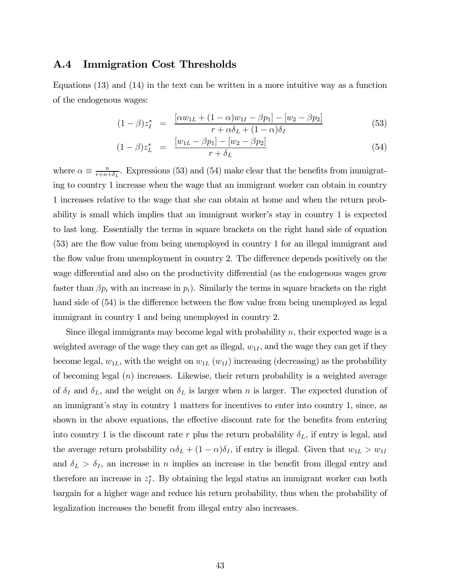### A.4 Immigration Cost Thresholds

Equations (13) and (14) in the text can be written in a more intuitive way as a function of the endogenous wages:

$$
(1 - \beta)z_I^* = \frac{[\alpha w_{1L} + (1 - \alpha)w_{1I} - \beta p_1] - [w_2 - \beta p_2]}{r + \alpha \delta_L + (1 - \alpha)\delta_I}
$$
(53)

$$
(1 - \beta)z_L^* = \frac{[w_{1L} - \beta p_1] - [w_2 - \beta p_2]}{r + \delta_L} \tag{54}
$$

where  $\alpha \equiv \frac{n}{r+n+\delta_L}$ . Expressions (53) and (54) make clear that the benefits from immigrating to country 1 increase when the wage that an immigrant worker can obtain in country 1 increases relative to the wage that she can obtain at home and when the return probability is small which implies that an immigrant worker's stay in country 1 is expected to last long. Essentially the terms in square brackets on the right hand side of equation (53) are the flow value from being unemployed in country 1 for an illegal immigrant and the flow value from unemployment in country 2. The difference depends positively on the wage differential and also on the productivity differential (as the endogenous wages grow faster than  $\beta p_i$  with an increase in  $p_i$ ). Similarly the terms in square brackets on the right hand side of  $(54)$  is the difference between the flow value from being unemployed as legal immigrant in country 1 and being unemployed in country 2.

Since illegal immigrants may become legal with probability  $n$ , their expected wage is a weighted average of the wage they can get as illegal,  $w_{1I}$ , and the wage they can get if they become legal,  $w_{1L}$ , with the weight on  $w_{1L}$  ( $w_{1I}$ ) increasing (decreasing) as the probability of becoming legal  $(n)$  increases. Likewise, their return probability is a weighted average of  $\delta_I$  and  $\delta_L$ , and the weight on  $\delta_L$  is larger when n is larger. The expected duration of an immigrant's stay in country 1 matters for incentives to enter into country 1, since, as shown in the above equations, the effective discount rate for the benefits from entering into country 1 is the discount rate  $r$  plus the return probability  $\delta_L$ , if entry is legal, and the average return probability  $\alpha \delta_L + (1 - \alpha) \delta_I$ , if entry is illegal. Given that  $w_{1L} > w_{1I}$ and  $\delta_L > \delta_I$ , an increase in *n* implies an increase in the benefit from illegal entry and therefore an increase in  $z_I^*$ . By obtaining the legal status an immigrant worker can both bargain for a higher wage and reduce his return probability, thus when the probability of legalization increases the benefit from illegal entry also increases.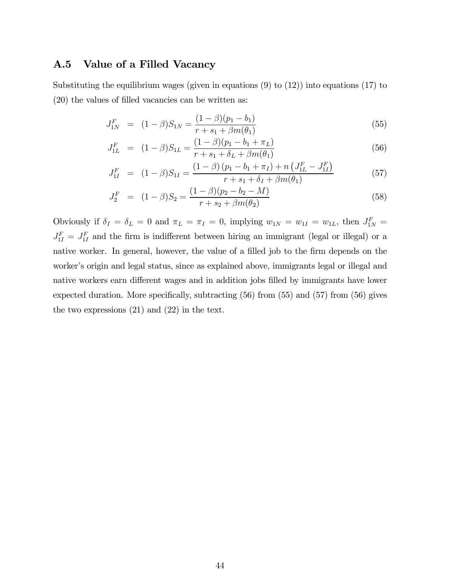### A.5 Value of a Filled Vacancy

Substituting the equilibrium wages (given in equations (9) to (12)) into equations (17) to (20) the values of filled vacancies can be written as:

$$
J_{1N}^{F} = (1 - \beta)S_{1N} = \frac{(1 - \beta)(p_1 - b_1)}{r + s_1 + \beta m(\theta_1)}
$$
(55)

$$
J_{1L}^F = (1 - \beta)S_{1L} = \frac{(1 - \beta)(p_1 - b_1 + \pi_L)}{r + s_1 + \delta_L + \beta m(\theta_1)}
$$
(56)

$$
J_{1I}^{F} = (1 - \beta)S_{1I} = \frac{(1 - \beta)(p_1 - b_1 + \pi_I) + n\left(J_{1L}^{F} - J_{1I}^{F}\right)}{r + s_1 + \delta_I + \beta m(\theta_1)}
$$
(57)

$$
J_2^F = (1 - \beta)S_2 = \frac{(1 - \beta)(p_2 - b_2 - M)}{r + s_2 + \beta m(\theta_2)}
$$
(58)

Obviously if  $\delta_I = \delta_L = 0$  and  $\pi_L = \pi_I = 0$ , implying  $w_{1N} = w_{1I} = w_{1L}$ , then  $J_{1N}^F =$  $J_{1I}^F = J_{1I}^F$  and the firm is indifferent between hiring an immigrant (legal or illegal) or a native worker. In general, however, the value of a filled job to the firm depends on the worker's origin and legal status, since as explained above, immigrants legal or illegal and native workers earn different wages and in addition jobs filled by immigrants have lower expected duration. More specifically, subtracting (56) from (55) and (57) from (56) gives the two expressions (21) and (22) in the text.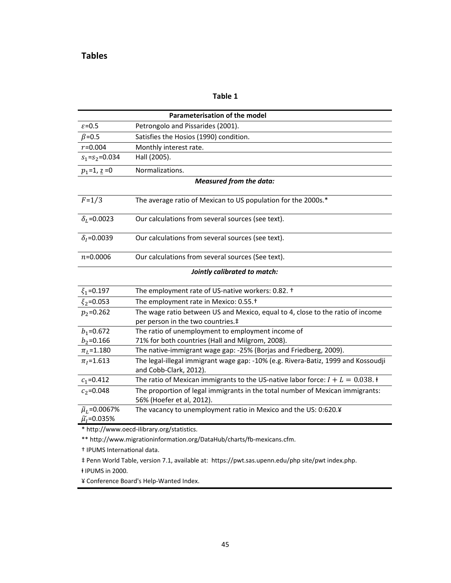#### **Table 1**

|                                                       | Parameterisation of the model                                                                               |  |  |  |  |  |  |  |  |  |
|-------------------------------------------------------|-------------------------------------------------------------------------------------------------------------|--|--|--|--|--|--|--|--|--|
| $\varepsilon = 0.5$                                   | Petrongolo and Pissarides (2001).                                                                           |  |  |  |  |  |  |  |  |  |
| $\beta$ =0.5                                          | Satisfies the Hosios (1990) condition.                                                                      |  |  |  |  |  |  |  |  |  |
| $r = 0.004$                                           | Monthly interest rate.                                                                                      |  |  |  |  |  |  |  |  |  |
| $s_1 = s_2 = 0.034$                                   | Hall (2005).                                                                                                |  |  |  |  |  |  |  |  |  |
| $p_1 = 1, z = 0$                                      | Normalizations.                                                                                             |  |  |  |  |  |  |  |  |  |
|                                                       | <b>Measured from the data:</b>                                                                              |  |  |  |  |  |  |  |  |  |
| $F = 1/3$                                             | The average ratio of Mexican to US population for the 2000s.*                                               |  |  |  |  |  |  |  |  |  |
| $\delta_L = 0.0023$                                   | Our calculations from several sources (see text).                                                           |  |  |  |  |  |  |  |  |  |
| $\delta_1 = 0.0039$                                   | Our calculations from several sources (see text).                                                           |  |  |  |  |  |  |  |  |  |
| $n = 0.0006$                                          | Our calculations from several sources (See text).                                                           |  |  |  |  |  |  |  |  |  |
|                                                       | Jointly calibrated to match:                                                                                |  |  |  |  |  |  |  |  |  |
| $\xi_1 = 0.197$                                       | The employment rate of US-native workers: 0.82. +                                                           |  |  |  |  |  |  |  |  |  |
| $\xi_2 = 0.053$                                       | The employment rate in Mexico: 0.55. <sup>+</sup>                                                           |  |  |  |  |  |  |  |  |  |
| $p_2 = 0.262$                                         | The wage ratio between US and Mexico, equal to 4, close to the ratio of income                              |  |  |  |  |  |  |  |  |  |
|                                                       | per person in the two countries.‡                                                                           |  |  |  |  |  |  |  |  |  |
| $b_1 = 0.672$                                         | The ratio of unemployment to employment income of                                                           |  |  |  |  |  |  |  |  |  |
| $b_2 = 0.166$                                         | 71% for both countries (Hall and Milgrom, 2008).                                                            |  |  |  |  |  |  |  |  |  |
| $\pi_L$ =1.180                                        | The native-immigrant wage gap: -25% (Borjas and Friedberg, 2009).                                           |  |  |  |  |  |  |  |  |  |
| $\pi_I = 1.613$                                       | The legal-illegal immigrant wage gap: -10% (e.g. Rivera-Batiz, 1999 and Kossoudji<br>and Cobb-Clark, 2012). |  |  |  |  |  |  |  |  |  |
| $c_1 = 0.412$                                         | The ratio of Mexican immigrants to the US-native labor force: $I + L = 0.038$ . $\dagger$                   |  |  |  |  |  |  |  |  |  |
| $c_2 = 0.048$                                         | The proportion of legal immigrants in the total number of Mexican immigrants:                               |  |  |  |  |  |  |  |  |  |
|                                                       | 56% (Hoefer et al, 2012).                                                                                   |  |  |  |  |  |  |  |  |  |
| $\tilde{\mu}_L$ =0.0067%<br>$\tilde{\mu}_I = 0.035\%$ | The vacancy to unemployment ratio in Mexico and the US: 0:620.¥                                             |  |  |  |  |  |  |  |  |  |
|                                                       | * http://www.oecd-ilibrary.org/statistics.                                                                  |  |  |  |  |  |  |  |  |  |
|                                                       | ** http://www.migrationinformation.org/DataHub/charts/fb-mexicans.cfm.                                      |  |  |  |  |  |  |  |  |  |
| <sup>†</sup> IPUMS International data.                |                                                                                                             |  |  |  |  |  |  |  |  |  |
|                                                       | # Penn World Table, version 7.1, available at: https://pwt.sas.upenn.edu/php site/pwt index.php.            |  |  |  |  |  |  |  |  |  |

ⱡ IPUMS in 2000.

¥ Conference Board's Help-Wanted Index.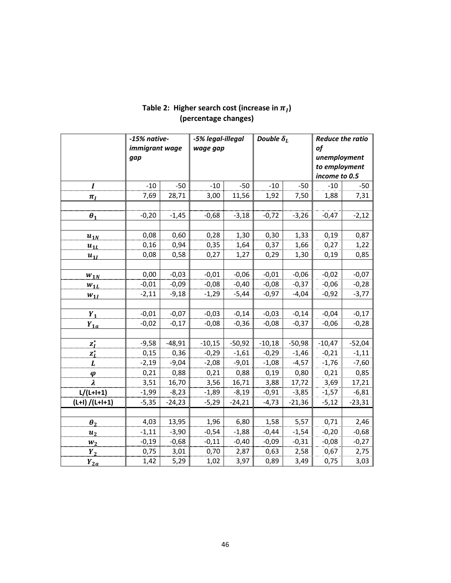|                         | -15% native-   |          | -5% legal-illegal |          | Double $\delta_L$ |          | <b>Reduce the ratio</b> |          |  |
|-------------------------|----------------|----------|-------------------|----------|-------------------|----------|-------------------------|----------|--|
|                         | immigrant wage |          | wage gap          |          |                   |          | of                      |          |  |
|                         | gap            |          |                   |          |                   |          | unemployment            |          |  |
|                         |                |          |                   |          |                   |          | to employment           |          |  |
|                         |                |          |                   |          |                   |          | income to 0.5           |          |  |
| $\boldsymbol{I}$        | $-10$          | $-50$    | $-10$             | $-50$    | $-10$             | $-50$    | $-10$                   | $-50$    |  |
| $\pi_I$                 | 7,69           | 28,71    | 3,00              | 11,56    | 1,92              | 7,50     | 1,88                    | 7,31     |  |
|                         |                |          |                   |          |                   |          |                         |          |  |
| $\boldsymbol{\theta}_1$ | $-0,20$        | $-1,45$  | $-0,68$           | $-3,18$  | $-0,72$           | $-3,26$  | $-0,47$                 | $-2,12$  |  |
|                         |                |          |                   |          |                   |          |                         |          |  |
| $u_{1N}$                | 0,08           | 0,60     | 0,28              | 1,30     | 0,30              | 1,33     | 0,19                    | 0,87     |  |
| $u_{1L}$                | 0,16           | 0,94     | 0,35              | 1,64     | 0,37              | 1,66     | 0,27                    | 1,22     |  |
| $u_{1I}$                | 0,08           | 0,58     | 0,27              | 1,27     | 0,29              | 1,30     | 0, 19                   | 0,85     |  |
|                         |                |          |                   |          |                   |          |                         |          |  |
| $W_{1N}$                | 0,00           | $-0,03$  | $-0,01$           | $-0,06$  | $-0,01$           | $-0,06$  | $-0,02$                 | $-0,07$  |  |
| $W_{1L}$                | $-0,01$        | $-0,09$  | $-0,08$           | $-0,40$  | $-0,08$           | $-0,37$  | $-0,06$                 | $-0,28$  |  |
| $W_{1I}$                | $-2,11$        | $-9,18$  | $-1,29$           | $-5,44$  | $-0,97$           | $-4,04$  | $-0,92$                 | $-3,77$  |  |
|                         |                |          |                   |          |                   |          |                         |          |  |
| $Y_1$                   | $-0,01$        | $-0,07$  | $-0,03$           | $-0,14$  | $-0,03$           | $-0,14$  | $-0,04$                 | $-0,17$  |  |
| $Y_{1a}$                | $-0,02$        | $-0,17$  | $-0,08$           | $-0,36$  | $-0,08$           | $-0,37$  | $-0,06$                 | $-0,28$  |  |
|                         |                |          |                   |          |                   |          |                         |          |  |
| $z_I^*$                 | $-9,58$        | $-48,91$ | $-10,15$          | $-50,92$ | $-10,18$          | $-50,98$ | $-10,47$                | $-52,04$ |  |
| $z_L^{\star}$           | 0,15           | 0,36     | $-0,29$           | $-1,61$  | $-0,29$           | $-1,46$  | $-0,21$                 | $-1,11$  |  |
| L                       | $-2,19$        | $-9,04$  | $-2,08$           | $-9,01$  | $-1,08$           | $-4,57$  | $-1,76$                 | $-7,60$  |  |
| $\boldsymbol{\varphi}$  | 0,21           | 0,88     | 0,21              | 0,88     | 0,19              | 0,80     | 0,21                    | 0,85     |  |
| $\lambda$               | 3,51           | 16,70    | 3,56              | 16,71    | 3,88              | 17,72    | 3,69                    | 17,21    |  |
| $L/(L+I+1)$             | $-1,99$        | $-8,23$  | $-1,89$           | $-8,19$  | $-0,91$           | $-3,85$  | $-1,57$                 | $-6,81$  |  |
| $(L+1) / (L+1+1)$       | $-5,35$        | $-24,23$ | $-5,29$           | $-24,21$ | $-4,73$           | $-21,36$ | $-5,12$                 | $-23,31$ |  |
|                         |                |          |                   |          |                   |          |                         |          |  |
| $\boldsymbol{\theta}_2$ | 4,03           | 13,95    | 1,96              | 6,80     | 1,58              | 5,57     | 0,71                    | 2,46     |  |
| $u_2$                   | $-1,11$        | $-3,90$  | $-0,54$           | $-1,88$  | $-0,44$           | $-1,54$  | $-0,20$                 | $-0,68$  |  |
| $W_2$                   | $-0,19$        | $-0,68$  | $-0,11$           | $-0,40$  | $-0,09$           | $-0,31$  | $-0,08$                 | $-0,27$  |  |
| $Y_2$                   | 0,75           | 3,01     | 0,70              | 2,87     | 0,63              | 2,58     | 0,67                    | 2,75     |  |
| $Y_{2a}$                | 1,42           | 5,29     | 1,02              | 3,97     | 0,89              | 3,49     | 0,75                    | 3,03     |  |

## Table 2: Higher search cost (increase in  $\pi_I$ ) **(percentage changes)**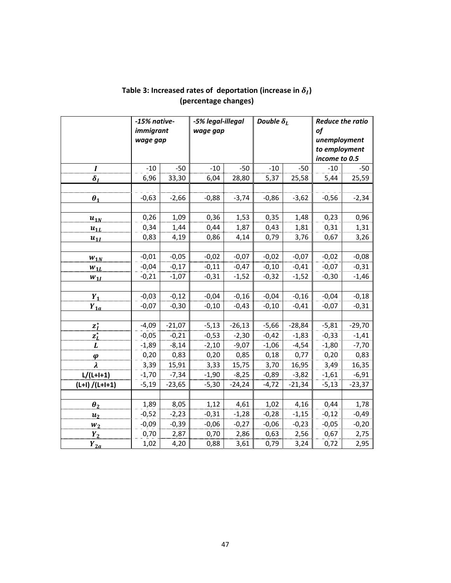|                         | -15% native- |          | -5% legal-illegal |          | Double $\delta_L$ |          | <b>Reduce the ratio</b> |          |  |
|-------------------------|--------------|----------|-------------------|----------|-------------------|----------|-------------------------|----------|--|
|                         | immigrant    |          | wage gap          |          |                   |          | of                      |          |  |
|                         | wage gap     |          |                   |          |                   |          | unemployment            |          |  |
|                         |              |          |                   |          |                   |          | to employment           |          |  |
|                         |              |          |                   |          |                   |          | income to 0.5           |          |  |
| $\boldsymbol{I}$        | $-10$        | $-50$    | $-10$             | $-50$    | $-10$             | $-50$    | $-10$                   | $-50$    |  |
| $\delta_I$              | 6,96         | 33,30    | 6,04              | 28,80    | 5,37              | 25,58    | 5,44                    | 25,59    |  |
|                         |              |          |                   |          |                   |          |                         |          |  |
| $\boldsymbol{\theta}_1$ | $-0,63$      | $-2,66$  | $-0,88$           | $-3,74$  | $-0,86$           | $-3,62$  | $-0,56$                 | $-2,34$  |  |
|                         |              |          |                   |          |                   |          |                         |          |  |
| $u_{1N}$                | 0,26         | 1,09     | 0,36              | 1,53     | 0,35              | 1,48     | 0,23                    | 0,96     |  |
| $u_{1L}$                | 0,34         | 1,44     | 0,44              | 1,87     | 0,43              | 1,81     | 0,31                    | 1,31     |  |
| $u_{1I}$                | 0,83         | 4,19     | 0,86              | 4,14     | 0,79              | 3,76     | 0,67                    | 3,26     |  |
|                         |              |          |                   |          |                   |          |                         |          |  |
| $W_{1N}$                | $-0,01$      | $-0,05$  | $-0,02$           | $-0,07$  | $-0,02$           | $-0,07$  | $-0,02$                 | $-0,08$  |  |
| $W_{1L}$                | $-0,04$      | $-0,17$  | $-0,11$           | $-0,47$  | $-0,10$           | $-0,41$  | $-0,07$                 | $-0,31$  |  |
| $W_{1I}$                | $-0,21$      | $-1,07$  | $-0,31$           | $-1,52$  | $-0,32$           | $-1,52$  | $-0,30$                 | $-1,46$  |  |
|                         |              |          |                   |          |                   |          |                         |          |  |
| $Y_1$                   | $-0,03$      | $-0,12$  | $-0,04$           | $-0,16$  | $-0,04$           | $-0,16$  | $-0,04$                 | $-0,18$  |  |
| $Y_{1a}$                | $-0,07$      | $-0,30$  | $-0,10$           | $-0,43$  | $-0,10$           | $-0,41$  | $-0,07$                 | $-0,31$  |  |
|                         |              |          |                   |          |                   |          |                         |          |  |
| $z_I^*$                 | $-4,09$      | $-21,07$ | $-5,13$           | $-26,13$ | $-5,66$           | $-28,84$ | $-5,81$                 | $-29,70$ |  |
| $z_L^{\star}$           | $-0,05$      | $-0,21$  | $-0,53$           | $-2,30$  | $-0,42$           | $-1,83$  | $-0,33$                 | $-1,41$  |  |
| L                       | $-1,89$      | $-8,14$  | $-2,10$           | $-9,07$  | $-1,06$           | $-4,54$  | $-1,80$                 | $-7,70$  |  |
| $\boldsymbol{\varphi}$  | 0,20         | 0,83     | 0,20              | 0,85     | 0,18              | 0,77     | 0,20                    | 0,83     |  |
| $\lambda$               | 3,39         | 15,91    | 3,33              | 15,75    | 3,70              | 16,95    | 3,49                    | 16,35    |  |
| $L/(L+I+1)$             | $-1,70$      | $-7,34$  | $-1,90$           | $-8,25$  | $-0,89$           | $-3,82$  | $-1,61$                 | $-6,91$  |  |
| $(L+1) / (L+1+1)$       | $-5,19$      | $-23,65$ | $-5,30$           | $-24,24$ | $-4,72$           | $-21,34$ | $-5,13$                 | $-23,37$ |  |
|                         |              |          |                   |          |                   |          |                         |          |  |
| $\boldsymbol{\theta}_2$ | 1,89         | 8,05     | 1,12              | 4,61     | 1,02              | 4,16     | 0,44                    | 1,78     |  |
| $u_2$                   | $-0,52$      | $-2,23$  | $-0,31$           | $-1,28$  | $-0,28$           | $-1,15$  | $-0,12$                 | $-0,49$  |  |
| $W_2$                   | $-0,09$      | $-0,39$  | $-0,06$           | $-0,27$  | $-0,06$           | $-0,23$  | $-0,05$                 | $-0,20$  |  |
| $Y_2$                   | 0,70         | 2,87     | 0,70              | 2,86     | 0,63              | 2,56     | 0,67                    | 2,75     |  |
| $Y_{2a}$                | 1,02         | 4,20     | 0,88              | 3,61     | 0,79              | 3,24     | 0,72                    | 2,95     |  |

# Table 3: Increased rates of deportation (increase in  $\delta_I$ ) **(percentage changes)**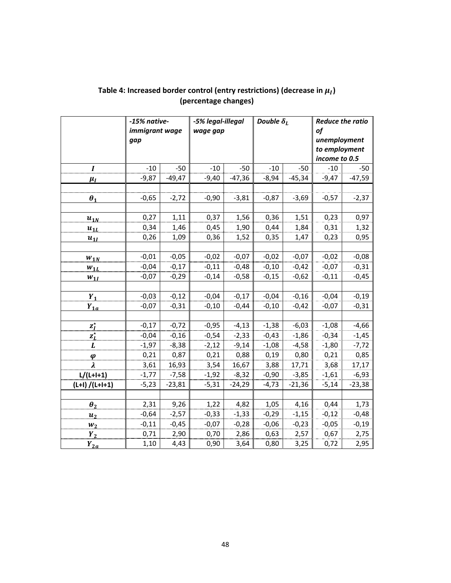|                        | -15% native-   |          |          | -5% legal-illegal |         | Double $\delta_L$ | <b>Reduce the ratio</b> |          |  |
|------------------------|----------------|----------|----------|-------------------|---------|-------------------|-------------------------|----------|--|
|                        | immigrant wage |          | wage gap |                   |         |                   | of                      |          |  |
|                        | gap            |          |          |                   |         |                   | unemployment            |          |  |
|                        |                |          |          |                   |         |                   | to employment           |          |  |
|                        |                |          |          |                   |         |                   | income to 0.5           |          |  |
| $\boldsymbol{I}$       | $-10$          | $-50$    | $-10$    | $-50$             | $-10$   | $-50$             | $-10$                   | $-50$    |  |
| $\mu_I$                | $-9,87$        | $-49,47$ | $-9,40$  | $-47,36$          | $-8,94$ | $-45,34$          | $-9,47$                 | $-47,59$ |  |
|                        |                |          |          |                   |         |                   |                         |          |  |
| $\theta_1$             | $-0,65$        | $-2,72$  | $-0,90$  | $-3,81$           | $-0,87$ | $-3,69$           | $-0,57$                 | $-2,37$  |  |
|                        |                |          |          |                   |         |                   |                         |          |  |
| $u_{1N}$               | 0,27           | 1,11     | 0,37     | 1,56              | 0,36    | 1,51              | 0,23                    | 0,97     |  |
| $u_{1L}$               | 0,34           | 1,46     | 0,45     | 1,90              | 0,44    | 1,84              | 0,31                    | 1,32     |  |
| $u_{1I}$               | 0,26           | 1,09     | 0,36     | 1,52              | 0,35    | 1,47              | 0,23                    | 0,95     |  |
|                        |                |          |          |                   |         |                   |                         |          |  |
| $W_{1N}$               | $-0,01$        | $-0,05$  | $-0,02$  | $-0,07$           | $-0,02$ | $-0,07$           | $-0,02$                 | $-0,08$  |  |
| $W_{1L}$               | $-0,04$        | $-0,17$  | $-0,11$  | $-0,48$           | $-0,10$ | $-0,42$           | $-0,07$                 | $-0,31$  |  |
| $W_{1I}$               | $-0,07$        | $-0,29$  | $-0,14$  | $-0,58$           | $-0,15$ | $-0,62$           | $-0,11$                 | $-0,45$  |  |
|                        |                |          |          |                   |         |                   |                         |          |  |
| $Y_1$                  | $-0,03$        | $-0,12$  | $-0,04$  | $-0,17$           | $-0,04$ | $-0,16$           | $-0,04$                 | $-0,19$  |  |
| $Y_{1a}$               | $-0,07$        | $-0,31$  | $-0,10$  | $-0,44$           | $-0,10$ | $-0,42$           | $-0,07$                 | $-0,31$  |  |
|                        |                |          |          |                   |         |                   |                         |          |  |
| $z_I^*$                | $-0,17$        | $-0,72$  | $-0,95$  | $-4,13$           | $-1,38$ | $-6,03$           | $-1,08$                 | $-4,66$  |  |
| $z_L^{\star}$          | $-0,04$        | $-0,16$  | $-0,54$  | $-2,33$           | $-0,43$ | $-1,86$           | $-0,34$                 | $-1,45$  |  |
| L                      | $-1,97$        | $-8,38$  | $-2,12$  | $-9,14$           | $-1,08$ | $-4,58$           | $-1,80$                 | $-7,72$  |  |
| $\boldsymbol{\varphi}$ | 0,21           | 0,87     | 0,21     | 0,88              | 0,19    | 0,80              | 0,21                    | 0,85     |  |
| $\lambda$              | 3,61           | 16,93    | 3,54     | 16,67             | 3,88    | 17,71             | 3,68                    | 17,17    |  |
| $L/(L+I+1)$            | $-1,77$        | $-7,58$  | $-1,92$  | $-8,32$           | $-0,90$ | $-3,85$           | $-1,61$                 | $-6,93$  |  |
| $(L+1) / (L+1+1)$      | $-5,23$        | $-23,81$ | $-5,31$  | $-24,29$          | $-4,73$ | $-21,36$          | $-5,14$                 | $-23,38$ |  |
|                        |                |          |          |                   |         |                   |                         |          |  |
| $\theta_2$             | 2,31           | 9,26     | 1,22     | 4,82              | 1,05    | 4,16              | 0,44                    | 1,73     |  |
| $u_2$                  | $-0,64$        | $-2,57$  | $-0,33$  | $-1,33$           | $-0,29$ | $-1,15$           | $-0,12$                 | $-0,48$  |  |
| $W_2$                  | $-0,11$        | $-0,45$  | $-0,07$  | $-0,28$           | $-0,06$ | $-0,23$           | $-0,05$                 | $-0,19$  |  |
| $Y_2$                  | 0,71           | 2,90     | 0,70     | 2,86              | 0,63    | 2,57              | 0,67                    | 2,75     |  |
| $Y_{2a}$               | 1,10           | 4,43     | 0,90     | 3,64              | 0,80    | 3,25              | 0,72                    | 2,95     |  |

## Table 4: Increased border control (entry restrictions) (decrease in  $\mu_I$ ) **(percentage changes)**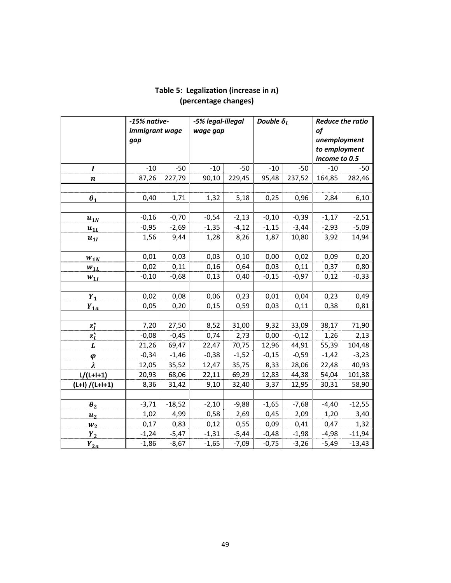|                         | -15% native-   |          | -5% legal-illegal |         | Double $\delta_L$ |         | <b>Reduce the ratio</b> |          |  |
|-------------------------|----------------|----------|-------------------|---------|-------------------|---------|-------------------------|----------|--|
|                         | immigrant wage |          | wage gap          |         |                   |         | of                      |          |  |
|                         | gap            |          |                   |         |                   |         | unemployment            |          |  |
|                         |                |          |                   |         |                   |         | to employment           |          |  |
|                         |                |          |                   |         |                   |         | income to 0.5           |          |  |
| $\boldsymbol{I}$        | $-10$          | $-50$    | $-10$             | $-50$   | $-10$             | $-50$   | $-10$                   | $-50$    |  |
| $\boldsymbol{n}$        | 87,26          | 227,79   | 90,10             | 229,45  | 95,48             | 237,52  | 164,85                  | 282,46   |  |
|                         |                |          |                   |         |                   |         |                         |          |  |
| $\boldsymbol{\theta}_1$ | 0,40           | 1,71     | 1,32              | 5,18    | 0,25              | 0,96    | 2,84                    | 6,10     |  |
|                         |                |          |                   |         |                   |         |                         |          |  |
| $u_{1N}$                | $-0,16$        | $-0,70$  | $-0,54$           | $-2,13$ | $-0,10$           | $-0,39$ | $-1,17$                 | $-2,51$  |  |
| $u_{1L}$                | $-0,95$        | $-2,69$  | $-1,35$           | $-4,12$ | $-1,15$           | $-3,44$ | $-2,93$                 | $-5,09$  |  |
| $u_{1I}$                | 1,56           | 9,44     | 1,28              | 8,26    | 1,87              | 10,80   | 3,92                    | 14,94    |  |
|                         |                |          |                   |         |                   |         |                         |          |  |
| $W_{1N}$                | 0,01           | 0,03     | 0,03              | 0,10    | 0,00              | 0,02    | 0,09                    | 0,20     |  |
| $W_{1L}$                | 0,02           | 0,11     | 0,16              | 0,64    | 0,03              | 0,11    | 0,37                    | 0,80     |  |
| $W_{1I}$                | $-0,10$        | $-0,68$  | 0,13              | 0,40    | $-0,15$           | $-0,97$ | 0,12                    | $-0,33$  |  |
|                         |                |          |                   |         |                   |         |                         |          |  |
| $Y_1$                   | 0,02           | 0,08     | 0,06              | 0,23    | 0,01              | 0,04    | 0,23                    | 0,49     |  |
| $Y_{1a}$                | 0,05           | 0,20     | 0,15              | 0,59    | 0,03              | 0,11    | 0,38                    | 0,81     |  |
|                         |                |          |                   |         |                   |         |                         |          |  |
| $z_I^*$                 | 7,20           | 27,50    | 8,52              | 31,00   | 9,32              | 33,09   | 38,17                   | 71,90    |  |
| $\mathbf{z}^\star_L$    | $-0,08$        | $-0,45$  | 0,74              | 2,73    | 0,00              | $-0,12$ | 1,26                    | 2,13     |  |
| L                       | 21,26          | 69,47    | 22,47             | 70,75   | 12,96             | 44,91   | 55,39                   | 104,48   |  |
| $\boldsymbol{\varphi}$  | $-0,34$        | $-1,46$  | $-0,38$           | $-1,52$ | $-0,15$           | $-0,59$ | $-1,42$                 | $-3,23$  |  |
| $\lambda$               | 12,05          | 35,52    | 12,47             | 35,75   | 8,33              | 28,06   | 22,48                   | 40,93    |  |
| $L/(L+I+1)$             | 20,93          | 68,06    | 22,11             | 69,29   | 12,83             | 44,38   | 54,04                   | 101,38   |  |
| $(L+1) / (L+1+1)$       | 8,36           | 31,42    | 9,10              | 32,40   | 3,37              | 12,95   | 30,31                   | 58,90    |  |
|                         |                |          |                   |         |                   |         |                         |          |  |
| $\theta_2$              | $-3,71$        | $-18,52$ | $-2,10$           | $-9,88$ | $-1,65$           | $-7,68$ | $-4,40$                 | $-12,55$ |  |
| u <sub>2</sub>          | 1,02           | 4,99     | 0,58              | 2,69    | 0,45              | 2,09    | 1,20                    | 3,40     |  |
| $W_2$                   | 0,17           | 0,83     | 0,12              | 0,55    | 0,09              | 0,41    | 0,47                    | 1,32     |  |
| $Y_2$                   | $-1,24$        | $-5,47$  | $-1,31$           | $-5,44$ | $-0,48$           | $-1,98$ | $-4,98$                 | $-11,94$ |  |
| $Y_{2a}$                | $-1,86$        | $-8,67$  | $-1,65$           | $-7,09$ | $-0,75$           | $-3,26$ | $-5,49$                 | $-13,43$ |  |

### Table 5: Legalization (increase in  $n$ ) **(percentage changes)**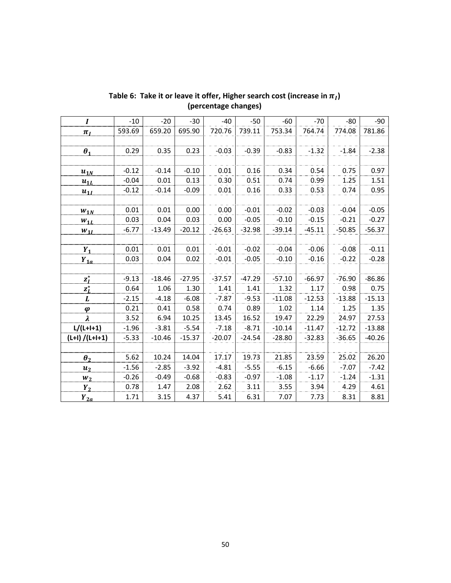| $\bm{I}$               | $-10$   | $-20$    | $-30$    | $-40$    | $-50$    | $-60$    | $-70$    | $-80$    | $-90$    |
|------------------------|---------|----------|----------|----------|----------|----------|----------|----------|----------|
| $\pi_I$                | 593.69  | 659.20   | 695.90   | 720.76   | 739.11   | 753.34   | 764.74   | 774.08   | 781.86   |
|                        |         |          |          |          |          |          |          |          |          |
| $\theta_1$             | 0.29    | 0.35     | 0.23     | $-0.03$  | $-0.39$  | $-0.83$  | $-1.32$  | $-1.84$  | $-2.38$  |
|                        |         |          |          |          |          |          |          |          |          |
| $u_{1N}$               | $-0.12$ | $-0.14$  | $-0.10$  | 0.01     | 0.16     | 0.34     | 0.54     | 0.75     | 0.97     |
| $u_{1L}$               | $-0.04$ | 0.01     | 0.13     | 0.30     | 0.51     | 0.74     | 0.99     | 1.25     | 1.51     |
| $u_{1I}$               | $-0.12$ | $-0.14$  | $-0.09$  | 0.01     | 0.16     | 0.33     | 0.53     | 0.74     | 0.95     |
|                        |         |          |          |          |          |          |          |          |          |
| $W_{1N}$               | 0.01    | 0.01     | 0.00     | 0.00     | $-0.01$  | $-0.02$  | $-0.03$  | $-0.04$  | $-0.05$  |
| $W_{1L}$               | 0.03    | 0.04     | 0.03     | 0.00     | $-0.05$  | $-0.10$  | $-0.15$  | $-0.21$  | $-0.27$  |
| $W_{1I}$               | $-6.77$ | $-13.49$ | $-20.12$ | $-26.63$ | $-32.98$ | $-39.14$ | $-45.11$ | $-50.85$ | $-56.37$ |
|                        |         |          |          |          |          |          |          |          |          |
| $Y_1$                  | 0.01    | 0.01     | 0.01     | $-0.01$  | $-0.02$  | $-0.04$  | $-0.06$  | $-0.08$  | $-0.11$  |
| $Y_{1a}$               | 0.03    | 0.04     | 0.02     | $-0.01$  | $-0.05$  | $-0.10$  | $-0.16$  | $-0.22$  | $-0.28$  |
|                        |         |          |          |          |          |          |          |          |          |
| $z_I^*$                | $-9.13$ | $-18.46$ | $-27.95$ | $-37.57$ | $-47.29$ | $-57.10$ | $-66.97$ | $-76.90$ | $-86.86$ |
| $\mathbf{z}_L^\star$   | 0.64    | 1.06     | 1.30     | 1.41     | 1.41     | 1.32     | 1.17     | 0.98     | 0.75     |
| L                      | $-2.15$ | $-4.18$  | $-6.08$  | $-7.87$  | $-9.53$  | $-11.08$ | $-12.53$ | $-13.88$ | $-15.13$ |
| $\boldsymbol{\varphi}$ | 0.21    | 0.41     | 0.58     | 0.74     | 0.89     | 1.02     | 1.14     | 1.25     | 1.35     |
| $\lambda$              | 3.52    | 6.94     | 10.25    | 13.45    | 16.52    | 19.47    | 22.29    | 24.97    | 27.53    |
| $L/(L+I+1)$            | $-1.96$ | $-3.81$  | $-5.54$  | $-7.18$  | $-8.71$  | $-10.14$ | $-11.47$ | $-12.72$ | $-13.88$ |
| $(L+1) / (L+I+1)$      | $-5.33$ | $-10.46$ | $-15.37$ | $-20.07$ | $-24.54$ | $-28.80$ | $-32.83$ | $-36.65$ | $-40.26$ |
|                        |         |          |          |          |          |          |          |          |          |
| $\theta_2$             | 5.62    | 10.24    | 14.04    | 17.17    | 19.73    | 21.85    | 23.59    | 25.02    | 26.20    |
| $u_2$                  | $-1.56$ | $-2.85$  | $-3.92$  | $-4.81$  | $-5.55$  | $-6.15$  | $-6.66$  | $-7.07$  | $-7.42$  |
| $W_2$                  | $-0.26$ | $-0.49$  | $-0.68$  | $-0.83$  | $-0.97$  | $-1.08$  | $-1.17$  | $-1.24$  | $-1.31$  |
| $Y_2$                  | 0.78    | 1.47     | 2.08     | 2.62     | 3.11     | 3.55     | 3.94     | 4.29     | 4.61     |
| $Y_{2a}$               | 1.71    | 3.15     | 4.37     | 5.41     | 6.31     | 7.07     | 7.73     | 8.31     | 8.81     |

Table 6: Take it or leave it offer, Higher search cost (increase in  $\pi_I$ ) **(percentage changes)**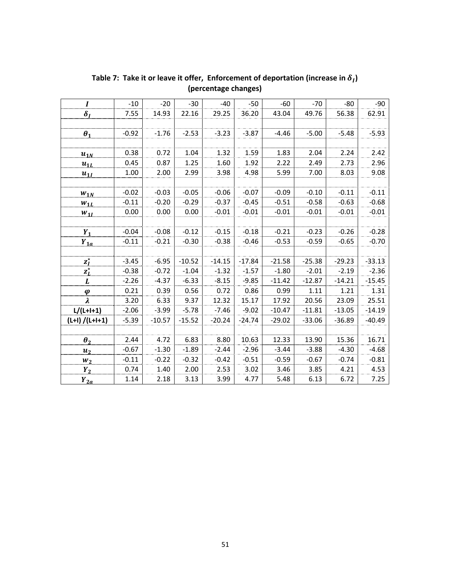| $\boldsymbol{I}$        | $-10$   | $-20$    | $-30$    | $-40$    | $-50$    | $-60$    | $-70$    | $-80$    | $-90$    |
|-------------------------|---------|----------|----------|----------|----------|----------|----------|----------|----------|
| $\delta_I$              | 7.55    | 14.93    | 22.16    | 29.25    | 36.20    | 43.04    | 49.76    | 56.38    | 62.91    |
|                         |         |          |          |          |          |          |          |          |          |
| $\boldsymbol{\theta}_1$ | $-0.92$ | $-1.76$  | $-2.53$  | $-3.23$  | $-3.87$  | $-4.46$  | $-5.00$  | $-5.48$  | $-5.93$  |
|                         |         |          |          |          |          |          |          |          |          |
| $u_{1N}$                | 0.38    | 0.72     | 1.04     | 1.32     | 1.59     | 1.83     | 2.04     | 2.24     | 2.42     |
| $u_{1L}$                | 0.45    | 0.87     | 1.25     | 1.60     | 1.92     | 2.22     | 2.49     | 2.73     | 2.96     |
| $u_{1l}$                | 1.00    | 2.00     | 2.99     | 3.98     | 4.98     | 5.99     | 7.00     | 8.03     | 9.08     |
|                         |         |          |          |          |          |          |          |          |          |
| $W_{1N}$                | $-0.02$ | $-0.03$  | $-0.05$  | $-0.06$  | $-0.07$  | $-0.09$  | $-0.10$  | $-0.11$  | $-0.11$  |
| $W_{1L}$                | $-0.11$ | $-0.20$  | $-0.29$  | $-0.37$  | $-0.45$  | $-0.51$  | $-0.58$  | $-0.63$  | $-0.68$  |
| $W_{1I}$                | 0.00    | 0.00     | 0.00     | $-0.01$  | $-0.01$  | $-0.01$  | $-0.01$  | $-0.01$  | $-0.01$  |
|                         |         |          |          |          |          |          |          |          |          |
| $Y_1$                   | $-0.04$ | $-0.08$  | $-0.12$  | $-0.15$  | $-0.18$  | $-0.21$  | $-0.23$  | $-0.26$  | $-0.28$  |
| $Y_{1a}$                | $-0.11$ | $-0.21$  | $-0.30$  | $-0.38$  | $-0.46$  | $-0.53$  | $-0.59$  | $-0.65$  | $-0.70$  |
|                         |         |          |          |          |          |          |          |          |          |
| $z_I^{\star}$           | $-3.45$ | $-6.95$  | $-10.52$ | $-14.15$ | $-17.84$ | $-21.58$ | $-25.38$ | $-29.23$ | $-33.13$ |
| $z_L^{\star}$           | $-0.38$ | $-0.72$  | $-1.04$  | $-1.32$  | $-1.57$  | $-1.80$  | $-2.01$  | $-2.19$  | $-2.36$  |
| L                       | $-2.26$ | $-4.37$  | $-6.33$  | $-8.15$  | $-9.85$  | $-11.42$ | $-12.87$ | $-14.21$ | $-15.45$ |
| $\boldsymbol{\varphi}$  | 0.21    | 0.39     | 0.56     | 0.72     | 0.86     | 0.99     | 1.11     | 1.21     | 1.31     |
| $\lambda$               | 3.20    | 6.33     | 9.37     | 12.32    | 15.17    | 17.92    | 20.56    | 23.09    | 25.51    |
| $L/(L+I+1)$             | $-2.06$ | $-3.99$  | $-5.78$  | $-7.46$  | $-9.02$  | $-10.47$ | $-11.81$ | $-13.05$ | $-14.19$ |
| $(L+1) / (L+1+1)$       | $-5.39$ | $-10.57$ | $-15.52$ | $-20.24$ | $-24.74$ | $-29.02$ | $-33.06$ | $-36.89$ | $-40.49$ |
|                         |         |          |          |          |          |          |          |          |          |
| $\boldsymbol{\theta}_2$ | 2.44    | 4.72     | 6.83     | 8.80     | 10.63    | 12.33    | 13.90    | 15.36    | 16.71    |
| $u_2$                   | $-0.67$ | $-1.30$  | $-1.89$  | $-2.44$  | $-2.96$  | $-3.44$  | $-3.88$  | $-4.30$  | $-4.68$  |
| $W_2$                   | $-0.11$ | $-0.22$  | $-0.32$  | $-0.42$  | $-0.51$  | $-0.59$  | $-0.67$  | $-0.74$  | $-0.81$  |
| $Y_2$                   | 0.74    | 1.40     | 2.00     | 2.53     | 3.02     | 3.46     | 3.85     | 4.21     | 4.53     |
| $Y_{2a}$                | 1.14    | 2.18     | 3.13     | 3.99     | 4.77     | 5.48     | 6.13     | 6.72     | 7.25     |

Table 7: Take it or leave it offer, Enforcement of deportation (increase in  $\delta_I$ ) **(percentage changes)**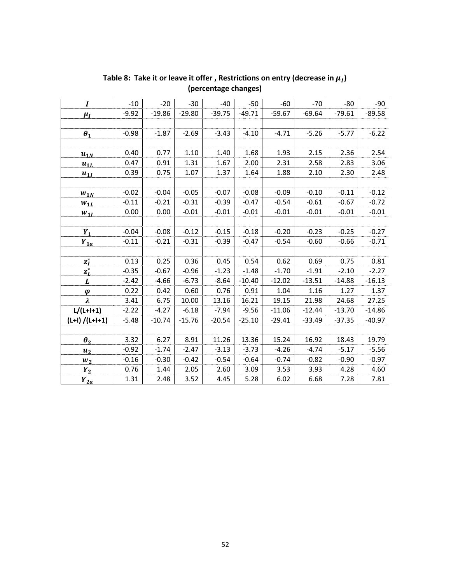| $\boldsymbol{I}$        | $-10$   | $-20$    | $-30$    | $-40$    | $-50$    | $-60$    | $-70$    | $-80$    | $-90$    |
|-------------------------|---------|----------|----------|----------|----------|----------|----------|----------|----------|
|                         | $-9.92$ | $-19.86$ | $-29.80$ | $-39.75$ | $-49.71$ | $-59.67$ | $-69.64$ | $-79.61$ | $-89.58$ |
| $\mu_I$                 |         |          |          |          |          |          |          |          |          |
|                         |         |          |          |          |          |          |          |          |          |
| $\boldsymbol{\theta}_1$ | $-0.98$ | $-1.87$  | $-2.69$  | $-3.43$  | $-4.10$  | $-4.71$  | $-5.26$  | $-5.77$  | $-6.22$  |
|                         |         |          |          |          |          |          |          |          |          |
| $u_{1N}$                | 0.40    | 0.77     | 1.10     | 1.40     | 1.68     | 1.93     | 2.15     | 2.36     | 2.54     |
| $u_{1L}$                | 0.47    | 0.91     | 1.31     | 1.67     | 2.00     | 2.31     | 2.58     | 2.83     | 3.06     |
| $u_{1l}$                | 0.39    | 0.75     | 1.07     | 1.37     | 1.64     | 1.88     | 2.10     | 2.30     | 2.48     |
|                         |         |          |          |          |          |          |          |          |          |
| $W_{1N}$                | $-0.02$ | $-0.04$  | $-0.05$  | $-0.07$  | $-0.08$  | $-0.09$  | $-0.10$  | $-0.11$  | $-0.12$  |
| $W_{1L}$                | $-0.11$ | $-0.21$  | $-0.31$  | $-0.39$  | $-0.47$  | $-0.54$  | $-0.61$  | $-0.67$  | $-0.72$  |
| $W_{1I}$                | 0.00    | 0.00     | $-0.01$  | $-0.01$  | $-0.01$  | $-0.01$  | $-0.01$  | $-0.01$  | $-0.01$  |
|                         |         |          |          |          |          |          |          |          |          |
| $Y_1$                   | $-0.04$ | $-0.08$  | $-0.12$  | $-0.15$  | $-0.18$  | $-0.20$  | $-0.23$  | $-0.25$  | $-0.27$  |
| $Y_{1a}$                | $-0.11$ | $-0.21$  | $-0.31$  | $-0.39$  | $-0.47$  | $-0.54$  | $-0.60$  | $-0.66$  | $-0.71$  |
|                         |         |          |          |          |          |          |          |          |          |
| $z_I^{\star}$           | 0.13    | 0.25     | 0.36     | 0.45     | 0.54     | 0.62     | 0.69     | 0.75     | 0.81     |
| $z_L^{\star}$           | $-0.35$ | $-0.67$  | $-0.96$  | $-1.23$  | $-1.48$  | $-1.70$  | $-1.91$  | $-2.10$  | $-2.27$  |
| $\boldsymbol{L}$        | $-2.42$ | $-4.66$  | $-6.73$  | $-8.64$  | $-10.40$ | $-12.02$ | $-13.51$ | $-14.88$ | $-16.13$ |
| $\boldsymbol{\varphi}$  | 0.22    | 0.42     | 0.60     | 0.76     | 0.91     | 1.04     | 1.16     | 1.27     | 1.37     |
| $\boldsymbol{\lambda}$  | 3.41    | 6.75     | 10.00    | 13.16    | 16.21    | 19.15    | 21.98    | 24.68    | 27.25    |
| $L/(L+I+1)$             | $-2.22$ | $-4.27$  | $-6.18$  | $-7.94$  | $-9.56$  | $-11.06$ | $-12.44$ | $-13.70$ | $-14.86$ |
| $(L+1) / (L+1+1)$       | $-5.48$ | $-10.74$ | $-15.76$ | $-20.54$ | $-25.10$ | $-29.41$ | $-33.49$ | $-37.35$ | $-40.97$ |
|                         |         |          |          |          |          |          |          |          |          |
| $\theta_2$              | 3.32    | 6.27     | 8.91     | 11.26    | 13.36    | 15.24    | 16.92    | 18.43    | 19.79    |
| $u_2$                   | $-0.92$ | $-1.74$  | $-2.47$  | $-3.13$  | $-3.73$  | $-4.26$  | $-4.74$  | $-5.17$  | $-5.56$  |
| $W_2$                   | $-0.16$ | $-0.30$  | $-0.42$  | $-0.54$  | $-0.64$  | $-0.74$  | $-0.82$  | $-0.90$  | $-0.97$  |
| $Y_2$                   | 0.76    | 1.44     | 2.05     | 2.60     | 3.09     | 3.53     | 3.93     | 4.28     | 4.60     |
| $Y_{2a}$                | 1.31    | 2.48     | 3.52     | 4.45     | 5.28     | 6.02     | 6.68     | 7.28     | 7.81     |

Table 8: Take it or leave it offer, Restrictions on entry (decrease in  $\mu_I$ ) **(percentage changes)**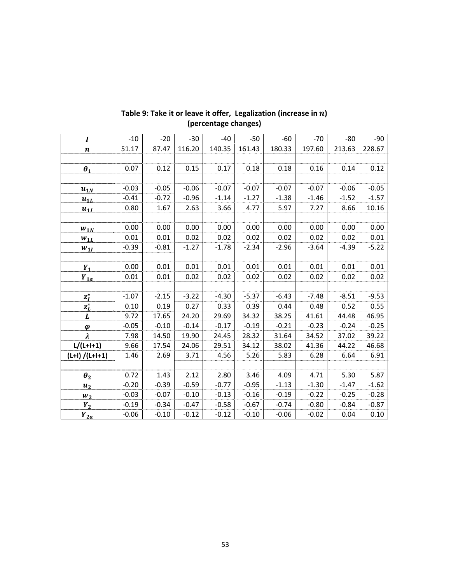| I                       | $-10$   | $-20$   | $-30$   | $-40$   | $-50$   | $-60$   | $-70$   | $-80$   | $-90$   |
|-------------------------|---------|---------|---------|---------|---------|---------|---------|---------|---------|
| $\boldsymbol{n}$        | 51.17   | 87.47   | 116.20  | 140.35  | 161.43  | 180.33  | 197.60  | 213.63  | 228.67  |
|                         |         |         |         |         |         |         |         |         |         |
| $\boldsymbol{\theta}_1$ | 0.07    | 0.12    | 0.15    | 0.17    | 0.18    | 0.18    | 0.16    | 0.14    | 0.12    |
|                         |         |         |         |         |         |         |         |         |         |
| $u_{1N}$                | $-0.03$ | $-0.05$ | $-0.06$ | $-0.07$ | $-0.07$ | $-0.07$ | $-0.07$ | $-0.06$ | $-0.05$ |
| $u_{1L}$                | $-0.41$ | $-0.72$ | $-0.96$ | $-1.14$ | $-1.27$ | $-1.38$ | $-1.46$ | $-1.52$ | $-1.57$ |
| $u_{1I}$                | 0.80    | 1.67    | 2.63    | 3.66    | 4.77    | 5.97    | 7.27    | 8.66    | 10.16   |
|                         |         |         |         |         |         |         |         |         |         |
| $W_{1N}$                | 0.00    | 0.00    | 0.00    | 0.00    | 0.00    | 0.00    | 0.00    | 0.00    | 0.00    |
| $W_{1L}$                | 0.01    | 0.01    | 0.02    | 0.02    | 0.02    | 0.02    | 0.02    | 0.02    | 0.01    |
| $W_{1I}$                | $-0.39$ | $-0.81$ | $-1.27$ | $-1.78$ | $-2.34$ | $-2.96$ | $-3.64$ | $-4.39$ | $-5.22$ |
|                         |         |         |         |         |         |         |         |         |         |
| $Y_1$                   | 0.00    | 0.01    | 0.01    | 0.01    | 0.01    | 0.01    | 0.01    | 0.01    | 0.01    |
| $Y_{1a}$                | 0.01    | 0.01    | 0.02    | 0.02    | 0.02    | 0.02    | 0.02    | 0.02    | 0.02    |
|                         |         |         |         |         |         |         |         |         |         |
| $z_I^{\star}$           | $-1.07$ | $-2.15$ | $-3.22$ | $-4.30$ | $-5.37$ | $-6.43$ | $-7.48$ | $-8.51$ | $-9.53$ |
| $\mathbf{z}^\star_L$    | 0.10    | 0.19    | 0.27    | 0.33    | 0.39    | 0.44    | 0.48    | 0.52    | 0.55    |
| L                       | 9.72    | 17.65   | 24.20   | 29.69   | 34.32   | 38.25   | 41.61   | 44.48   | 46.95   |
| $\boldsymbol{\varphi}$  | $-0.05$ | $-0.10$ | $-0.14$ | $-0.17$ | $-0.19$ | $-0.21$ | $-0.23$ | $-0.24$ | $-0.25$ |
| λ                       | 7.98    | 14.50   | 19.90   | 24.45   | 28.32   | 31.64   | 34.52   | 37.02   | 39.22   |
| $L/(L+1+1)$             | 9.66    | 17.54   | 24.06   | 29.51   | 34.12   | 38.02   | 41.36   | 44.22   | 46.68   |
| $(L+1) / (L+1+1)$       | 1.46    | 2.69    | 3.71    | 4.56    | 5.26    | 5.83    | 6.28    | 6.64    | 6.91    |
|                         |         |         |         |         |         |         |         |         |         |
| $\boldsymbol{\theta}_2$ | 0.72    | 1.43    | 2.12    | 2.80    | 3.46    | 4.09    | 4.71    | 5.30    | 5.87    |
| $u_2$                   | $-0.20$ | $-0.39$ | $-0.59$ | $-0.77$ | $-0.95$ | $-1.13$ | $-1.30$ | $-1.47$ | $-1.62$ |
| $W_2$                   | $-0.03$ | $-0.07$ | $-0.10$ | $-0.13$ | $-0.16$ | $-0.19$ | $-0.22$ | $-0.25$ | $-0.28$ |
| $Y_2$                   | $-0.19$ | $-0.34$ | $-0.47$ | $-0.58$ | $-0.67$ | $-0.74$ | $-0.80$ | $-0.84$ | $-0.87$ |
| $Y_{2a}$                | $-0.06$ | $-0.10$ | $-0.12$ | $-0.12$ | $-0.10$ | $-0.06$ | $-0.02$ | 0.04    | 0.10    |

## Table 9: Take it or leave it offer, Legalization (increase in  $n$ ) **(percentage changes)**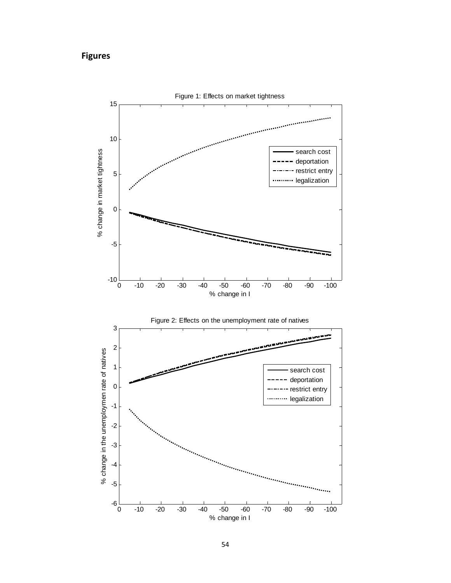# **Figures**



0 -10 -20 -30 -40 -50 -60 -70 -80 -90 -100

% change in I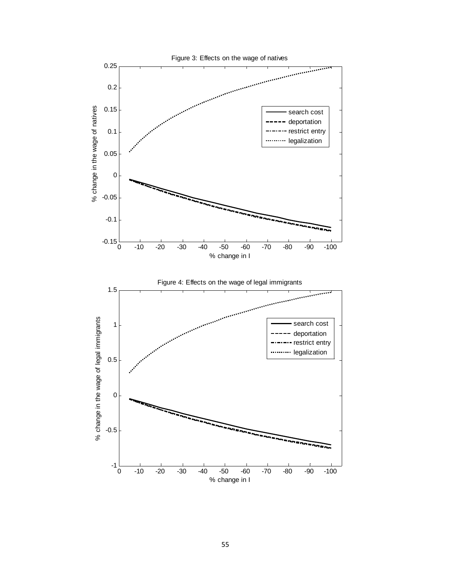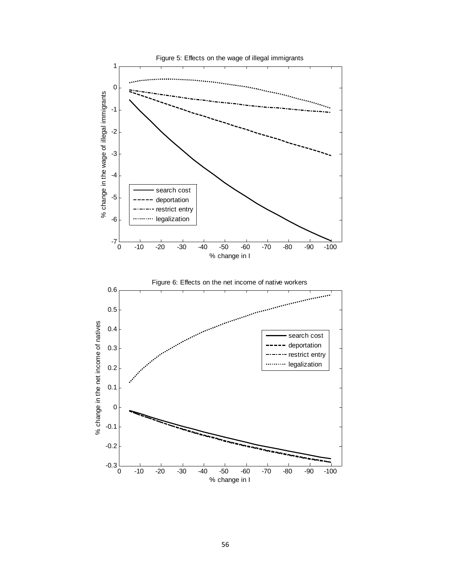

56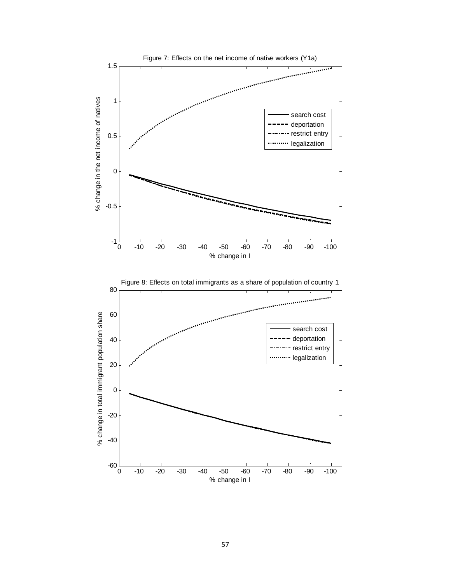

57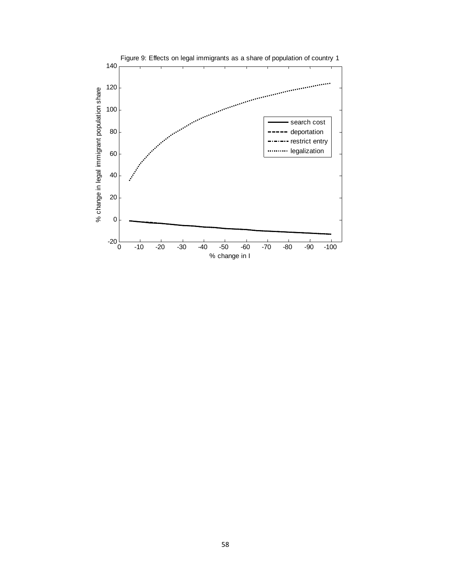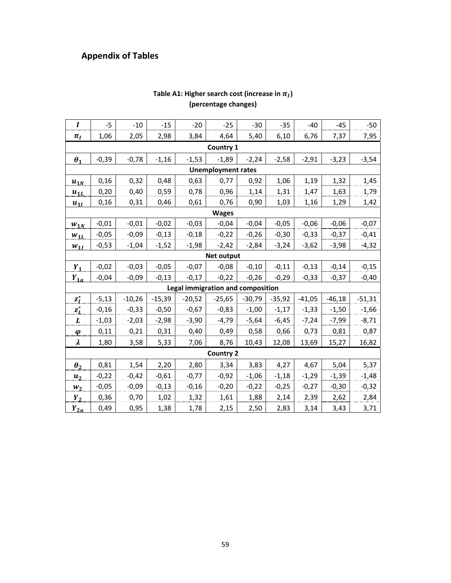# **Appendix of Tables**

| I                       | $-5$    | $-10$    | $-15$    | $-20$    | $-25$                             | $-30$    | $-35$    | $-40$    | $-45$    | $-50$    |  |
|-------------------------|---------|----------|----------|----------|-----------------------------------|----------|----------|----------|----------|----------|--|
| $\pi_I$                 | 1,06    | 2,05     | 2,98     | 3,84     | 4,64                              | 5,40     | 6,10     | 6,76     | 7,37     | 7,95     |  |
|                         |         |          |          |          | <b>Country 1</b>                  |          |          |          |          |          |  |
| $\boldsymbol{\theta}_1$ | $-0,39$ | $-0,78$  | $-1,16$  | $-1,53$  | $-1,89$                           | $-2,24$  | $-2,58$  | $-2,91$  | $-3,23$  | $-3,54$  |  |
|                         |         |          |          |          | <b>Unemployment rates</b>         |          |          |          |          |          |  |
| $u_{1N}$                | 0,16    | 0,32     | 0,48     | 0,63     | 0,77                              | 0,92     | 1,06     | 1,19     | 1,32     | 1,45     |  |
| $u_{1L}$                | 0,20    | 0,40     | 0,59     | 0,78     | 0,96                              | 1,14     | 1,31     | 1,47     | 1,63     | 1,79     |  |
| $u_{1I}$                | 0,16    | 0,31     | 0,46     | 0,61     | 0,76                              | 0,90     | 1,03     | 1,16     | 1,29     | 1,42     |  |
| <b>Wages</b>            |         |          |          |          |                                   |          |          |          |          |          |  |
| $W_{1N}$                | $-0,01$ | $-0,01$  | $-0,02$  | $-0,03$  | $-0,04$                           | $-0,04$  | $-0,05$  | $-0,06$  | $-0,06$  | $-0,07$  |  |
| $W_{1L}$                | $-0,05$ | $-0,09$  | $-0,13$  | $-0,18$  | $-0,22$                           | $-0,26$  | $-0,30$  | $-0,33$  | $-0,37$  | $-0,41$  |  |
| $W_{1I}$                | $-0,53$ | $-1,04$  | $-1,52$  | $-1,98$  | $-2,42$                           | $-2,84$  | $-3,24$  | $-3,62$  | $-3,98$  | $-4,32$  |  |
| <b>Net output</b>       |         |          |          |          |                                   |          |          |          |          |          |  |
| $Y_1$                   | $-0,02$ | $-0,03$  | $-0,05$  | $-0,07$  | $-0,08$                           | $-0,10$  | $-0,11$  | $-0,13$  | $-0,14$  | $-0,15$  |  |
| $Y_{1a}$                | $-0,04$ | $-0,09$  | $-0,13$  | $-0,17$  | $-0,22$                           | $-0,26$  | $-0,29$  | $-0,33$  | $-0,37$  | $-0,40$  |  |
|                         |         |          |          |          | Legal immigration and composition |          |          |          |          |          |  |
| $z_I^{\star}$           | $-5,13$ | $-10,26$ | $-15,39$ | $-20,52$ | $-25,65$                          | $-30,79$ | $-35,92$ | $-41,05$ | $-46,18$ | $-51,31$ |  |
| $z_L^{\star}$           | $-0,16$ | $-0,33$  | $-0,50$  | $-0,67$  | $-0,83$                           | $-1,00$  | $-1,17$  | $-1,33$  | $-1,50$  | $-1,66$  |  |
| L                       | $-1,03$ | $-2,03$  | $-2,98$  | $-3,90$  | $-4,79$                           | $-5,64$  | $-6,45$  | $-7,24$  | $-7,99$  | $-8,71$  |  |
| $\boldsymbol{\varphi}$  | 0,11    | 0,21     | 0,31     | 0,40     | 0,49                              | 0,58     | 0,66     | 0,73     | 0,81     | 0,87     |  |
| λ                       | 1,80    | 3,58     | 5,33     | 7,06     | 8,76                              | 10,43    | 12,08    | 13,69    | 15,27    | 16,82    |  |
|                         |         |          |          |          | <b>Country 2</b>                  |          |          |          |          |          |  |
| $\boldsymbol{\theta}_2$ | 0,81    | 1,54     | 2,20     | 2,80     | 3,34                              | 3,83     | 4,27     | 4,67     | 5,04     | 5,37     |  |
| $u_2$                   | $-0,22$ | $-0,42$  | $-0,61$  | $-0,77$  | $-0,92$                           | $-1,06$  | $-1,18$  | $-1,29$  | $-1,39$  | $-1,48$  |  |
| $W_2$                   | $-0,05$ | $-0,09$  | $-0,13$  | $-0,16$  | $-0,20$                           | $-0,22$  | $-0,25$  | $-0,27$  | $-0,30$  | $-0,32$  |  |
| $Y_2$                   | 0,36    | 0,70     | 1,02     | 1,32     | 1,61                              | 1,88     | 2,14     | 2,39     | 2,62     | 2,84     |  |
| $Y_{2a}$                | 0,49    | 0,95     | 1,38     | 1,78     | 2,15                              | 2,50     | 2,83     | 3,14     | 3,43     | 3,71     |  |

### Table A1: Higher search cost (increase in  $\pi_I$ ) **(percentage changes)**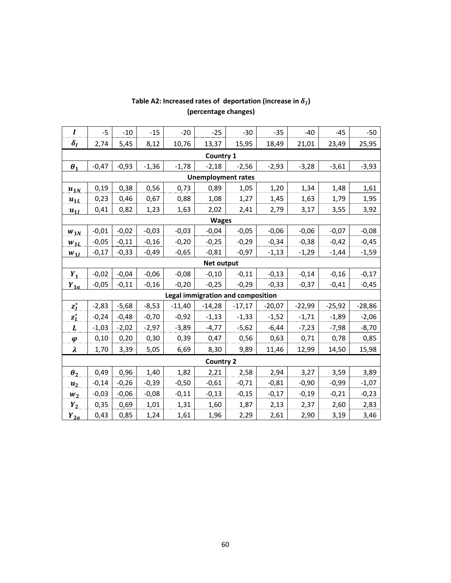| $\boldsymbol{I}$       | $-5$                                                                         | $-10$   | $-15$   | $-20$    | $-25$                             | $-30$    | $-35$    | $-40$    | $-45$    | $-50$    |  |  |
|------------------------|------------------------------------------------------------------------------|---------|---------|----------|-----------------------------------|----------|----------|----------|----------|----------|--|--|
| $\delta_I$             | 2,74                                                                         | 5,45    | 8,12    | 10,76    | 13,37                             | 15,95    | 18,49    | 21,01    | 23,49    | 25,95    |  |  |
|                        |                                                                              |         |         |          | Country 1                         |          |          |          |          |          |  |  |
| $\theta_1$             | $-0,47$                                                                      | $-0,93$ | $-1,36$ | $-1,78$  | $-2,18$                           | $-2,56$  | $-2,93$  | $-3,28$  | $-3,61$  | $-3,93$  |  |  |
|                        |                                                                              |         |         |          | <b>Unemployment rates</b>         |          |          |          |          |          |  |  |
| $u_{1N}$               | 0,38<br>0,19<br>0,56<br>0,73<br>0,89<br>1,05<br>1,34<br>1,61<br>1,20<br>1,48 |         |         |          |                                   |          |          |          |          |          |  |  |
| $u_{1L}$               | 0,23                                                                         | 0,46    | 0,67    | 0,88     | 1,08                              | 1,27     | 1,45     | 1,63     | 1,79     | 1,95     |  |  |
| $u_{1I}$               | 0,41                                                                         | 0,82    | 1,23    | 1,63     | 2,02                              | 2,41     | 2,79     | 3,17     | 3,55     | 3,92     |  |  |
| <b>Wages</b>           |                                                                              |         |         |          |                                   |          |          |          |          |          |  |  |
| $W_{1N}$               | $-0,01$                                                                      | $-0,02$ | $-0,03$ | $-0,03$  | $-0,04$                           | $-0,05$  | $-0,06$  | $-0,06$  | $-0,07$  | $-0,08$  |  |  |
| $W_{1L}$               | $-0,05$                                                                      | $-0,11$ | $-0,16$ | $-0,20$  | $-0,25$                           | $-0,29$  | $-0,34$  | $-0,38$  | $-0,42$  | $-0,45$  |  |  |
| $W_{1I}$               | $-0,17$                                                                      | $-0,33$ | $-0,49$ | $-0,65$  | $-0,81$                           | $-0,97$  | $-1,13$  | $-1,29$  | $-1,44$  | $-1,59$  |  |  |
| Net output             |                                                                              |         |         |          |                                   |          |          |          |          |          |  |  |
| $Y_1$                  | $-0,02$                                                                      | $-0,04$ | $-0,06$ | $-0,08$  | $-0,10$                           | $-0,11$  | $-0,13$  | $-0,14$  | $-0,16$  | $-0,17$  |  |  |
| $Y_{1a}$               | $-0,05$                                                                      | $-0,11$ | $-0,16$ | $-0,20$  | $-0,25$                           | $-0,29$  | $-0,33$  | $-0,37$  | $-0,41$  | $-0,45$  |  |  |
|                        |                                                                              |         |         |          | Legal immigration and composition |          |          |          |          |          |  |  |
| $z_I^{\star}$          | $-2,83$                                                                      | $-5,68$ | $-8,53$ | $-11,40$ | $-14,28$                          | $-17,17$ | $-20,07$ | $-22,99$ | $-25,92$ | $-28,86$ |  |  |
| $z_L^{\star}$          | $-0,24$                                                                      | $-0,48$ | $-0,70$ | $-0,92$  | $-1,13$                           | $-1,33$  | $-1,52$  | $-1,71$  | $-1,89$  | $-2,06$  |  |  |
| $\pmb{L}$              | $-1,03$                                                                      | $-2,02$ | $-2,97$ | $-3,89$  | $-4,77$                           | $-5,62$  | $-6,44$  | $-7,23$  | $-7,98$  | $-8,70$  |  |  |
| $\boldsymbol{\varphi}$ | 0,10                                                                         | 0,20    | 0,30    | 0,39     | 0,47                              | 0,56     | 0,63     | 0,71     | 0,78     | 0,85     |  |  |
| λ                      | 1,70                                                                         | 3,39    | 5,05    | 6,69     | 8,30                              | 9,89     | 11,46    | 12,99    | 14,50    | 15,98    |  |  |
|                        |                                                                              |         |         |          | <b>Country 2</b>                  |          |          |          |          |          |  |  |
| $\theta_2$             | 0,49                                                                         | 0,96    | 1,40    | 1,82     | 2,21                              | 2,58     | 2,94     | 3,27     | 3,59     | 3,89     |  |  |
| $u_2$                  | $-0,14$                                                                      | $-0,26$ | $-0,39$ | $-0,50$  | $-0,61$                           | $-0,71$  | $-0,81$  | $-0,90$  | $-0,99$  | $-1,07$  |  |  |
| $W_2$                  | $-0,03$                                                                      | $-0,06$ | $-0,08$ | $-0,11$  | $-0,13$                           | $-0,15$  | $-0,17$  | $-0,19$  | $-0,21$  | $-0,23$  |  |  |
| $Y_2$                  | 0,35                                                                         | 0,69    | 1,01    | 1,31     | 1,60                              | 1,87     | 2,13     | 2,37     | 2,60     | 2,83     |  |  |
| $Y_{2a}$               | 0,43                                                                         | 0,85    | 1,24    | 1,61     | 1,96                              | 2,29     | 2,61     | 2,90     | 3,19     | 3,46     |  |  |

### Table A2: Increased rates of deportation (increase in  $\delta_I$ ) **(percentage changes)**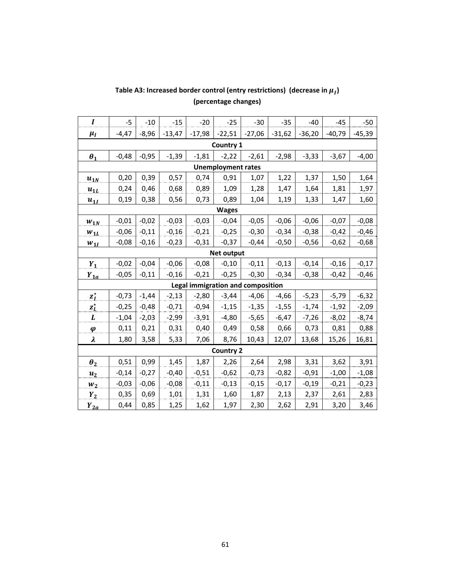| $\boldsymbol{I}$        | $-5$                                                                         | $-10$   | $-15$    | $-20$                                    | $-25$            | $-30$    | $-35$    | $-40$    | $-45$    | $-50$    |  |  |
|-------------------------|------------------------------------------------------------------------------|---------|----------|------------------------------------------|------------------|----------|----------|----------|----------|----------|--|--|
| $\mu_I$                 | -4,47                                                                        | $-8,96$ | $-13,47$ | $-17,98$                                 | $-22,51$         | $-27,06$ | $-31,62$ | $-36,20$ | $-40,79$ | $-45,39$ |  |  |
|                         |                                                                              |         |          |                                          | Country 1        |          |          |          |          |          |  |  |
| $\boldsymbol{\theta}_1$ | $-0,48$                                                                      | $-0,95$ | $-1,39$  | $-1,81$                                  | $-2,22$          | $-2,61$  | $-2,98$  | $-3,33$  | $-3,67$  | $-4,00$  |  |  |
|                         | <b>Unemployment rates</b>                                                    |         |          |                                          |                  |          |          |          |          |          |  |  |
| $u_{1N}$                | 0,39<br>0,20<br>0,57<br>0,91<br>1,07<br>1,22<br>1,37<br>1,50<br>0,74<br>1,64 |         |          |                                          |                  |          |          |          |          |          |  |  |
| $u_{1L}$                | 0,24                                                                         | 0,46    | 0,68     | 0,89                                     | 1,09             | 1,28     | 1,47     | 1,64     | 1,81     | 1,97     |  |  |
| $u_{1I}$                | 0, 19                                                                        | 0,38    | 0,56     | 0,73                                     | 0,89             | 1,04     | 1,19     | 1,33     | 1,47     | 1,60     |  |  |
|                         | <b>Wages</b>                                                                 |         |          |                                          |                  |          |          |          |          |          |  |  |
| $W_{1N}$                | $-0,01$                                                                      | $-0,02$ | $-0,03$  | $-0,03$                                  | $-0,04$          | $-0,05$  | $-0,06$  | $-0,06$  | $-0,07$  | $-0,08$  |  |  |
| $W_{1L}$                | $-0,06$                                                                      | $-0,11$ | $-0,16$  | $-0,21$                                  | $-0,25$          | $-0,30$  | $-0,34$  | $-0,38$  | $-0,42$  | $-0,46$  |  |  |
| $W_{1I}$                | $-0,08$                                                                      | $-0,16$ | $-0,23$  | $-0,31$                                  | $-0,37$          | $-0,44$  | $-0,50$  | $-0,56$  | $-0,62$  | $-0,68$  |  |  |
| <b>Net output</b>       |                                                                              |         |          |                                          |                  |          |          |          |          |          |  |  |
| $Y_1$                   | $-0,02$                                                                      | $-0,04$ | $-0,06$  | $-0,08$                                  | $-0,10$          | $-0,11$  | $-0,13$  | $-0,14$  | $-0,16$  | $-0,17$  |  |  |
| $Y_{1a}$                | $-0,05$                                                                      | $-0,11$ | $-0,16$  | $-0,21$                                  | $-0,25$          | $-0,30$  | $-0,34$  | $-0,38$  | $-0,42$  | $-0,46$  |  |  |
|                         |                                                                              |         |          | <b>Legal immigration and composition</b> |                  |          |          |          |          |          |  |  |
| $z_I^{\star}$           | $-0,73$                                                                      | $-1,44$ | $-2,13$  | $-2,80$                                  | $-3,44$          | $-4,06$  | $-4,66$  | $-5,23$  | $-5,79$  | $-6,32$  |  |  |
| $z_L^{\star}$           | $-0,25$                                                                      | $-0,48$ | $-0,71$  | $-0,94$                                  | $-1,15$          | $-1,35$  | $-1,55$  | $-1,74$  | $-1,92$  | $-2,09$  |  |  |
| L                       | $-1,04$                                                                      | $-2,03$ | $-2,99$  | $-3,91$                                  | $-4,80$          | $-5,65$  | $-6,47$  | $-7,26$  | $-8,02$  | $-8,74$  |  |  |
| $\boldsymbol{\varphi}$  | 0,11                                                                         | 0,21    | 0,31     | 0,40                                     | 0,49             | 0,58     | 0,66     | 0,73     | 0,81     | 0,88     |  |  |
| λ                       | 1,80                                                                         | 3,58    | 5,33     | 7,06                                     | 8,76             | 10,43    | 12,07    | 13,68    | 15,26    | 16,81    |  |  |
|                         |                                                                              |         |          |                                          | <b>Country 2</b> |          |          |          |          |          |  |  |
| $\boldsymbol{\theta}_2$ | 0,51                                                                         | 0,99    | 1,45     | 1,87                                     | 2,26             | 2,64     | 2,98     | 3,31     | 3,62     | 3,91     |  |  |
| u <sub>2</sub>          | $-0,14$                                                                      | $-0,27$ | $-0,40$  | $-0,51$                                  | $-0,62$          | $-0,73$  | $-0,82$  | $-0,91$  | $-1,00$  | $-1,08$  |  |  |
| $W_2$                   | $-0,03$                                                                      | $-0,06$ | $-0,08$  | $-0,11$                                  | $-0,13$          | $-0,15$  | $-0,17$  | $-0,19$  | $-0,21$  | $-0,23$  |  |  |
| $Y_2$                   | 0,35                                                                         | 0,69    | 1,01     | 1,31                                     | 1,60             | 1,87     | 2,13     | 2,37     | 2,61     | 2,83     |  |  |
| $Y_{2a}$                | 0,44                                                                         | 0,85    | 1,25     | 1,62                                     | 1,97             | 2,30     | 2,62     | 2,91     | 3,20     | 3,46     |  |  |

# Table A3: Increased border control (entry restrictions) (decrease in  $\mu_I$ ) **(percentage changes)**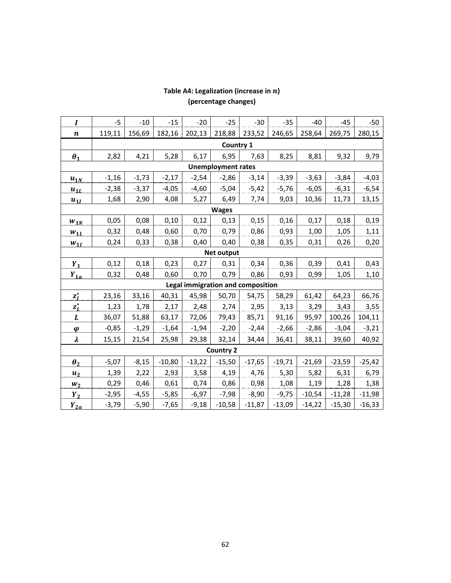| $\boldsymbol{I}$                  | $-5$      | $-10$   | $-15$    | $-20$    | $-25$    | $-30$    | $-35$    | $-40$    | $-45$    | $-50$    |  |
|-----------------------------------|-----------|---------|----------|----------|----------|----------|----------|----------|----------|----------|--|
| $\boldsymbol{n}$                  | 119,11    | 156,69  | 182,16   | 202,13   | 218,88   | 233,52   | 246,65   | 258,64   | 269,75   | 280,15   |  |
|                                   | Country 1 |         |          |          |          |          |          |          |          |          |  |
| $\boldsymbol{\theta}_1$           | 2,82      | 4,21    | 5,28     | 6,17     | 6,95     | 7,63     | 8,25     | 8,81     | 9,32     | 9,79     |  |
| <b>Unemployment rates</b>         |           |         |          |          |          |          |          |          |          |          |  |
| $u_{1N}$                          | $-1,16$   | $-1,73$ | $-2,17$  | $-2,54$  | $-2,86$  | $-3,14$  | $-3,39$  | $-3,63$  | $-3,84$  | $-4,03$  |  |
| $u_{1L}$                          | $-2,38$   | $-3,37$ | $-4,05$  | $-4,60$  | $-5,04$  | $-5,42$  | $-5,76$  | $-6,05$  | $-6,31$  | $-6,54$  |  |
| $u_{1I}$                          | 1,68      | 2,90    | 4,08     | 5,27     | 6,49     | 7,74     | 9,03     | 10,36    | 11,73    | 13,15    |  |
| <b>Wages</b>                      |           |         |          |          |          |          |          |          |          |          |  |
| $W_{1N}$                          | 0,05      | 0,08    | 0,10     | 0,12     | 0,13     | 0,15     | 0,16     | 0,17     | 0,18     | 0,19     |  |
| $W_{1L}$                          | 0,32      | 0,48    | 0,60     | 0,70     | 0,79     | 0,86     | 0,93     | 1,00     | 1,05     | 1,11     |  |
| $W_{1I}$                          | 0,24      | 0,33    | 0,38     | 0,40     | 0,40     | 0,38     | 0,35     | 0,31     | 0,26     | 0,20     |  |
| <b>Net output</b>                 |           |         |          |          |          |          |          |          |          |          |  |
| $Y_1$                             | 0,12      | 0,18    | 0,23     | 0,27     | 0,31     | 0,34     | 0,36     | 0,39     | 0,41     | 0,43     |  |
| $Y_{1a}$                          | 0,32      | 0,48    | 0,60     | 0,70     | 0,79     | 0,86     | 0,93     | 0,99     | 1,05     | 1,10     |  |
| Legal immigration and composition |           |         |          |          |          |          |          |          |          |          |  |
| $z_I^*$                           | 23,16     | 33,16   | 40,31    | 45,98    | 50,70    | 54,75    | 58,29    | 61,42    | 64,23    | 66,76    |  |
| $z_L^{\star}$                     | 1,23      | 1,78    | 2,17     | 2,48     | 2,74     | 2,95     | 3,13     | 3,29     | 3,43     | 3,55     |  |
| L                                 | 36,07     | 51,88   | 63,17    | 72,06    | 79,43    | 85,71    | 91,16    | 95,97    | 100,26   | 104,11   |  |
| $\boldsymbol{\varphi}$            | $-0,85$   | $-1,29$ | $-1,64$  | $-1,94$  | $-2,20$  | $-2,44$  | $-2,66$  | $-2,86$  | $-3,04$  | $-3,21$  |  |
| $\boldsymbol{\lambda}$            | 15,15     | 21,54   | 25,98    | 29,38    | 32,14    | 34,44    | 36,41    | 38,11    | 39,60    | 40,92    |  |
| <b>Country 2</b>                  |           |         |          |          |          |          |          |          |          |          |  |
| $\boldsymbol{\theta}_2$           | $-5,07$   | $-8,15$ | $-10,80$ | $-13,22$ | $-15,50$ | $-17,65$ | $-19,71$ | $-21,69$ | $-23,59$ | $-25,42$ |  |
| $u_2$                             | 1,39      | 2,22    | 2,93     | 3,58     | 4,19     | 4,76     | 5,30     | 5,82     | 6,31     | 6,79     |  |
| $W_2$                             | 0,29      | 0,46    | 0,61     | 0,74     | 0,86     | 0,98     | 1,08     | 1,19     | 1,28     | 1,38     |  |
| $Y_2$                             | $-2,95$   | $-4,55$ | $-5,85$  | $-6,97$  | $-7,98$  | $-8,90$  | $-9,75$  | $-10,54$ | $-11,28$ | $-11,98$ |  |
| $Y_{2a}$                          | $-3,79$   | $-5,90$ | $-7,65$  | $-9,18$  | $-10,58$ | $-11,87$ | $-13,09$ | $-14,22$ | $-15,30$ | $-16,33$ |  |

### Table A4: Legalization (increase in  $n$ ) **(percentage changes)**